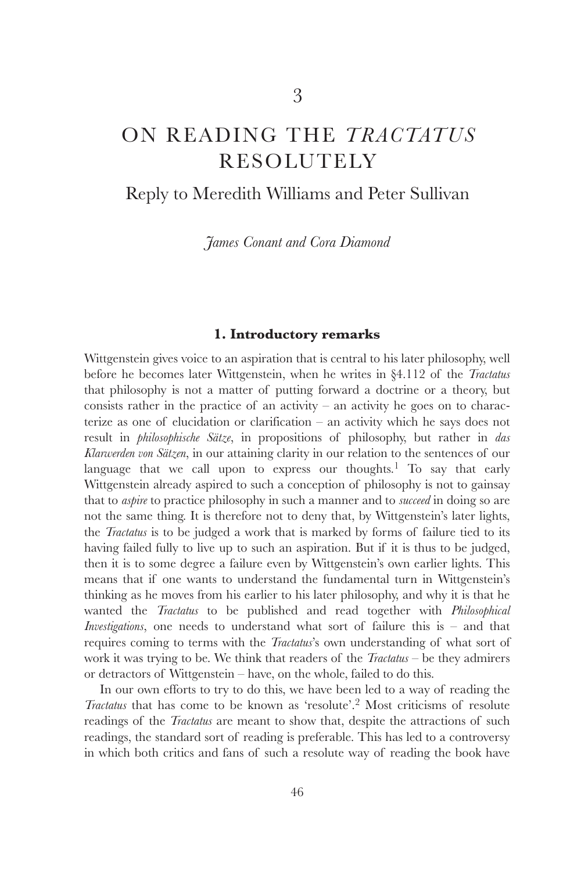# ON READING THE *TRACTATUS* RESOLUTELY

# Reply to Meredith Williams and Peter Sullivan

*James Conant and Cora Diamond*

# **1. Introductory remarks**

Wittgenstein gives voice to an aspiration that is central to his later philosophy, well before he becomes later Wittgenstein, when he writes in §4.112 of the *Tractatus* that philosophy is not a matter of putting forward a doctrine or a theory, but consists rather in the practice of an activity – an activity he goes on to characterize as one of elucidation or clarification – an activity which he says does not result in *philosophische Sätze*, in propositions of philosophy, but rather in *das Klarwerden von Sätzen*, in our attaining clarity in our relation to the sentences of our language that we call upon to express our thoughts.<sup>1</sup> To say that early Wittgenstein already aspired to such a conception of philosophy is not to gainsay that to *aspire* to practice philosophy in such a manner and to *succeed* in doing so are not the same thing. It is therefore not to deny that, by Wittgenstein's later lights, the *Tractatus* is to be judged a work that is marked by forms of failure tied to its having failed fully to live up to such an aspiration. But if it is thus to be judged, then it is to some degree a failure even by Wittgenstein's own earlier lights. This means that if one wants to understand the fundamental turn in Wittgenstein's thinking as he moves from his earlier to his later philosophy, and why it is that he wanted the *Tractatus* to be published and read together with *Philosophical Investigations*, one needs to understand what sort of failure this is – and that requires coming to terms with the *Tractatus*'s own understanding of what sort of work it was trying to be. We think that readers of the *Tractatus* – be they admirers or detractors of Wittgenstein – have, on the whole, failed to do this.

In our own efforts to try to do this, we have been led to a way of reading the *Tractatus* that has come to be known as 'resolute'.<sup>2</sup> Most criticisms of resolute readings of the *Tractatus* are meant to show that, despite the attractions of such readings, the standard sort of reading is preferable. This has led to a controversy in which both critics and fans of such a resolute way of reading the book have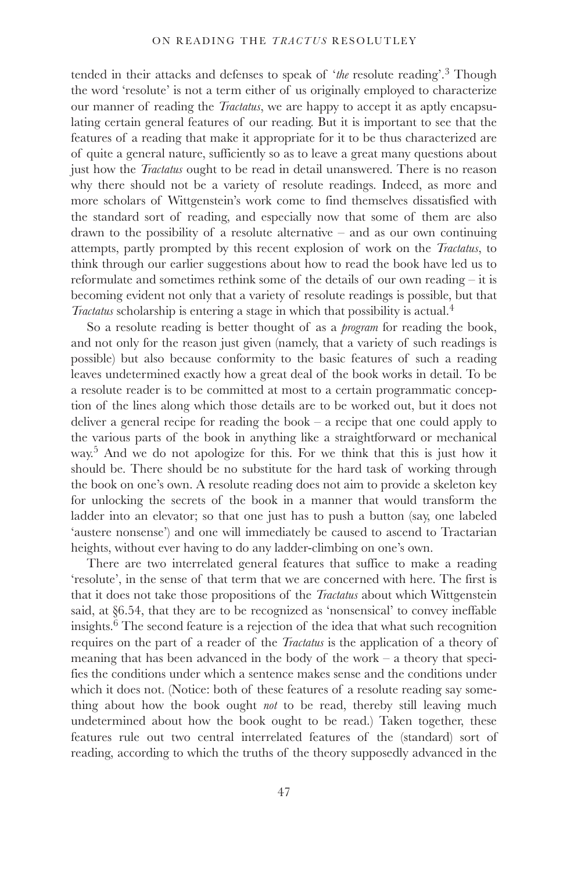tended in their attacks and defenses to speak of '*the* resolute reading'.3 Though the word 'resolute' is not a term either of us originally employed to characterize our manner of reading the *Tractatus*, we are happy to accept it as aptly encapsulating certain general features of our reading. But it is important to see that the features of a reading that make it appropriate for it to be thus characterized are of quite a general nature, sufficiently so as to leave a great many questions about just how the *Tractatus* ought to be read in detail unanswered. There is no reason why there should not be a variety of resolute readings. Indeed, as more and more scholars of Wittgenstein's work come to find themselves dissatisfied with the standard sort of reading, and especially now that some of them are also drawn to the possibility of a resolute alternative – and as our own continuing attempts, partly prompted by this recent explosion of work on the *Tractatus*, to think through our earlier suggestions about how to read the book have led us to reformulate and sometimes rethink some of the details of our own reading – it is becoming evident not only that a variety of resolute readings is possible, but that *Tractatus* scholarship is entering a stage in which that possibility is actual.<sup>4</sup>

So a resolute reading is better thought of as a *program* for reading the book, and not only for the reason just given (namely, that a variety of such readings is possible) but also because conformity to the basic features of such a reading leaves undetermined exactly how a great deal of the book works in detail. To be a resolute reader is to be committed at most to a certain programmatic conception of the lines along which those details are to be worked out, but it does not deliver a general recipe for reading the book – a recipe that one could apply to the various parts of the book in anything like a straightforward or mechanical way.<sup>5</sup> And we do not apologize for this. For we think that this is just how it should be. There should be no substitute for the hard task of working through the book on one's own. A resolute reading does not aim to provide a skeleton key for unlocking the secrets of the book in a manner that would transform the ladder into an elevator; so that one just has to push a button (say, one labeled 'austere nonsense') and one will immediately be caused to ascend to Tractarian heights, without ever having to do any ladder-climbing on one's own.

There are two interrelated general features that suffice to make a reading 'resolute', in the sense of that term that we are concerned with here. The first is that it does not take those propositions of the *Tractatus* about which Wittgenstein said, at §6.54, that they are to be recognized as 'nonsensical' to convey ineffable insights.6 The second feature is a rejection of the idea that what such recognition requires on the part of a reader of the *Tractatus* is the application of a theory of meaning that has been advanced in the body of the work – a theory that specifies the conditions under which a sentence makes sense and the conditions under which it does not. (Notice: both of these features of a resolute reading say something about how the book ought *not* to be read, thereby still leaving much undetermined about how the book ought to be read.) Taken together, these features rule out two central interrelated features of the (standard) sort of reading, according to which the truths of the theory supposedly advanced in the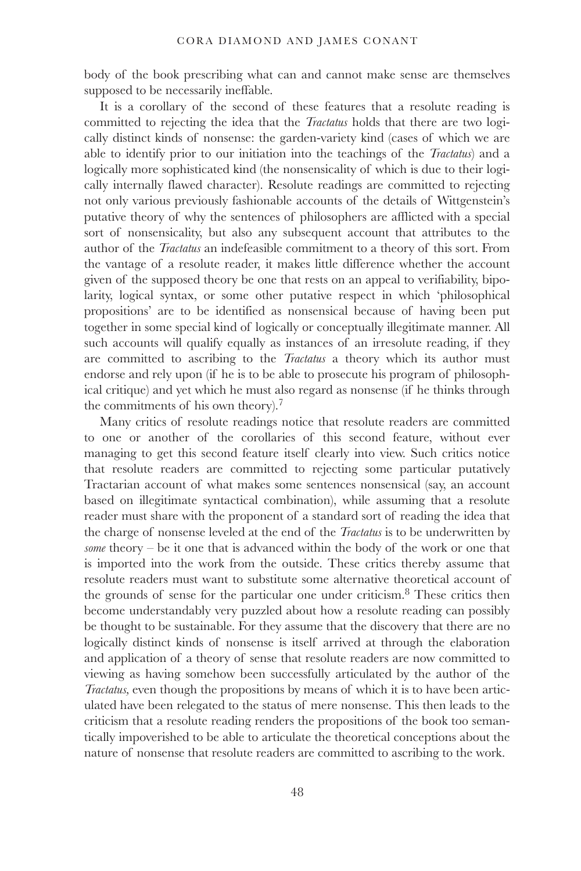body of the book prescribing what can and cannot make sense are themselves supposed to be necessarily ineffable.

It is a corollary of the second of these features that a resolute reading is committed to rejecting the idea that the *Tractatus* holds that there are two logically distinct kinds of nonsense: the garden-variety kind (cases of which we are able to identify prior to our initiation into the teachings of the *Tractatus*) and a logically more sophisticated kind (the nonsensicality of which is due to their logically internally flawed character). Resolute readings are committed to rejecting not only various previously fashionable accounts of the details of Wittgenstein's putative theory of why the sentences of philosophers are afflicted with a special sort of nonsensicality, but also any subsequent account that attributes to the author of the *Tractatus* an indefeasible commitment to a theory of this sort. From the vantage of a resolute reader, it makes little difference whether the account given of the supposed theory be one that rests on an appeal to verifiability, bipolarity, logical syntax, or some other putative respect in which 'philosophical propositions' are to be identified as nonsensical because of having been put together in some special kind of logically or conceptually illegitimate manner. All such accounts will qualify equally as instances of an irresolute reading, if they are committed to ascribing to the *Tractatus* a theory which its author must endorse and rely upon (if he is to be able to prosecute his program of philosophical critique) and yet which he must also regard as nonsense (if he thinks through the commitments of his own theory).<sup>7</sup>

Many critics of resolute readings notice that resolute readers are committed to one or another of the corollaries of this second feature, without ever managing to get this second feature itself clearly into view. Such critics notice that resolute readers are committed to rejecting some particular putatively Tractarian account of what makes some sentences nonsensical (say, an account based on illegitimate syntactical combination), while assuming that a resolute reader must share with the proponent of a standard sort of reading the idea that the charge of nonsense leveled at the end of the *Tractatus* is to be underwritten by *some* theory – be it one that is advanced within the body of the work or one that is imported into the work from the outside. These critics thereby assume that resolute readers must want to substitute some alternative theoretical account of the grounds of sense for the particular one under criticism.<sup>8</sup> These critics then become understandably very puzzled about how a resolute reading can possibly be thought to be sustainable. For they assume that the discovery that there are no logically distinct kinds of nonsense is itself arrived at through the elaboration and application of a theory of sense that resolute readers are now committed to viewing as having somehow been successfully articulated by the author of the *Tractatus,* even though the propositions by means of which it is to have been articulated have been relegated to the status of mere nonsense. This then leads to the criticism that a resolute reading renders the propositions of the book too semantically impoverished to be able to articulate the theoretical conceptions about the nature of nonsense that resolute readers are committed to ascribing to the work.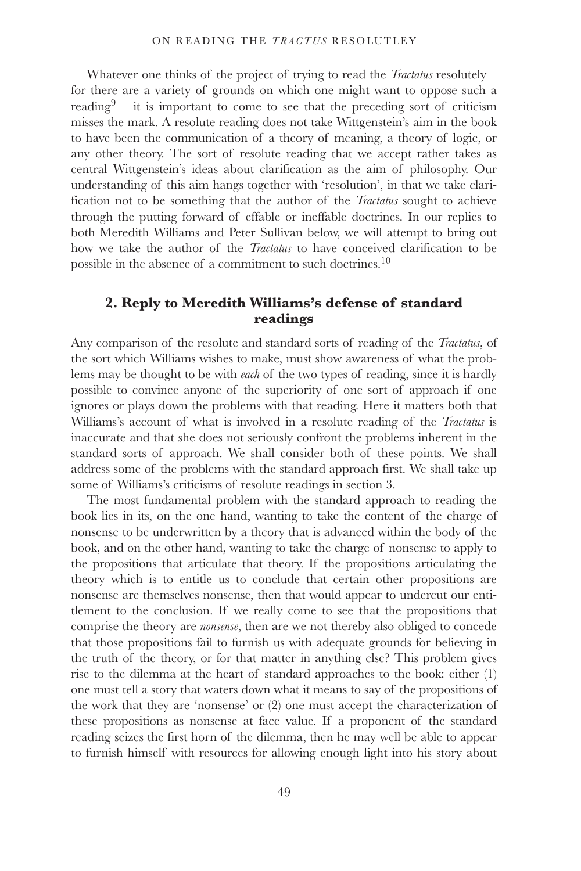Whatever one thinks of the project of trying to read the *Tractatus* resolutely – for there are a variety of grounds on which one might want to oppose such a reading<sup>9</sup> – it is important to come to see that the preceding sort of criticism misses the mark. A resolute reading does not take Wittgenstein's aim in the book to have been the communication of a theory of meaning, a theory of logic, or any other theory. The sort of resolute reading that we accept rather takes as central Wittgenstein's ideas about clarification as the aim of philosophy. Our understanding of this aim hangs together with 'resolution', in that we take clarification not to be something that the author of the *Tractatus* sought to achieve through the putting forward of effable or ineffable doctrines. In our replies to both Meredith Williams and Peter Sullivan below, we will attempt to bring out how we take the author of the *Tractatus* to have conceived clarification to be possible in the absence of a commitment to such doctrines.<sup>10</sup>

# **2. Reply to Meredith Williams's defense of standard readings**

Any comparison of the resolute and standard sorts of reading of the *Tractatus*, of the sort which Williams wishes to make, must show awareness of what the problems may be thought to be with *each* of the two types of reading, since it is hardly possible to convince anyone of the superiority of one sort of approach if one ignores or plays down the problems with that reading. Here it matters both that Williams's account of what is involved in a resolute reading of the *Tractatus* is inaccurate and that she does not seriously confront the problems inherent in the standard sorts of approach. We shall consider both of these points. We shall address some of the problems with the standard approach first. We shall take up some of Williams's criticisms of resolute readings in section 3.

The most fundamental problem with the standard approach to reading the book lies in its, on the one hand, wanting to take the content of the charge of nonsense to be underwritten by a theory that is advanced within the body of the book, and on the other hand, wanting to take the charge of nonsense to apply to the propositions that articulate that theory. If the propositions articulating the theory which is to entitle us to conclude that certain other propositions are nonsense are themselves nonsense, then that would appear to undercut our entitlement to the conclusion. If we really come to see that the propositions that comprise the theory are *nonsense*, then are we not thereby also obliged to concede that those propositions fail to furnish us with adequate grounds for believing in the truth of the theory, or for that matter in anything else? This problem gives rise to the dilemma at the heart of standard approaches to the book: either (1) one must tell a story that waters down what it means to say of the propositions of the work that they are 'nonsense' or (2) one must accept the characterization of these propositions as nonsense at face value. If a proponent of the standard reading seizes the first horn of the dilemma, then he may well be able to appear to furnish himself with resources for allowing enough light into his story about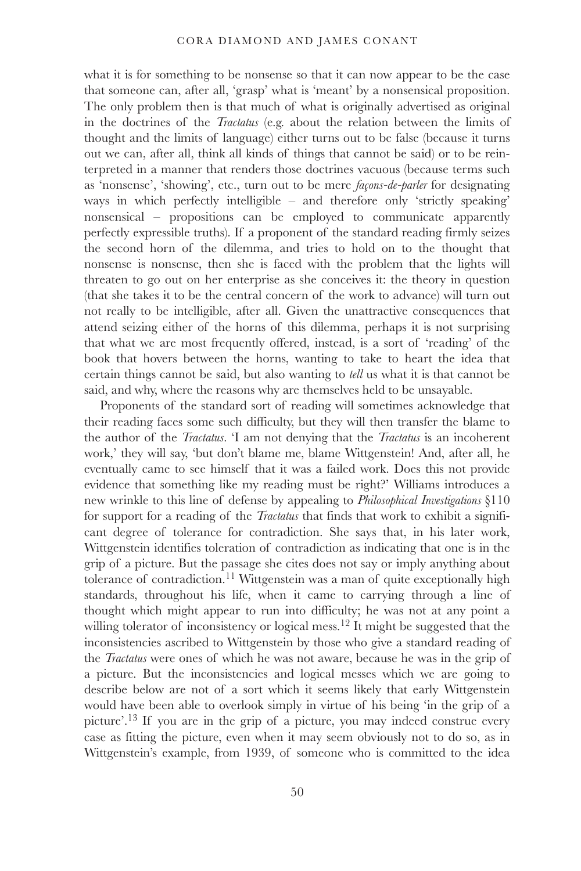what it is for something to be nonsense so that it can now appear to be the case that someone can, after all, 'grasp' what is 'meant' by a nonsensical proposition. The only problem then is that much of what is originally advertised as original in the doctrines of the *Tractatus* (e.g. about the relation between the limits of thought and the limits of language) either turns out to be false (because it turns out we can, after all, think all kinds of things that cannot be said) or to be reinterpreted in a manner that renders those doctrines vacuous (because terms such as 'nonsense', 'showing', etc., turn out to be mere *façons-de-parler* for designating ways in which perfectly intelligible – and therefore only 'strictly speaking' nonsensical – propositions can be employed to communicate apparently perfectly expressible truths). If a proponent of the standard reading firmly seizes the second horn of the dilemma, and tries to hold on to the thought that nonsense is nonsense, then she is faced with the problem that the lights will threaten to go out on her enterprise as she conceives it: the theory in question (that she takes it to be the central concern of the work to advance) will turn out not really to be intelligible, after all. Given the unattractive consequences that attend seizing either of the horns of this dilemma, perhaps it is not surprising that what we are most frequently offered, instead, is a sort of 'reading' of the book that hovers between the horns, wanting to take to heart the idea that certain things cannot be said, but also wanting to *tell* us what it is that cannot be said, and why, where the reasons why are themselves held to be unsayable.

Proponents of the standard sort of reading will sometimes acknowledge that their reading faces some such difficulty, but they will then transfer the blame to the author of the *Tractatus*. 'I am not denying that the *Tractatus* is an incoherent work,' they will say, 'but don't blame me, blame Wittgenstein! And, after all, he eventually came to see himself that it was a failed work. Does this not provide evidence that something like my reading must be right?' Williams introduces a new wrinkle to this line of defense by appealing to *Philosophical Investigations* §110 for support for a reading of the *Tractatus* that finds that work to exhibit a significant degree of tolerance for contradiction. She says that, in his later work, Wittgenstein identifies toleration of contradiction as indicating that one is in the grip of a picture. But the passage she cites does not say or imply anything about tolerance of contradiction.<sup>11</sup> Wittgenstein was a man of quite exceptionally high standards, throughout his life, when it came to carrying through a line of thought which might appear to run into difficulty; he was not at any point a willing tolerator of inconsistency or logical mess.<sup>12</sup> It might be suggested that the inconsistencies ascribed to Wittgenstein by those who give a standard reading of the *Tractatus* were ones of which he was not aware, because he was in the grip of a picture. But the inconsistencies and logical messes which we are going to describe below are not of a sort which it seems likely that early Wittgenstein would have been able to overlook simply in virtue of his being 'in the grip of a picture'.13 If you are in the grip of a picture, you may indeed construe every case as fitting the picture, even when it may seem obviously not to do so, as in Wittgenstein's example, from 1939, of someone who is committed to the idea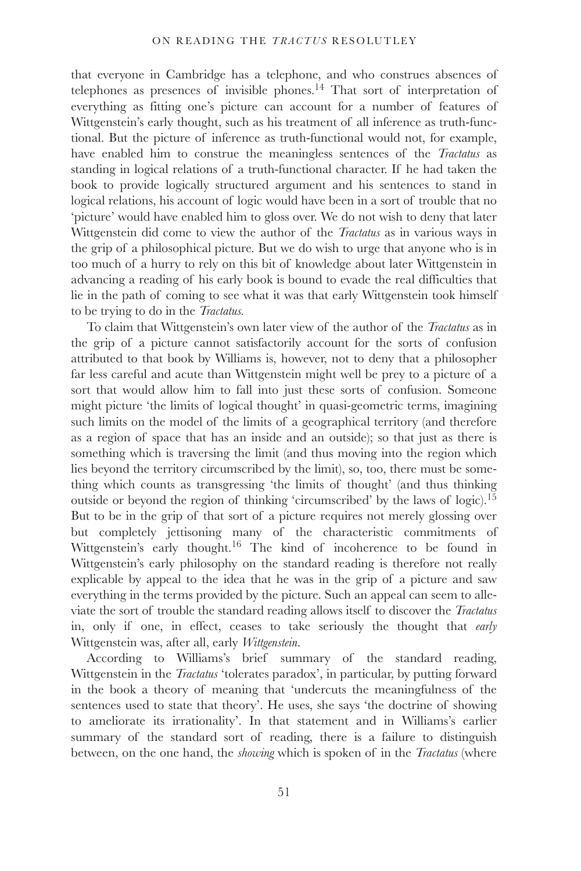that everyone in Cambridge has a telephone, and who construes absences of telephones as presences of invisible phones.<sup>14</sup> That sort of interpretation of everything as fitting one's picture can account for a number of features of Wittgenstein's early thought, such as his treatment of all inference as truth-functional. But the picture of inference as truth-functional would not, for example, have enabled him to construe the meaningless sentences of the *Tractatus* as standing in logical relations of a truth-functional character. If he had taken the book to provide logically structured argument and his sentences to stand in logical relations, his account of logic would have been in a sort of trouble that no 'picture' would have enabled him to gloss over. We do not wish to deny that later Wittgenstein did come to view the author of the *Tractatus* as in various ways in the grip of a philosophical picture. But we do wish to urge that anyone who is in too much of a hurry to rely on this bit of knowledge about later Wittgenstein in advancing a reading of his early book is bound to evade the real difficulties that lie in the path of coming to see what it was that early Wittgenstein took himself to be trying to do in the *Tractatus.*

To claim that Wittgenstein's own later view of the author of the *Tractatus* as in the grip of a picture cannot satisfactorily account for the sorts of confusion attributed to that book by Williams is, however, not to deny that a philosopher far less careful and acute than Wittgenstein might well be prey to a picture of a sort that would allow him to fall into just these sorts of confusion. Someone might picture 'the limits of logical thought' in quasi-geometric terms, imagining such limits on the model of the limits of a geographical territory (and therefore as a region of space that has an inside and an outside); so that just as there is something which is traversing the limit (and thus moving into the region which lies beyond the territory circumscribed by the limit), so, too, there must be something which counts as transgressing 'the limits of thought' (and thus thinking outside or beyond the region of thinking 'circumscribed' by the laws of logic).<sup>15</sup> But to be in the grip of that sort of a picture requires not merely glossing over but completely jettisoning many of the characteristic commitments of Wittgenstein's early thought.<sup>16</sup> The kind of incoherence to be found in Wittgenstein's early philosophy on the standard reading is therefore not really explicable by appeal to the idea that he was in the grip of a picture and saw everything in the terms provided by the picture. Such an appeal can seem to alleviate the sort of trouble the standard reading allows itself to discover the *Tractatus* in, only if one, in effect, ceases to take seriously the thought that *early* Wittgenstein was, after all, early *Wittgenstein*.

According to Williams's brief summary of the standard reading, Wittgenstein in the *Tractatus* 'tolerates paradox', in particular, by putting forward in the book a theory of meaning that 'undercuts the meaningfulness of the sentences used to state that theory'. He uses, she says 'the doctrine of showing to ameliorate its irrationality'. In that statement and in Williams's earlier summary of the standard sort of reading, there is a failure to distinguish between, on the one hand, the *showing* which is spoken of in the *Tractatus* (where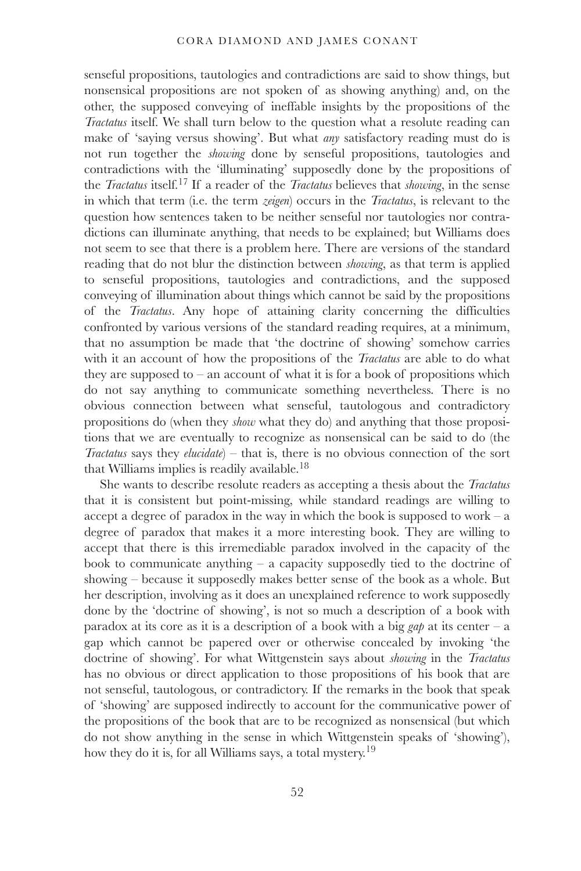senseful propositions, tautologies and contradictions are said to show things, but nonsensical propositions are not spoken of as showing anything) and, on the other, the supposed conveying of ineffable insights by the propositions of the *Tractatus* itself. We shall turn below to the question what a resolute reading can make of 'saying versus showing'. But what *any* satisfactory reading must do is not run together the *showing* done by senseful propositions, tautologies and contradictions with the 'illuminating' supposedly done by the propositions of the *Tractatus* itself.<sup>17</sup> If a reader of the *Tractatus* believes that *showing*, in the sense in which that term (i.e. the term *zeigen*) occurs in the *Tractatus*, is relevant to the question how sentences taken to be neither senseful nor tautologies nor contradictions can illuminate anything, that needs to be explained; but Williams does not seem to see that there is a problem here. There are versions of the standard reading that do not blur the distinction between *showing*, as that term is applied to senseful propositions, tautologies and contradictions, and the supposed conveying of illumination about things which cannot be said by the propositions of the *Tractatus*. Any hope of attaining clarity concerning the difficulties confronted by various versions of the standard reading requires, at a minimum, that no assumption be made that 'the doctrine of showing' somehow carries with it an account of how the propositions of the *Tractatus* are able to do what they are supposed to  $-$  an account of what it is for a book of propositions which do not say anything to communicate something nevertheless. There is no obvious connection between what senseful, tautologous and contradictory propositions do (when they *show* what they do) and anything that those propositions that we are eventually to recognize as nonsensical can be said to do (the *Tractatus* says they *elucidate*) – that is, there is no obvious connection of the sort that Williams implies is readily available.<sup>18</sup>

She wants to describe resolute readers as accepting a thesis about the *Tractatus* that it is consistent but point-missing, while standard readings are willing to accept a degree of paradox in the way in which the book is supposed to work  $- a$ degree of paradox that makes it a more interesting book. They are willing to accept that there is this irremediable paradox involved in the capacity of the book to communicate anything – a capacity supposedly tied to the doctrine of showing – because it supposedly makes better sense of the book as a whole. But her description, involving as it does an unexplained reference to work supposedly done by the 'doctrine of showing', is not so much a description of a book with paradox at its core as it is a description of a book with a big  $\frac{g}{g}$  at its center – a gap which cannot be papered over or otherwise concealed by invoking 'the doctrine of showing'. For what Wittgenstein says about *showing* in the *Tractatus* has no obvious or direct application to those propositions of his book that are not senseful, tautologous, or contradictory. If the remarks in the book that speak of 'showing' are supposed indirectly to account for the communicative power of the propositions of the book that are to be recognized as nonsensical (but which do not show anything in the sense in which Wittgenstein speaks of 'showing'), how they do it is, for all Williams says, a total mystery.<sup>19</sup>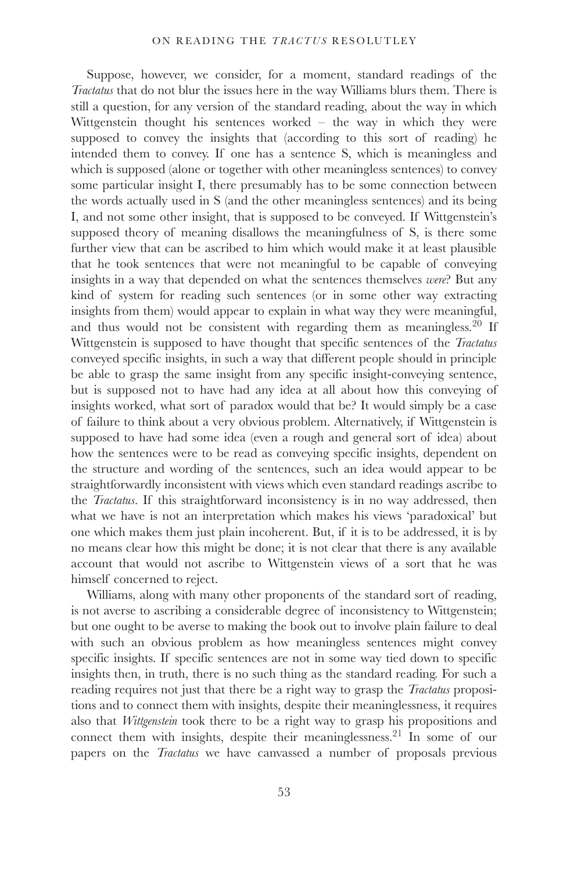Suppose, however, we consider, for a moment, standard readings of the *Tractatus* that do not blur the issues here in the way Williams blurs them. There is still a question, for any version of the standard reading, about the way in which Wittgenstein thought his sentences worked – the way in which they were supposed to convey the insights that (according to this sort of reading) he intended them to convey. If one has a sentence S, which is meaningless and which is supposed (alone or together with other meaningless sentences) to convey some particular insight I, there presumably has to be some connection between the words actually used in S (and the other meaningless sentences) and its being I, and not some other insight, that is supposed to be conveyed. If Wittgenstein's supposed theory of meaning disallows the meaningfulness of S, is there some further view that can be ascribed to him which would make it at least plausible that he took sentences that were not meaningful to be capable of conveying insights in a way that depended on what the sentences themselves *were*? But any kind of system for reading such sentences (or in some other way extracting insights from them) would appear to explain in what way they were meaningful, and thus would not be consistent with regarding them as meaningless.<sup>20</sup> If Wittgenstein is supposed to have thought that specific sentences of the *Tractatus* conveyed specific insights, in such a way that different people should in principle be able to grasp the same insight from any specific insight-conveying sentence, but is supposed not to have had any idea at all about how this conveying of insights worked, what sort of paradox would that be? It would simply be a case of failure to think about a very obvious problem. Alternatively, if Wittgenstein is supposed to have had some idea (even a rough and general sort of idea) about how the sentences were to be read as conveying specific insights, dependent on the structure and wording of the sentences, such an idea would appear to be straightforwardly inconsistent with views which even standard readings ascribe to the *Tractatus*. If this straightforward inconsistency is in no way addressed, then what we have is not an interpretation which makes his views 'paradoxical' but one which makes them just plain incoherent. But, if it is to be addressed, it is by no means clear how this might be done; it is not clear that there is any available account that would not ascribe to Wittgenstein views of a sort that he was himself concerned to reject.

Williams, along with many other proponents of the standard sort of reading, is not averse to ascribing a considerable degree of inconsistency to Wittgenstein; but one ought to be averse to making the book out to involve plain failure to deal with such an obvious problem as how meaningless sentences might convey specific insights. If specific sentences are not in some way tied down to specific insights then, in truth, there is no such thing as the standard reading. For such a reading requires not just that there be a right way to grasp the *Tractatus* propositions and to connect them with insights, despite their meaninglessness, it requires also that *Wittgenstein* took there to be a right way to grasp his propositions and connect them with insights, despite their meaninglessness.<sup>21</sup> In some of our papers on the *Tractatus* we have canvassed a number of proposals previous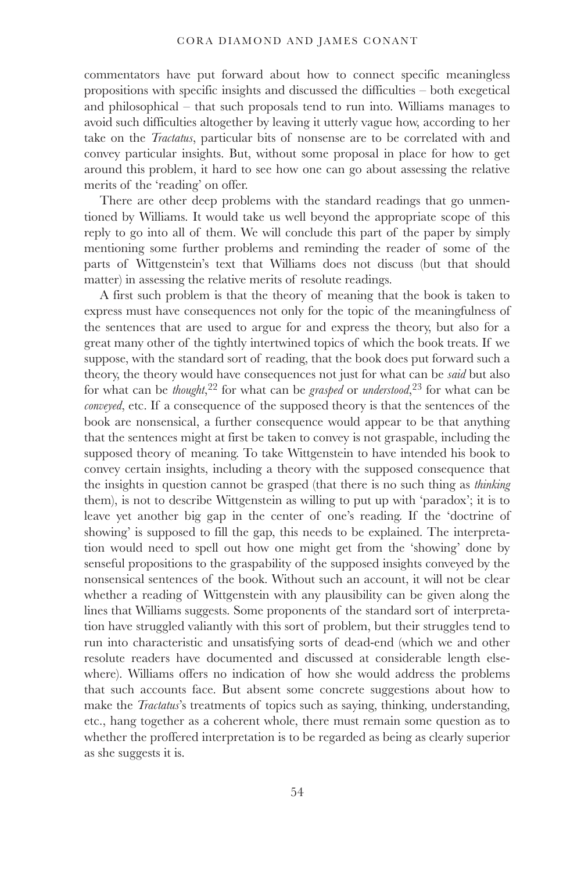commentators have put forward about how to connect specific meaningless propositions with specific insights and discussed the difficulties – both exegetical and philosophical – that such proposals tend to run into. Williams manages to avoid such difficulties altogether by leaving it utterly vague how, according to her take on the *Tractatus*, particular bits of nonsense are to be correlated with and convey particular insights. But, without some proposal in place for how to get around this problem, it hard to see how one can go about assessing the relative merits of the 'reading' on offer.

There are other deep problems with the standard readings that go unmentioned by Williams. It would take us well beyond the appropriate scope of this reply to go into all of them. We will conclude this part of the paper by simply mentioning some further problems and reminding the reader of some of the parts of Wittgenstein's text that Williams does not discuss (but that should matter) in assessing the relative merits of resolute readings.

A first such problem is that the theory of meaning that the book is taken to express must have consequences not only for the topic of the meaningfulness of the sentences that are used to argue for and express the theory, but also for a great many other of the tightly intertwined topics of which the book treats. If we suppose, with the standard sort of reading, that the book does put forward such a theory, the theory would have consequences not just for what can be *said* but also for what can be *thought*, <sup>22</sup> for what can be *grasped* or *understood*, <sup>23</sup> for what can be *conveyed*, etc. If a consequence of the supposed theory is that the sentences of the book are nonsensical, a further consequence would appear to be that anything that the sentences might at first be taken to convey is not graspable, including the supposed theory of meaning. To take Wittgenstein to have intended his book to convey certain insights, including a theory with the supposed consequence that the insights in question cannot be grasped (that there is no such thing as *thinking* them), is not to describe Wittgenstein as willing to put up with 'paradox'; it is to leave yet another big gap in the center of one's reading. If the 'doctrine of showing' is supposed to fill the gap, this needs to be explained. The interpretation would need to spell out how one might get from the 'showing' done by senseful propositions to the graspability of the supposed insights conveyed by the nonsensical sentences of the book. Without such an account, it will not be clear whether a reading of Wittgenstein with any plausibility can be given along the lines that Williams suggests. Some proponents of the standard sort of interpretation have struggled valiantly with this sort of problem, but their struggles tend to run into characteristic and unsatisfying sorts of dead-end (which we and other resolute readers have documented and discussed at considerable length elsewhere). Williams offers no indication of how she would address the problems that such accounts face. But absent some concrete suggestions about how to make the *Tractatus*'s treatments of topics such as saying, thinking, understanding, etc., hang together as a coherent whole, there must remain some question as to whether the proffered interpretation is to be regarded as being as clearly superior as she suggests it is.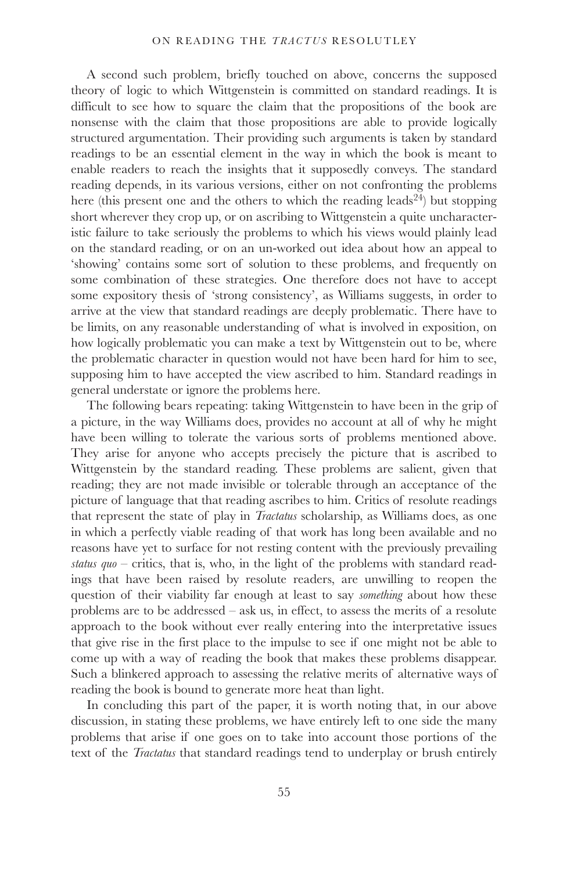A second such problem, briefly touched on above, concerns the supposed theory of logic to which Wittgenstein is committed on standard readings. It is difficult to see how to square the claim that the propositions of the book are nonsense with the claim that those propositions are able to provide logically structured argumentation. Their providing such arguments is taken by standard readings to be an essential element in the way in which the book is meant to enable readers to reach the insights that it supposedly conveys. The standard reading depends, in its various versions, either on not confronting the problems here (this present one and the others to which the reading leads<sup>24</sup>) but stopping short wherever they crop up, or on ascribing to Wittgenstein a quite uncharacteristic failure to take seriously the problems to which his views would plainly lead on the standard reading, or on an un-worked out idea about how an appeal to 'showing' contains some sort of solution to these problems, and frequently on some combination of these strategies. One therefore does not have to accept some expository thesis of 'strong consistency', as Williams suggests, in order to arrive at the view that standard readings are deeply problematic. There have to be limits, on any reasonable understanding of what is involved in exposition, on how logically problematic you can make a text by Wittgenstein out to be, where the problematic character in question would not have been hard for him to see, supposing him to have accepted the view ascribed to him. Standard readings in general understate or ignore the problems here.

The following bears repeating: taking Wittgenstein to have been in the grip of a picture, in the way Williams does, provides no account at all of why he might have been willing to tolerate the various sorts of problems mentioned above. They arise for anyone who accepts precisely the picture that is ascribed to Wittgenstein by the standard reading. These problems are salient, given that reading; they are not made invisible or tolerable through an acceptance of the picture of language that that reading ascribes to him. Critics of resolute readings that represent the state of play in *Tractatus* scholarship, as Williams does, as one in which a perfectly viable reading of that work has long been available and no reasons have yet to surface for not resting content with the previously prevailing *status quo* – critics, that is, who, in the light of the problems with standard readings that have been raised by resolute readers, are unwilling to reopen the question of their viability far enough at least to say *something* about how these problems are to be addressed – ask us, in effect, to assess the merits of a resolute approach to the book without ever really entering into the interpretative issues that give rise in the first place to the impulse to see if one might not be able to come up with a way of reading the book that makes these problems disappear. Such a blinkered approach to assessing the relative merits of alternative ways of reading the book is bound to generate more heat than light.

In concluding this part of the paper, it is worth noting that, in our above discussion, in stating these problems, we have entirely left to one side the many problems that arise if one goes on to take into account those portions of the text of the *Tractatus* that standard readings tend to underplay or brush entirely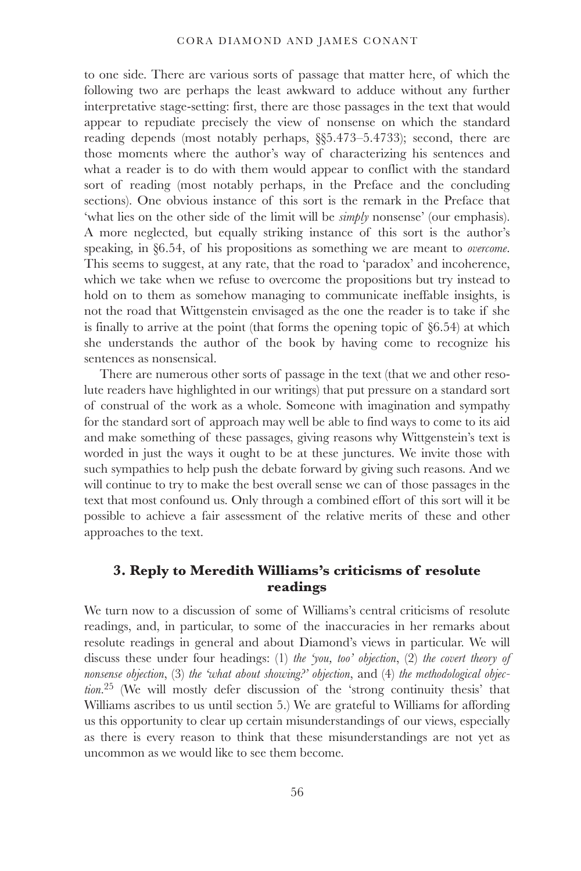to one side. There are various sorts of passage that matter here, of which the following two are perhaps the least awkward to adduce without any further interpretative stage-setting: first, there are those passages in the text that would appear to repudiate precisely the view of nonsense on which the standard reading depends (most notably perhaps, §§5.473–5.4733); second, there are those moments where the author's way of characterizing his sentences and what a reader is to do with them would appear to conflict with the standard sort of reading (most notably perhaps, in the Preface and the concluding sections). One obvious instance of this sort is the remark in the Preface that 'what lies on the other side of the limit will be *simply* nonsense' (our emphasis). A more neglected, but equally striking instance of this sort is the author's speaking, in §6.54, of his propositions as something we are meant to *overcome*. This seems to suggest, at any rate, that the road to 'paradox' and incoherence, which we take when we refuse to overcome the propositions but try instead to hold on to them as somehow managing to communicate ineffable insights, is not the road that Wittgenstein envisaged as the one the reader is to take if she is finally to arrive at the point (that forms the opening topic of §6.54) at which she understands the author of the book by having come to recognize his sentences as nonsensical.

There are numerous other sorts of passage in the text (that we and other resolute readers have highlighted in our writings) that put pressure on a standard sort of construal of the work as a whole. Someone with imagination and sympathy for the standard sort of approach may well be able to find ways to come to its aid and make something of these passages, giving reasons why Wittgenstein's text is worded in just the ways it ought to be at these junctures. We invite those with such sympathies to help push the debate forward by giving such reasons. And we will continue to try to make the best overall sense we can of those passages in the text that most confound us. Only through a combined effort of this sort will it be possible to achieve a fair assessment of the relative merits of these and other approaches to the text.

# **3. Reply to Meredith Williams's criticisms of resolute readings**

We turn now to a discussion of some of Williams's central criticisms of resolute readings, and, in particular, to some of the inaccuracies in her remarks about resolute readings in general and about Diamond's views in particular. We will discuss these under four headings: (1) *the 'you, too' objection*, (2) *the covert theory of nonsense objection*, (3) *the 'what about showing?' objection*, and (4) *the methodological objection.*<sup>25</sup> (We will mostly defer discussion of the 'strong continuity thesis' that Williams ascribes to us until section 5.) We are grateful to Williams for affording us this opportunity to clear up certain misunderstandings of our views, especially as there is every reason to think that these misunderstandings are not yet as uncommon as we would like to see them become.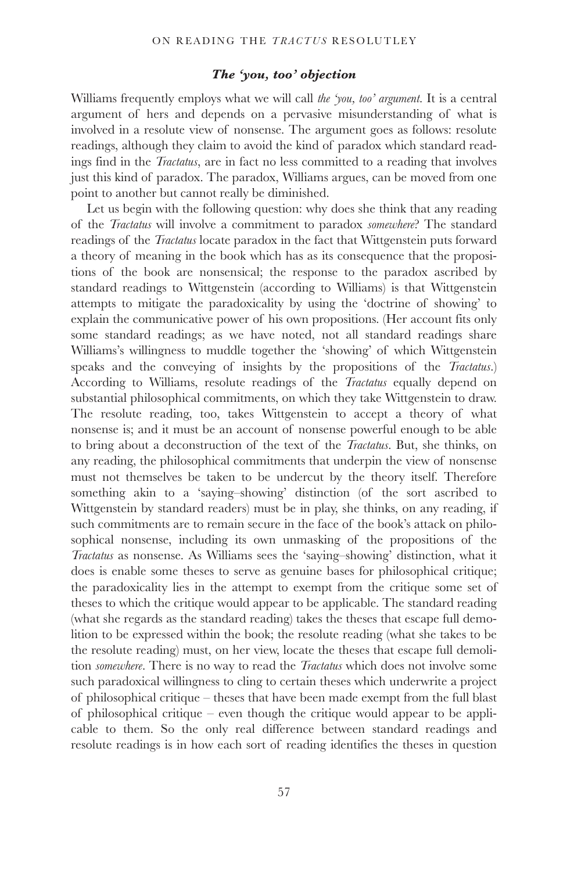## *The 'you, too' objection*

Williams frequently employs what we will call *the 'you, too' argument*. It is a central argument of hers and depends on a pervasive misunderstanding of what is involved in a resolute view of nonsense. The argument goes as follows: resolute readings, although they claim to avoid the kind of paradox which standard readings find in the *Tractatus*, are in fact no less committed to a reading that involves just this kind of paradox. The paradox, Williams argues, can be moved from one point to another but cannot really be diminished.

Let us begin with the following question: why does she think that any reading of the *Tractatus* will involve a commitment to paradox *somewhere*? The standard readings of the *Tractatus* locate paradox in the fact that Wittgenstein puts forward a theory of meaning in the book which has as its consequence that the propositions of the book are nonsensical; the response to the paradox ascribed by standard readings to Wittgenstein (according to Williams) is that Wittgenstein attempts to mitigate the paradoxicality by using the 'doctrine of showing' to explain the communicative power of his own propositions. (Her account fits only some standard readings; as we have noted, not all standard readings share Williams's willingness to muddle together the 'showing' of which Wittgenstein speaks and the conveying of insights by the propositions of the *Tractatus*.) According to Williams, resolute readings of the *Tractatus* equally depend on substantial philosophical commitments, on which they take Wittgenstein to draw. The resolute reading, too, takes Wittgenstein to accept a theory of what nonsense is; and it must be an account of nonsense powerful enough to be able to bring about a deconstruction of the text of the *Tractatus*. But, she thinks, on any reading, the philosophical commitments that underpin the view of nonsense must not themselves be taken to be undercut by the theory itself. Therefore something akin to a 'saying–showing' distinction (of the sort ascribed to Wittgenstein by standard readers) must be in play, she thinks, on any reading, if such commitments are to remain secure in the face of the book's attack on philosophical nonsense, including its own unmasking of the propositions of the *Tractatus* as nonsense. As Williams sees the 'saying–showing' distinction, what it does is enable some theses to serve as genuine bases for philosophical critique; the paradoxicality lies in the attempt to exempt from the critique some set of theses to which the critique would appear to be applicable. The standard reading (what she regards as the standard reading) takes the theses that escape full demolition to be expressed within the book; the resolute reading (what she takes to be the resolute reading) must, on her view, locate the theses that escape full demolition *somewhere*. There is no way to read the *Tractatus* which does not involve some such paradoxical willingness to cling to certain theses which underwrite a project of philosophical critique – theses that have been made exempt from the full blast of philosophical critique – even though the critique would appear to be applicable to them. So the only real difference between standard readings and resolute readings is in how each sort of reading identifies the theses in question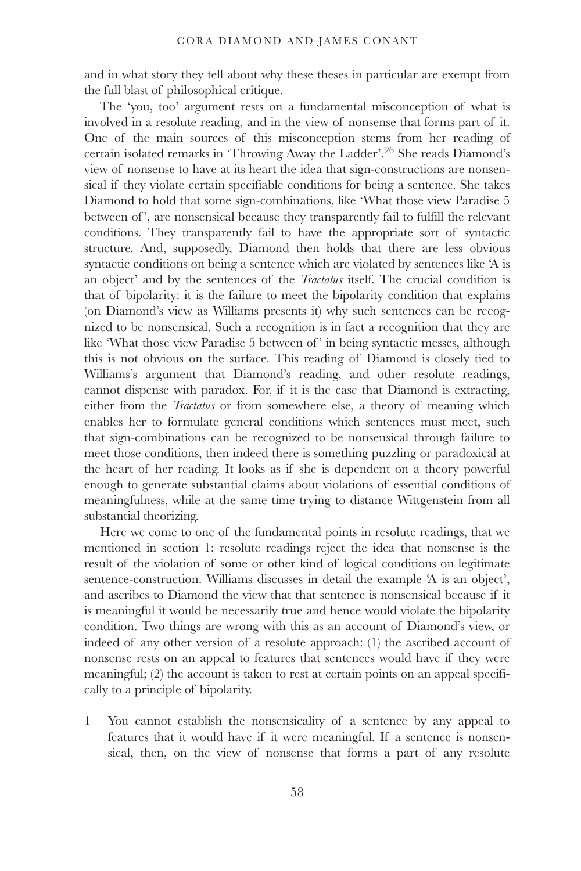and in what story they tell about why these theses in particular are exempt from the full blast of philosophical critique.

The 'you, too' argument rests on a fundamental misconception of what is involved in a resolute reading, and in the view of nonsense that forms part of it. One of the main sources of this misconception stems from her reading of certain isolated remarks in 'Throwing Away the Ladder'.<sup>26</sup> She reads Diamond's view of nonsense to have at its heart the idea that sign-constructions are nonsensical if they violate certain specifiable conditions for being a sentence. She takes Diamond to hold that some sign-combinations, like 'What those view Paradise 5 between of ', are nonsensical because they transparently fail to fulfill the relevant conditions. They transparently fail to have the appropriate sort of syntactic structure. And, supposedly, Diamond then holds that there are less obvious syntactic conditions on being a sentence which are violated by sentences like 'A is an object' and by the sentences of the *Tractatus* itself. The crucial condition is that of bipolarity: it is the failure to meet the bipolarity condition that explains (on Diamond's view as Williams presents it) why such sentences can be recognized to be nonsensical. Such a recognition is in fact a recognition that they are like 'What those view Paradise 5 between of ' in being syntactic messes, although this is not obvious on the surface. This reading of Diamond is closely tied to Williams's argument that Diamond's reading, and other resolute readings, cannot dispense with paradox. For, if it is the case that Diamond is extracting, either from the *Tractatus* or from somewhere else, a theory of meaning which enables her to formulate general conditions which sentences must meet, such that sign-combinations can be recognized to be nonsensical through failure to meet those conditions, then indeed there is something puzzling or paradoxical at the heart of her reading. It looks as if she is dependent on a theory powerful enough to generate substantial claims about violations of essential conditions of meaningfulness, while at the same time trying to distance Wittgenstein from all substantial theorizing.

Here we come to one of the fundamental points in resolute readings, that we mentioned in section 1: resolute readings reject the idea that nonsense is the result of the violation of some or other kind of logical conditions on legitimate sentence-construction. Williams discusses in detail the example 'A is an object', and ascribes to Diamond the view that that sentence is nonsensical because if it is meaningful it would be necessarily true and hence would violate the bipolarity condition. Two things are wrong with this as an account of Diamond's view, or indeed of any other version of a resolute approach: (1) the ascribed account of nonsense rests on an appeal to features that sentences would have if they were meaningful; (2) the account is taken to rest at certain points on an appeal specifically to a principle of bipolarity.

1 You cannot establish the nonsensicality of a sentence by any appeal to features that it would have if it were meaningful. If a sentence is nonsensical, then, on the view of nonsense that forms a part of any resolute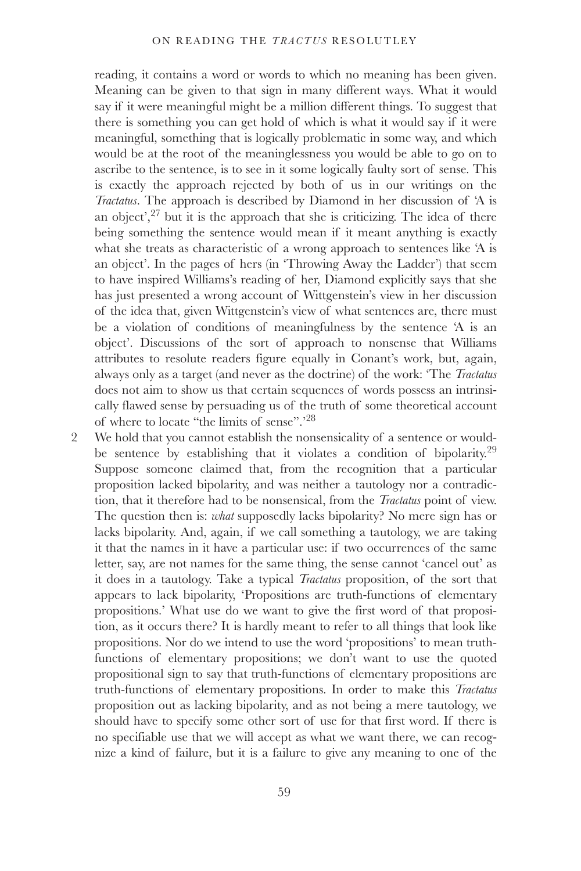reading, it contains a word or words to which no meaning has been given. Meaning can be given to that sign in many different ways. What it would say if it were meaningful might be a million different things. To suggest that there is something you can get hold of which is what it would say if it were meaningful, something that is logically problematic in some way, and which would be at the root of the meaninglessness you would be able to go on to ascribe to the sentence, is to see in it some logically faulty sort of sense. This is exactly the approach rejected by both of us in our writings on the *Tractatus*. The approach is described by Diamond in her discussion of 'A is an object', $27$  but it is the approach that she is criticizing. The idea of there being something the sentence would mean if it meant anything is exactly what she treats as characteristic of a wrong approach to sentences like 'A is an object'. In the pages of hers (in 'Throwing Away the Ladder') that seem to have inspired Williams's reading of her, Diamond explicitly says that she has just presented a wrong account of Wittgenstein's view in her discussion of the idea that, given Wittgenstein's view of what sentences are, there must be a violation of conditions of meaningfulness by the sentence 'A is an object'. Discussions of the sort of approach to nonsense that Williams attributes to resolute readers figure equally in Conant's work, but, again, always only as a target (and never as the doctrine) of the work: 'The *Tractatus* does not aim to show us that certain sequences of words possess an intrinsically flawed sense by persuading us of the truth of some theoretical account of where to locate "the limits of sense".'<sup>28</sup>

2 We hold that you cannot establish the nonsensicality of a sentence or wouldbe sentence by establishing that it violates a condition of bipolarity.<sup>29</sup> Suppose someone claimed that, from the recognition that a particular proposition lacked bipolarity, and was neither a tautology nor a contradiction, that it therefore had to be nonsensical, from the *Tractatus* point of view. The question then is: *what* supposedly lacks bipolarity? No mere sign has or lacks bipolarity. And, again, if we call something a tautology, we are taking it that the names in it have a particular use: if two occurrences of the same letter, say, are not names for the same thing, the sense cannot 'cancel out' as it does in a tautology. Take a typical *Tractatus* proposition, of the sort that appears to lack bipolarity, 'Propositions are truth-functions of elementary propositions.' What use do we want to give the first word of that proposition, as it occurs there? It is hardly meant to refer to all things that look like propositions. Nor do we intend to use the word 'propositions' to mean truthfunctions of elementary propositions; we don't want to use the quoted propositional sign to say that truth-functions of elementary propositions are truth-functions of elementary propositions. In order to make this *Tractatus* proposition out as lacking bipolarity, and as not being a mere tautology, we should have to specify some other sort of use for that first word. If there is no specifiable use that we will accept as what we want there, we can recognize a kind of failure, but it is a failure to give any meaning to one of the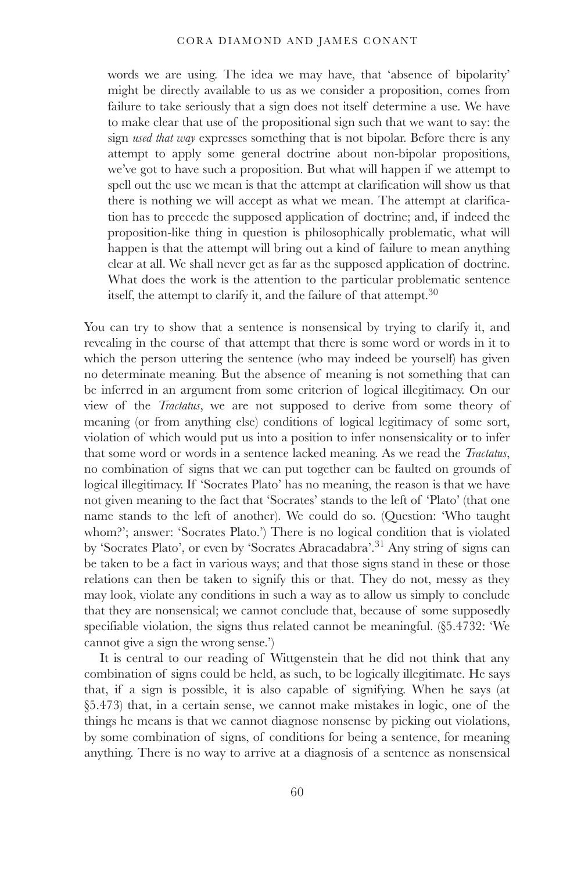words we are using. The idea we may have, that 'absence of bipolarity' might be directly available to us as we consider a proposition, comes from failure to take seriously that a sign does not itself determine a use. We have to make clear that use of the propositional sign such that we want to say: the sign *used that way* expresses something that is not bipolar. Before there is any attempt to apply some general doctrine about non-bipolar propositions, we've got to have such a proposition. But what will happen if we attempt to spell out the use we mean is that the attempt at clarification will show us that there is nothing we will accept as what we mean. The attempt at clarification has to precede the supposed application of doctrine; and, if indeed the proposition-like thing in question is philosophically problematic, what will happen is that the attempt will bring out a kind of failure to mean anything clear at all. We shall never get as far as the supposed application of doctrine. What does the work is the attention to the particular problematic sentence itself, the attempt to clarify it, and the failure of that attempt.  $30$ 

You can try to show that a sentence is nonsensical by trying to clarify it, and revealing in the course of that attempt that there is some word or words in it to which the person uttering the sentence (who may indeed be yourself) has given no determinate meaning. But the absence of meaning is not something that can be inferred in an argument from some criterion of logical illegitimacy. On our view of the *Tractatus*, we are not supposed to derive from some theory of meaning (or from anything else) conditions of logical legitimacy of some sort, violation of which would put us into a position to infer nonsensicality or to infer that some word or words in a sentence lacked meaning. As we read the *Tractatus*, no combination of signs that we can put together can be faulted on grounds of logical illegitimacy. If 'Socrates Plato' has no meaning, the reason is that we have not given meaning to the fact that 'Socrates' stands to the left of 'Plato' (that one name stands to the left of another). We could do so. (Question: 'Who taught whom?'; answer: 'Socrates Plato.') There is no logical condition that is violated by 'Socrates Plato', or even by 'Socrates Abracadabra'.<sup>31</sup> Any string of signs can be taken to be a fact in various ways; and that those signs stand in these or those relations can then be taken to signify this or that. They do not, messy as they may look, violate any conditions in such a way as to allow us simply to conclude that they are nonsensical; we cannot conclude that, because of some supposedly specifiable violation, the signs thus related cannot be meaningful. (§5.4732: 'We cannot give a sign the wrong sense.')

It is central to our reading of Wittgenstein that he did not think that any combination of signs could be held, as such, to be logically illegitimate. He says that, if a sign is possible, it is also capable of signifying. When he says (at §5.473) that, in a certain sense, we cannot make mistakes in logic, one of the things he means is that we cannot diagnose nonsense by picking out violations, by some combination of signs, of conditions for being a sentence, for meaning anything. There is no way to arrive at a diagnosis of a sentence as nonsensical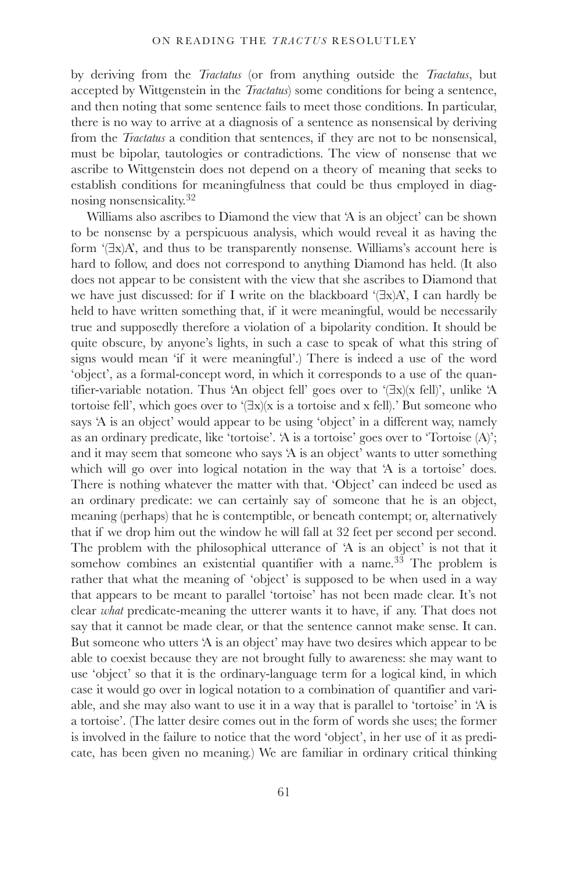by deriving from the *Tractatus* (or from anything outside the *Tractatus*, but accepted by Wittgenstein in the *Tractatus*) some conditions for being a sentence, and then noting that some sentence fails to meet those conditions. In particular, there is no way to arrive at a diagnosis of a sentence as nonsensical by deriving from the *Tractatus* a condition that sentences, if they are not to be nonsensical, must be bipolar, tautologies or contradictions. The view of nonsense that we ascribe to Wittgenstein does not depend on a theory of meaning that seeks to establish conditions for meaningfulness that could be thus employed in diagnosing nonsensicality.32

Williams also ascribes to Diamond the view that 'A is an object' can be shown to be nonsense by a perspicuous analysis, which would reveal it as having the form ' $(\exists x)A$ ', and thus to be transparently nonsense. Williams's account here is hard to follow, and does not correspond to anything Diamond has held. (It also does not appear to be consistent with the view that she ascribes to Diamond that we have just discussed: for if I write on the blackboard '(∃x)A', I can hardly be held to have written something that, if it were meaningful, would be necessarily true and supposedly therefore a violation of a bipolarity condition. It should be quite obscure, by anyone's lights, in such a case to speak of what this string of signs would mean 'if it were meaningful'.) There is indeed a use of the word 'object', as a formal-concept word, in which it corresponds to a use of the quantifier-variable notation. Thus 'An object fell' goes over to ' $(\exists x)(x \in \text{full})$ ', unlike 'A tortoise fell', which goes over to '(∃x)(x is a tortoise and x fell).' But someone who says 'A is an object' would appear to be using 'object' in a different way, namely as an ordinary predicate, like 'tortoise'. 'A is a tortoise' goes over to 'Tortoise (A)'; and it may seem that someone who says 'A is an object' wants to utter something which will go over into logical notation in the way that 'A is a tortoise' does. There is nothing whatever the matter with that. 'Object' can indeed be used as an ordinary predicate: we can certainly say of someone that he is an object, meaning (perhaps) that he is contemptible, or beneath contempt; or, alternatively that if we drop him out the window he will fall at 32 feet per second per second. The problem with the philosophical utterance of 'A is an object' is not that it somehow combines an existential quantifier with a name.<sup>33</sup> The problem is rather that what the meaning of 'object' is supposed to be when used in a way that appears to be meant to parallel 'tortoise' has not been made clear. It's not clear *what* predicate-meaning the utterer wants it to have, if any. That does not say that it cannot be made clear, or that the sentence cannot make sense. It can. But someone who utters 'A is an object' may have two desires which appear to be able to coexist because they are not brought fully to awareness: she may want to use 'object' so that it is the ordinary-language term for a logical kind, in which case it would go over in logical notation to a combination of quantifier and variable, and she may also want to use it in a way that is parallel to 'tortoise' in 'A is a tortoise'. (The latter desire comes out in the form of words she uses; the former is involved in the failure to notice that the word 'object', in her use of it as predicate, has been given no meaning.) We are familiar in ordinary critical thinking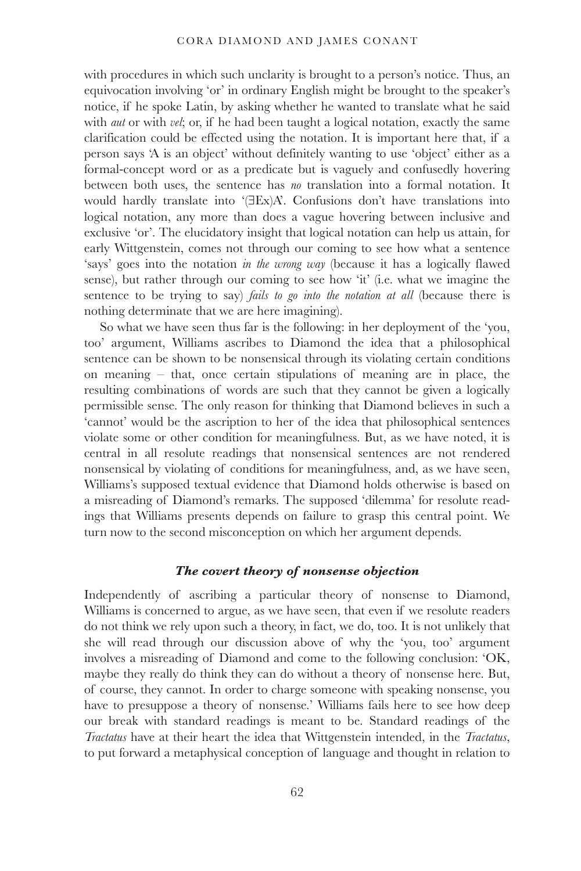with procedures in which such unclarity is brought to a person's notice. Thus, an equivocation involving 'or' in ordinary English might be brought to the speaker's notice, if he spoke Latin, by asking whether he wanted to translate what he said with *aut* or with *vel*; or, if he had been taught a logical notation, exactly the same clarification could be effected using the notation. It is important here that, if a person says 'A is an object' without definitely wanting to use 'object' either as a formal-concept word or as a predicate but is vaguely and confusedly hovering between both uses, the sentence has *no* translation into a formal notation. It would hardly translate into ' $\langle \exists E x \rangle A$ '. Confusions don't have translations into logical notation, any more than does a vague hovering between inclusive and exclusive 'or'. The elucidatory insight that logical notation can help us attain, for early Wittgenstein, comes not through our coming to see how what a sentence 'says' goes into the notation *in the wrong way* (because it has a logically flawed sense), but rather through our coming to see how 'it' (i.e. what we imagine the sentence to be trying to say) *fails to go into the notation at all* (because there is nothing determinate that we are here imagining).

So what we have seen thus far is the following: in her deployment of the 'you, too' argument, Williams ascribes to Diamond the idea that a philosophical sentence can be shown to be nonsensical through its violating certain conditions on meaning – that, once certain stipulations of meaning are in place, the resulting combinations of words are such that they cannot be given a logically permissible sense. The only reason for thinking that Diamond believes in such a 'cannot' would be the ascription to her of the idea that philosophical sentences violate some or other condition for meaningfulness. But, as we have noted, it is central in all resolute readings that nonsensical sentences are not rendered nonsensical by violating of conditions for meaningfulness, and, as we have seen, Williams's supposed textual evidence that Diamond holds otherwise is based on a misreading of Diamond's remarks. The supposed 'dilemma' for resolute readings that Williams presents depends on failure to grasp this central point. We turn now to the second misconception on which her argument depends.

#### *The covert theory of nonsense objection*

Independently of ascribing a particular theory of nonsense to Diamond, Williams is concerned to argue, as we have seen, that even if we resolute readers do not think we rely upon such a theory, in fact, we do, too. It is not unlikely that she will read through our discussion above of why the 'you, too' argument involves a misreading of Diamond and come to the following conclusion: 'OK, maybe they really do think they can do without a theory of nonsense here. But, of course, they cannot. In order to charge someone with speaking nonsense, you have to presuppose a theory of nonsense.' Williams fails here to see how deep our break with standard readings is meant to be. Standard readings of the *Tractatus* have at their heart the idea that Wittgenstein intended, in the *Tractatus*, to put forward a metaphysical conception of language and thought in relation to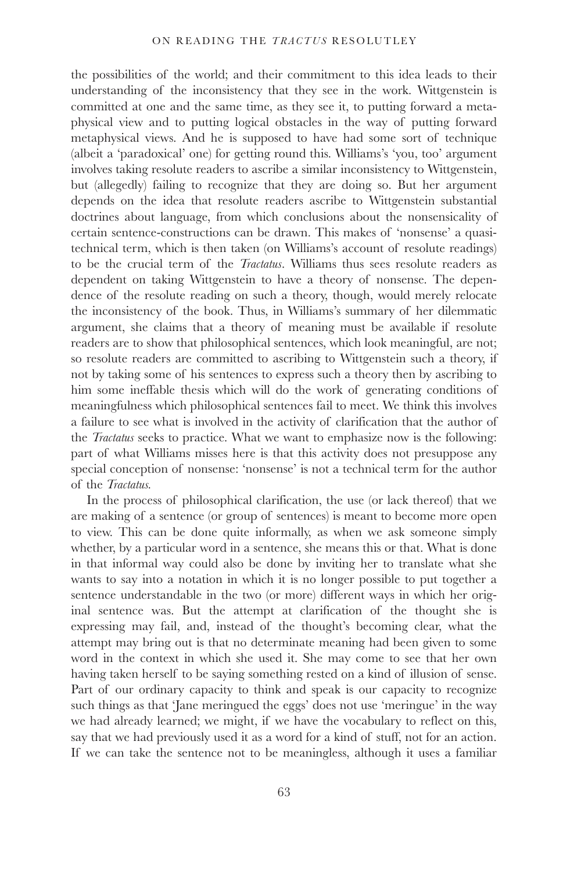the possibilities of the world; and their commitment to this idea leads to their understanding of the inconsistency that they see in the work. Wittgenstein is committed at one and the same time, as they see it, to putting forward a metaphysical view and to putting logical obstacles in the way of putting forward metaphysical views. And he is supposed to have had some sort of technique (albeit a 'paradoxical' one) for getting round this. Williams's 'you, too' argument involves taking resolute readers to ascribe a similar inconsistency to Wittgenstein, but (allegedly) failing to recognize that they are doing so. But her argument depends on the idea that resolute readers ascribe to Wittgenstein substantial doctrines about language, from which conclusions about the nonsensicality of certain sentence-constructions can be drawn. This makes of 'nonsense' a quasitechnical term, which is then taken (on Williams's account of resolute readings) to be the crucial term of the *Tractatus*. Williams thus sees resolute readers as dependent on taking Wittgenstein to have a theory of nonsense. The dependence of the resolute reading on such a theory, though, would merely relocate the inconsistency of the book. Thus, in Williams's summary of her dilemmatic argument, she claims that a theory of meaning must be available if resolute readers are to show that philosophical sentences, which look meaningful, are not; so resolute readers are committed to ascribing to Wittgenstein such a theory, if not by taking some of his sentences to express such a theory then by ascribing to him some ineffable thesis which will do the work of generating conditions of meaningfulness which philosophical sentences fail to meet. We think this involves a failure to see what is involved in the activity of clarification that the author of the *Tractatus* seeks to practice. What we want to emphasize now is the following: part of what Williams misses here is that this activity does not presuppose any special conception of nonsense: 'nonsense' is not a technical term for the author of the *Tractatus.*

In the process of philosophical clarification, the use (or lack thereof) that we are making of a sentence (or group of sentences) is meant to become more open to view. This can be done quite informally, as when we ask someone simply whether, by a particular word in a sentence, she means this or that. What is done in that informal way could also be done by inviting her to translate what she wants to say into a notation in which it is no longer possible to put together a sentence understandable in the two (or more) different ways in which her original sentence was. But the attempt at clarification of the thought she is expressing may fail, and, instead of the thought's becoming clear, what the attempt may bring out is that no determinate meaning had been given to some word in the context in which she used it. She may come to see that her own having taken herself to be saying something rested on a kind of illusion of sense. Part of our ordinary capacity to think and speak is our capacity to recognize such things as that 'Jane meringued the eggs' does not use 'meringue' in the way we had already learned; we might, if we have the vocabulary to reflect on this, say that we had previously used it as a word for a kind of stuff, not for an action. If we can take the sentence not to be meaningless, although it uses a familiar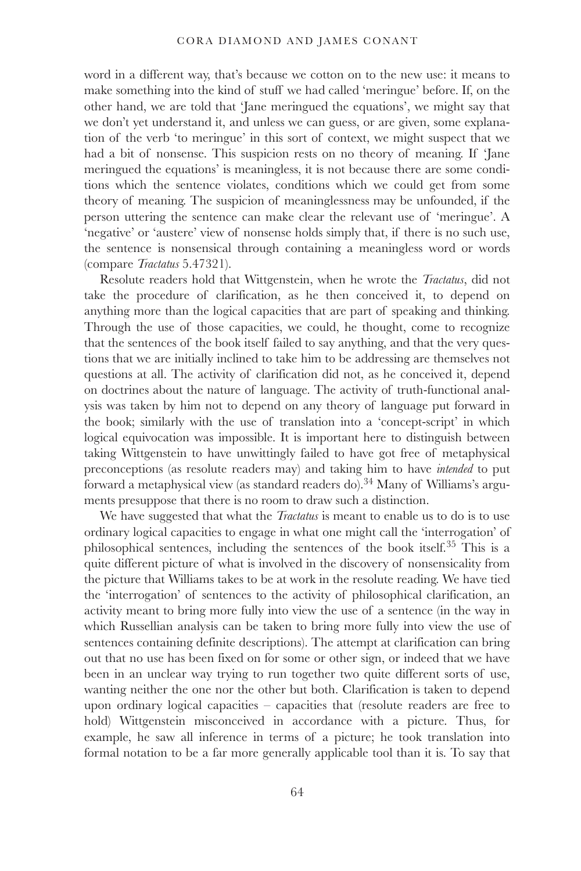word in a different way, that's because we cotton on to the new use: it means to make something into the kind of stuff we had called 'meringue' before. If, on the other hand, we are told that 'Jane meringued the equations', we might say that we don't yet understand it, and unless we can guess, or are given, some explanation of the verb 'to meringue' in this sort of context, we might suspect that we had a bit of nonsense. This suspicion rests on no theory of meaning. If 'Jane meringued the equations' is meaningless, it is not because there are some conditions which the sentence violates, conditions which we could get from some theory of meaning. The suspicion of meaninglessness may be unfounded, if the person uttering the sentence can make clear the relevant use of 'meringue'. A 'negative' or 'austere' view of nonsense holds simply that, if there is no such use, the sentence is nonsensical through containing a meaningless word or words (compare *Tractatus* 5.47321).

Resolute readers hold that Wittgenstein, when he wrote the *Tractatus*, did not take the procedure of clarification, as he then conceived it, to depend on anything more than the logical capacities that are part of speaking and thinking. Through the use of those capacities, we could, he thought, come to recognize that the sentences of the book itself failed to say anything, and that the very questions that we are initially inclined to take him to be addressing are themselves not questions at all. The activity of clarification did not, as he conceived it, depend on doctrines about the nature of language. The activity of truth-functional analysis was taken by him not to depend on any theory of language put forward in the book; similarly with the use of translation into a 'concept-script' in which logical equivocation was impossible. It is important here to distinguish between taking Wittgenstein to have unwittingly failed to have got free of metaphysical preconceptions (as resolute readers may) and taking him to have *intended* to put forward a metaphysical view (as standard readers do).<sup>34</sup> Many of Williams's arguments presuppose that there is no room to draw such a distinction.

We have suggested that what the *Tractatus* is meant to enable us to do is to use ordinary logical capacities to engage in what one might call the 'interrogation' of philosophical sentences, including the sentences of the book itself.<sup>35</sup> This is a quite different picture of what is involved in the discovery of nonsensicality from the picture that Williams takes to be at work in the resolute reading. We have tied the 'interrogation' of sentences to the activity of philosophical clarification, an activity meant to bring more fully into view the use of a sentence (in the way in which Russellian analysis can be taken to bring more fully into view the use of sentences containing definite descriptions). The attempt at clarification can bring out that no use has been fixed on for some or other sign, or indeed that we have been in an unclear way trying to run together two quite different sorts of use, wanting neither the one nor the other but both. Clarification is taken to depend upon ordinary logical capacities – capacities that (resolute readers are free to hold) Wittgenstein misconceived in accordance with a picture. Thus, for example, he saw all inference in terms of a picture; he took translation into formal notation to be a far more generally applicable tool than it is. To say that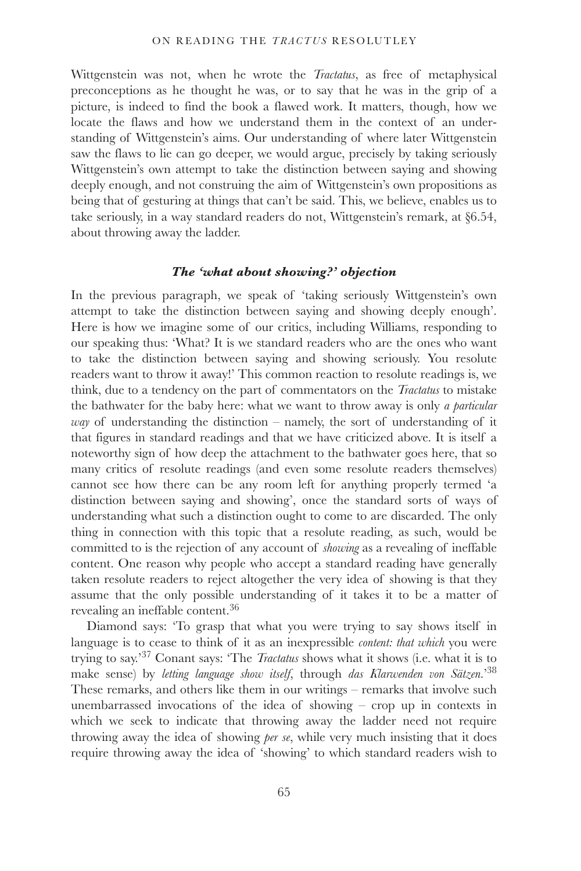Wittgenstein was not, when he wrote the *Tractatus*, as free of metaphysical preconceptions as he thought he was, or to say that he was in the grip of a picture, is indeed to find the book a flawed work. It matters, though, how we locate the flaws and how we understand them in the context of an understanding of Wittgenstein's aims. Our understanding of where later Wittgenstein saw the flaws to lie can go deeper, we would argue, precisely by taking seriously Wittgenstein's own attempt to take the distinction between saying and showing deeply enough, and not construing the aim of Wittgenstein's own propositions as being that of gesturing at things that can't be said. This, we believe, enables us to take seriously, in a way standard readers do not, Wittgenstein's remark, at §6.54, about throwing away the ladder.

#### *The 'what about showing?' objection*

In the previous paragraph, we speak of 'taking seriously Wittgenstein's own attempt to take the distinction between saying and showing deeply enough'. Here is how we imagine some of our critics, including Williams, responding to our speaking thus: 'What? It is we standard readers who are the ones who want to take the distinction between saying and showing seriously. You resolute readers want to throw it away!' This common reaction to resolute readings is, we think, due to a tendency on the part of commentators on the *Tractatus* to mistake the bathwater for the baby here: what we want to throw away is only *a particular way* of understanding the distinction – namely, the sort of understanding of it that figures in standard readings and that we have criticized above. It is itself a noteworthy sign of how deep the attachment to the bathwater goes here, that so many critics of resolute readings (and even some resolute readers themselves) cannot see how there can be any room left for anything properly termed 'a distinction between saying and showing', once the standard sorts of ways of understanding what such a distinction ought to come to are discarded. The only thing in connection with this topic that a resolute reading, as such, would be committed to is the rejection of any account of *showing* as a revealing of ineffable content. One reason why people who accept a standard reading have generally taken resolute readers to reject altogether the very idea of showing is that they assume that the only possible understanding of it takes it to be a matter of revealing an ineffable content.<sup>36</sup>

Diamond says: 'To grasp that what you were trying to say shows itself in language is to cease to think of it as an inexpressible *content: that which* you were trying to say.'<sup>37</sup> Conant says: 'The *Tractatus* shows what it shows (i.e. what it is to make sense) by *letting language show itself*, through *das Klarwenden von Sätzen*.'38 These remarks, and others like them in our writings – remarks that involve such unembarrassed invocations of the idea of showing – crop up in contexts in which we seek to indicate that throwing away the ladder need not require throwing away the idea of showing *per se*, while very much insisting that it does require throwing away the idea of 'showing' to which standard readers wish to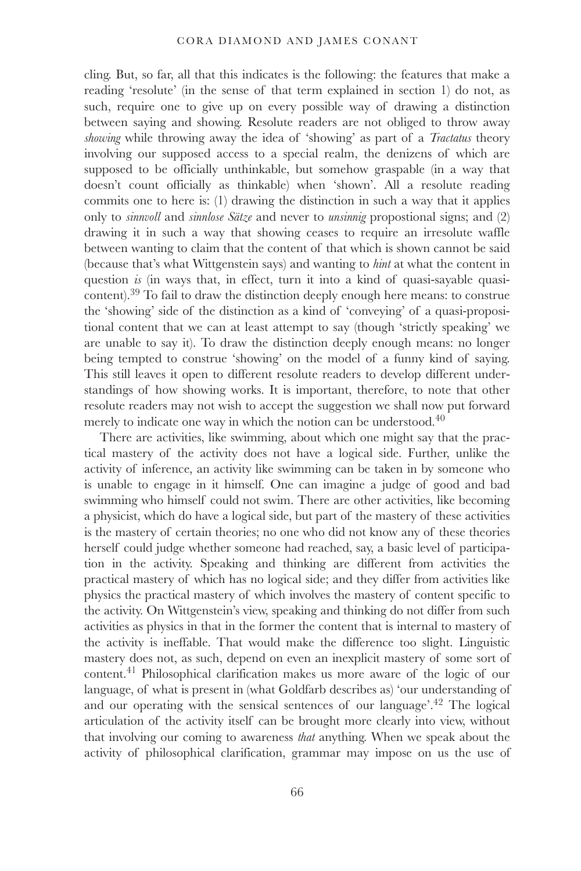cling. But, so far, all that this indicates is the following: the features that make a reading 'resolute' (in the sense of that term explained in section 1) do not, as such, require one to give up on every possible way of drawing a distinction between saying and showing. Resolute readers are not obliged to throw away *showing* while throwing away the idea of 'showing' as part of a *Tractatus* theory involving our supposed access to a special realm, the denizens of which are supposed to be officially unthinkable, but somehow graspable (in a way that doesn't count officially as thinkable) when 'shown'. All a resolute reading commits one to here is: (1) drawing the distinction in such a way that it applies only to *sinnvoll* and *sinnlose Sätze* and never to *unsinnig* propostional signs; and (2) drawing it in such a way that showing ceases to require an irresolute waffle between wanting to claim that the content of that which is shown cannot be said (because that's what Wittgenstein says) and wanting to *hint* at what the content in question *is* (in ways that, in effect, turn it into a kind of quasi-sayable quasicontent).<sup>39</sup> To fail to draw the distinction deeply enough here means: to construe the 'showing' side of the distinction as a kind of 'conveying' of a quasi-propositional content that we can at least attempt to say (though 'strictly speaking' we are unable to say it). To draw the distinction deeply enough means: no longer being tempted to construe 'showing' on the model of a funny kind of saying. This still leaves it open to different resolute readers to develop different understandings of how showing works. It is important, therefore, to note that other resolute readers may not wish to accept the suggestion we shall now put forward merely to indicate one way in which the notion can be understood.<sup>40</sup>

There are activities, like swimming, about which one might say that the practical mastery of the activity does not have a logical side. Further, unlike the activity of inference, an activity like swimming can be taken in by someone who is unable to engage in it himself. One can imagine a judge of good and bad swimming who himself could not swim. There are other activities, like becoming a physicist, which do have a logical side, but part of the mastery of these activities is the mastery of certain theories; no one who did not know any of these theories herself could judge whether someone had reached, say, a basic level of participation in the activity. Speaking and thinking are different from activities the practical mastery of which has no logical side; and they differ from activities like physics the practical mastery of which involves the mastery of content specific to the activity. On Wittgenstein's view, speaking and thinking do not differ from such activities as physics in that in the former the content that is internal to mastery of the activity is ineffable. That would make the difference too slight. Linguistic mastery does not, as such, depend on even an inexplicit mastery of some sort of content.41 Philosophical clarification makes us more aware of the logic of our language, of what is present in (what Goldfarb describes as) 'our understanding of and our operating with the sensical sentences of our language'.<sup>42</sup> The logical articulation of the activity itself can be brought more clearly into view, without that involving our coming to awareness *that* anything. When we speak about the activity of philosophical clarification, grammar may impose on us the use of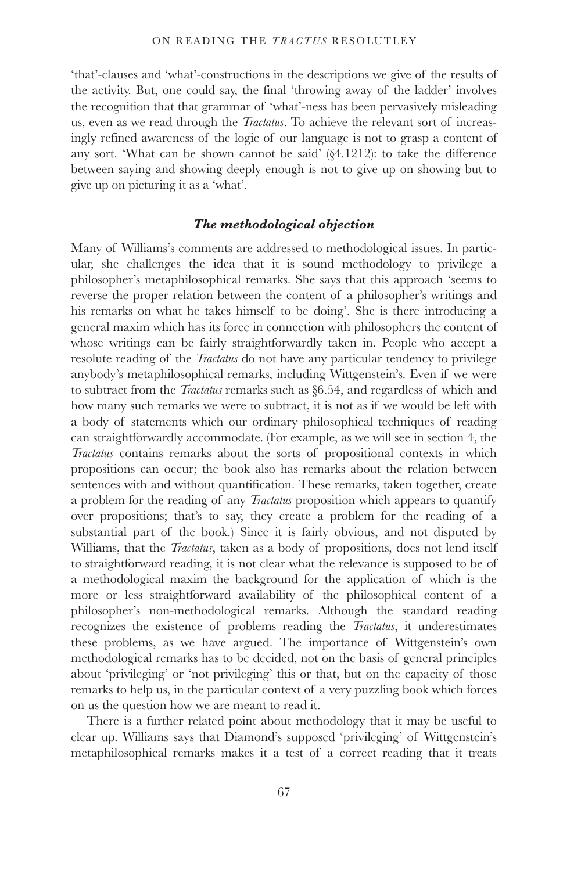'that'-clauses and 'what'-constructions in the descriptions we give of the results of the activity. But, one could say, the final 'throwing away of the ladder' involves the recognition that that grammar of 'what'-ness has been pervasively misleading us, even as we read through the *Tractatus*. To achieve the relevant sort of increasingly refined awareness of the logic of our language is not to grasp a content of any sort. 'What can be shown cannot be said'  $(\S4.1212)$ : to take the difference between saying and showing deeply enough is not to give up on showing but to give up on picturing it as a 'what'.

#### *The methodological objection*

Many of Williams's comments are addressed to methodological issues. In particular, she challenges the idea that it is sound methodology to privilege a philosopher's metaphilosophical remarks. She says that this approach 'seems to reverse the proper relation between the content of a philosopher's writings and his remarks on what he takes himself to be doing'. She is there introducing a general maxim which has its force in connection with philosophers the content of whose writings can be fairly straightforwardly taken in. People who accept a resolute reading of the *Tractatus* do not have any particular tendency to privilege anybody's metaphilosophical remarks, including Wittgenstein's. Even if we were to subtract from the *Tractatus* remarks such as §6.54, and regardless of which and how many such remarks we were to subtract, it is not as if we would be left with a body of statements which our ordinary philosophical techniques of reading can straightforwardly accommodate. (For example, as we will see in section 4, the *Tractatus* contains remarks about the sorts of propositional contexts in which propositions can occur; the book also has remarks about the relation between sentences with and without quantification. These remarks, taken together, create a problem for the reading of any *Tractatus* proposition which appears to quantify over propositions; that's to say, they create a problem for the reading of a substantial part of the book.) Since it is fairly obvious, and not disputed by Williams, that the *Tractatus*, taken as a body of propositions, does not lend itself to straightforward reading, it is not clear what the relevance is supposed to be of a methodological maxim the background for the application of which is the more or less straightforward availability of the philosophical content of a philosopher's non-methodological remarks. Although the standard reading recognizes the existence of problems reading the *Tractatus*, it underestimates these problems, as we have argued. The importance of Wittgenstein's own methodological remarks has to be decided, not on the basis of general principles about 'privileging' or 'not privileging' this or that, but on the capacity of those remarks to help us, in the particular context of a very puzzling book which forces on us the question how we are meant to read it.

There is a further related point about methodology that it may be useful to clear up. Williams says that Diamond's supposed 'privileging' of Wittgenstein's metaphilosophical remarks makes it a test of a correct reading that it treats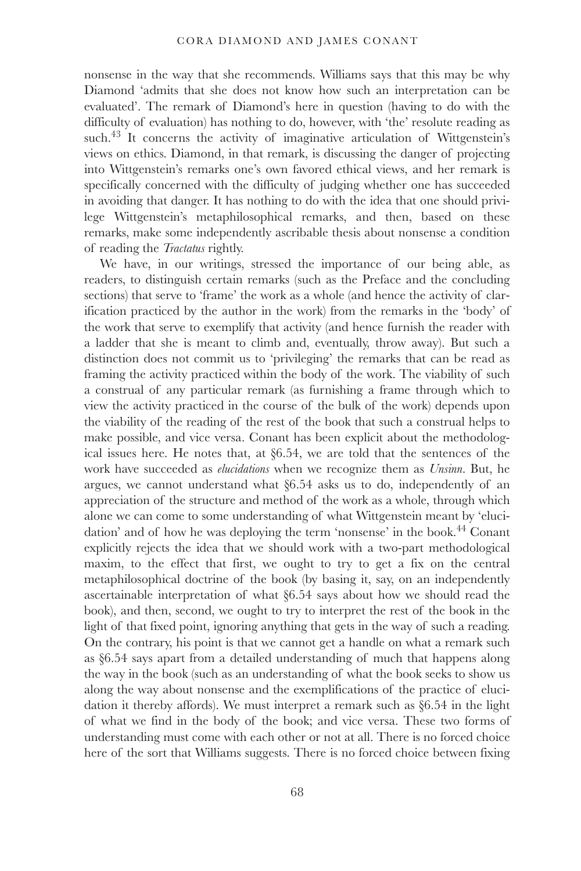nonsense in the way that she recommends. Williams says that this may be why Diamond 'admits that she does not know how such an interpretation can be evaluated'. The remark of Diamond's here in question (having to do with the difficulty of evaluation) has nothing to do, however, with 'the' resolute reading as such.43 It concerns the activity of imaginative articulation of Wittgenstein's views on ethics. Diamond, in that remark, is discussing the danger of projecting into Wittgenstein's remarks one's own favored ethical views, and her remark is specifically concerned with the difficulty of judging whether one has succeeded in avoiding that danger. It has nothing to do with the idea that one should privilege Wittgenstein's metaphilosophical remarks, and then, based on these remarks, make some independently ascribable thesis about nonsense a condition of reading the *Tractatus* rightly.

We have, in our writings, stressed the importance of our being able, as readers, to distinguish certain remarks (such as the Preface and the concluding sections) that serve to 'frame' the work as a whole (and hence the activity of clarification practiced by the author in the work) from the remarks in the 'body' of the work that serve to exemplify that activity (and hence furnish the reader with a ladder that she is meant to climb and, eventually, throw away). But such a distinction does not commit us to 'privileging' the remarks that can be read as framing the activity practiced within the body of the work. The viability of such a construal of any particular remark (as furnishing a frame through which to view the activity practiced in the course of the bulk of the work) depends upon the viability of the reading of the rest of the book that such a construal helps to make possible, and vice versa. Conant has been explicit about the methodological issues here. He notes that, at §6.54, we are told that the sentences of the work have succeeded as *elucidations* when we recognize them as *Unsinn*. But, he argues, we cannot understand what §6.54 asks us to do, independently of an appreciation of the structure and method of the work as a whole, through which alone we can come to some understanding of what Wittgenstein meant by 'elucidation' and of how he was deploying the term 'nonsense' in the book.<sup>44</sup> Conant explicitly rejects the idea that we should work with a two-part methodological maxim, to the effect that first, we ought to try to get a fix on the central metaphilosophical doctrine of the book (by basing it, say, on an independently ascertainable interpretation of what §6.54 says about how we should read the book), and then, second, we ought to try to interpret the rest of the book in the light of that fixed point, ignoring anything that gets in the way of such a reading. On the contrary, his point is that we cannot get a handle on what a remark such as §6.54 says apart from a detailed understanding of much that happens along the way in the book (such as an understanding of what the book seeks to show us along the way about nonsense and the exemplifications of the practice of elucidation it thereby affords). We must interpret a remark such as §6.54 in the light of what we find in the body of the book; and vice versa. These two forms of understanding must come with each other or not at all. There is no forced choice here of the sort that Williams suggests. There is no forced choice between fixing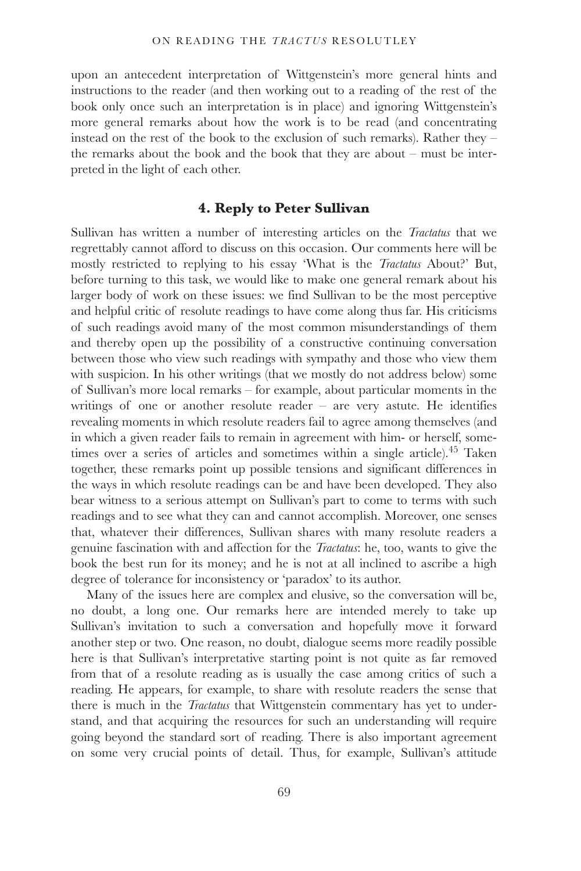upon an antecedent interpretation of Wittgenstein's more general hints and instructions to the reader (and then working out to a reading of the rest of the book only once such an interpretation is in place) and ignoring Wittgenstein's more general remarks about how the work is to be read (and concentrating instead on the rest of the book to the exclusion of such remarks). Rather they – the remarks about the book and the book that they are about – must be interpreted in the light of each other.

## **4. Reply to Peter Sullivan**

Sullivan has written a number of interesting articles on the *Tractatus* that we regrettably cannot afford to discuss on this occasion. Our comments here will be mostly restricted to replying to his essay 'What is the *Tractatus* About?' But, before turning to this task, we would like to make one general remark about his larger body of work on these issues: we find Sullivan to be the most perceptive and helpful critic of resolute readings to have come along thus far. His criticisms of such readings avoid many of the most common misunderstandings of them and thereby open up the possibility of a constructive continuing conversation between those who view such readings with sympathy and those who view them with suspicion. In his other writings (that we mostly do not address below) some of Sullivan's more local remarks – for example, about particular moments in the writings of one or another resolute reader – are very astute. He identifies revealing moments in which resolute readers fail to agree among themselves (and in which a given reader fails to remain in agreement with him- or herself, sometimes over a series of articles and sometimes within a single article).<sup>45</sup> Taken together, these remarks point up possible tensions and significant differences in the ways in which resolute readings can be and have been developed. They also bear witness to a serious attempt on Sullivan's part to come to terms with such readings and to see what they can and cannot accomplish. Moreover, one senses that, whatever their differences, Sullivan shares with many resolute readers a genuine fascination with and affection for the *Tractatus*: he, too, wants to give the book the best run for its money; and he is not at all inclined to ascribe a high degree of tolerance for inconsistency or 'paradox' to its author.

Many of the issues here are complex and elusive, so the conversation will be, no doubt, a long one. Our remarks here are intended merely to take up Sullivan's invitation to such a conversation and hopefully move it forward another step or two. One reason, no doubt, dialogue seems more readily possible here is that Sullivan's interpretative starting point is not quite as far removed from that of a resolute reading as is usually the case among critics of such a reading. He appears, for example, to share with resolute readers the sense that there is much in the *Tractatus* that Wittgenstein commentary has yet to understand, and that acquiring the resources for such an understanding will require going beyond the standard sort of reading. There is also important agreement on some very crucial points of detail. Thus, for example, Sullivan's attitude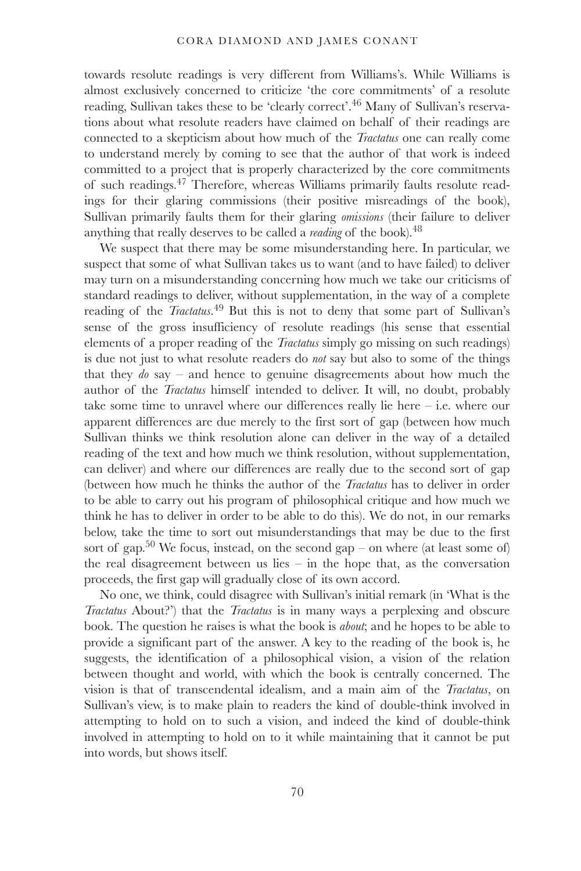towards resolute readings is very different from Williams's. While Williams is almost exclusively concerned to criticize 'the core commitments' of a resolute reading, Sullivan takes these to be 'clearly correct'.<sup>46</sup> Many of Sullivan's reservations about what resolute readers have claimed on behalf of their readings are connected to a skepticism about how much of the *Tractatus* one can really come to understand merely by coming to see that the author of that work is indeed committed to a project that is properly characterized by the core commitments of such readings.47 Therefore, whereas Williams primarily faults resolute readings for their glaring commissions (their positive misreadings of the book), Sullivan primarily faults them for their glaring *omissions* (their failure to deliver anything that really deserves to be called a *reading* of the book).<sup>48</sup>

We suspect that there may be some misunderstanding here. In particular, we suspect that some of what Sullivan takes us to want (and to have failed) to deliver may turn on a misunderstanding concerning how much we take our criticisms of standard readings to deliver, without supplementation, in the way of a complete reading of the *Tractatus*. <sup>49</sup> But this is not to deny that some part of Sullivan's sense of the gross insufficiency of resolute readings (his sense that essential elements of a proper reading of the *Tractatus* simply go missing on such readings) is due not just to what resolute readers do *not* say but also to some of the things that they *do* say – and hence to genuine disagreements about how much the author of the *Tractatus* himself intended to deliver. It will, no doubt, probably take some time to unravel where our differences really lie here – i.e. where our apparent differences are due merely to the first sort of gap (between how much Sullivan thinks we think resolution alone can deliver in the way of a detailed reading of the text and how much we think resolution, without supplementation, can deliver) and where our differences are really due to the second sort of gap (between how much he thinks the author of the *Tractatus* has to deliver in order to be able to carry out his program of philosophical critique and how much we think he has to deliver in order to be able to do this). We do not, in our remarks below, take the time to sort out misunderstandings that may be due to the first sort of gap.<sup>50</sup> We focus, instead, on the second gap – on where (at least some of) the real disagreement between us lies  $-$  in the hope that, as the conversation proceeds, the first gap will gradually close of its own accord.

No one, we think, could disagree with Sullivan's initial remark (in 'What is the *Tractatus* About?') that the *Tractatus* is in many ways a perplexing and obscure book. The question he raises is what the book is *about*; and he hopes to be able to provide a significant part of the answer. A key to the reading of the book is, he suggests, the identification of a philosophical vision, a vision of the relation between thought and world, with which the book is centrally concerned. The vision is that of transcendental idealism, and a main aim of the *Tractatus*, on Sullivan's view, is to make plain to readers the kind of double-think involved in attempting to hold on to such a vision, and indeed the kind of double-think involved in attempting to hold on to it while maintaining that it cannot be put into words, but shows itself.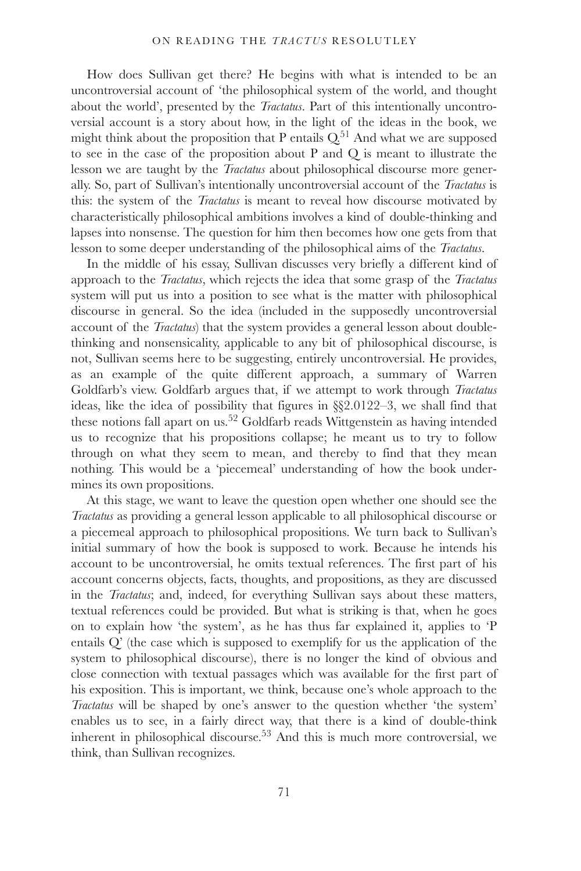How does Sullivan get there? He begins with what is intended to be an uncontroversial account of 'the philosophical system of the world, and thought about the world', presented by the *Tractatus*. Part of this intentionally uncontroversial account is a story about how, in the light of the ideas in the book, we might think about the proposition that P entails  $Q<sup>51</sup>$  And what we are supposed to see in the case of the proposition about P and Q is meant to illustrate the lesson we are taught by the *Tractatus* about philosophical discourse more generally. So, part of Sullivan's intentionally uncontroversial account of the *Tractatus* is this: the system of the *Tractatus* is meant to reveal how discourse motivated by characteristically philosophical ambitions involves a kind of double-thinking and lapses into nonsense. The question for him then becomes how one gets from that lesson to some deeper understanding of the philosophical aims of the *Tractatus*.

In the middle of his essay, Sullivan discusses very briefly a different kind of approach to the *Tractatus*, which rejects the idea that some grasp of the *Tractatus* system will put us into a position to see what is the matter with philosophical discourse in general. So the idea (included in the supposedly uncontroversial account of the *Tractatus*) that the system provides a general lesson about doublethinking and nonsensicality, applicable to any bit of philosophical discourse, is not, Sullivan seems here to be suggesting, entirely uncontroversial. He provides, as an example of the quite different approach, a summary of Warren Goldfarb's view. Goldfarb argues that, if we attempt to work through *Tractatus* ideas, like the idea of possibility that figures in §§2.0122–3, we shall find that these notions fall apart on us.<sup>52</sup> Goldfarb reads Wittgenstein as having intended us to recognize that his propositions collapse; he meant us to try to follow through on what they seem to mean, and thereby to find that they mean nothing. This would be a 'piecemeal' understanding of how the book undermines its own propositions.

At this stage, we want to leave the question open whether one should see the *Tractatus* as providing a general lesson applicable to all philosophical discourse or a piecemeal approach to philosophical propositions. We turn back to Sullivan's initial summary of how the book is supposed to work. Because he intends his account to be uncontroversial, he omits textual references. The first part of his account concerns objects, facts, thoughts, and propositions, as they are discussed in the *Tractatus*; and, indeed, for everything Sullivan says about these matters, textual references could be provided. But what is striking is that, when he goes on to explain how 'the system', as he has thus far explained it, applies to 'P entails Q' (the case which is supposed to exemplify for us the application of the system to philosophical discourse), there is no longer the kind of obvious and close connection with textual passages which was available for the first part of his exposition. This is important, we think, because one's whole approach to the *Tractatus* will be shaped by one's answer to the question whether 'the system' enables us to see, in a fairly direct way, that there is a kind of double-think inherent in philosophical discourse.<sup>53</sup> And this is much more controversial, we think, than Sullivan recognizes.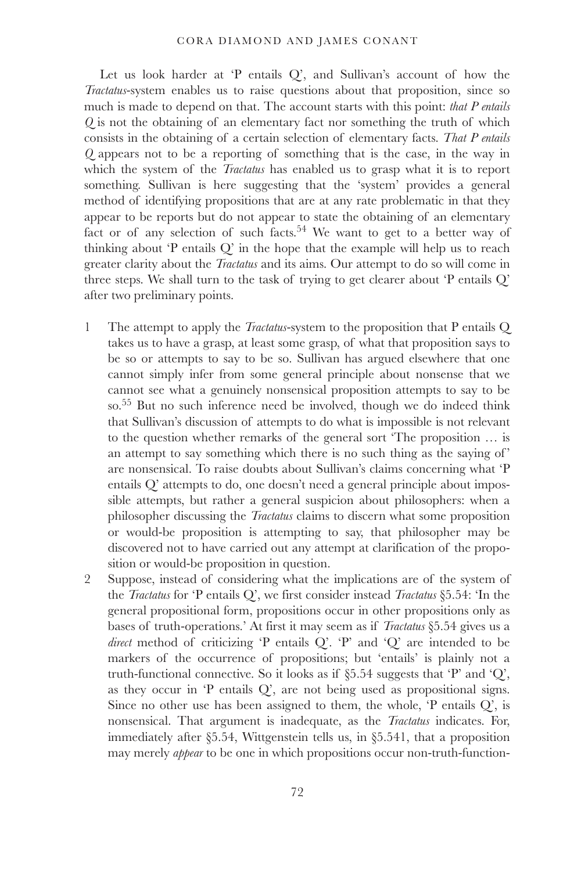Let us look harder at  $P$  entails  $Q'$ , and Sullivan's account of how the *Tractatus*-system enables us to raise questions about that proposition, since so much is made to depend on that. The account starts with this point: *that P entails Q* is not the obtaining of an elementary fact nor something the truth of which consists in the obtaining of a certain selection of elementary facts. *That P entails Q* appears not to be a reporting of something that is the case, in the way in which the system of the *Tractatus* has enabled us to grasp what it is to report something. Sullivan is here suggesting that the 'system' provides a general method of identifying propositions that are at any rate problematic in that they appear to be reports but do not appear to state the obtaining of an elementary fact or of any selection of such facts.<sup>54</sup> We want to get to a better way of thinking about 'P entails Q' in the hope that the example will help us to reach greater clarity about the *Tractatus* and its aims. Our attempt to do so will come in three steps. We shall turn to the task of trying to get clearer about 'P entails Q' after two preliminary points.

- 1 The attempt to apply the *Tractatus*-system to the proposition that P entails Q takes us to have a grasp, at least some grasp, of what that proposition says to be so or attempts to say to be so. Sullivan has argued elsewhere that one cannot simply infer from some general principle about nonsense that we cannot see what a genuinely nonsensical proposition attempts to say to be so.55 But no such inference need be involved, though we do indeed think that Sullivan's discussion of attempts to do what is impossible is not relevant to the question whether remarks of the general sort 'The proposition … is an attempt to say something which there is no such thing as the saying of ' are nonsensical. To raise doubts about Sullivan's claims concerning what 'P entails Q' attempts to do, one doesn't need a general principle about impossible attempts, but rather a general suspicion about philosophers: when a philosopher discussing the *Tractatus* claims to discern what some proposition or would-be proposition is attempting to say, that philosopher may be discovered not to have carried out any attempt at clarification of the proposition or would-be proposition in question.
- 2 Suppose, instead of considering what the implications are of the system of the *Tractatus* for 'P entails Q', we first consider instead *Tractatus* §5.54: 'In the general propositional form, propositions occur in other propositions only as bases of truth-operations.' At first it may seem as if *Tractatus* §5.54 gives us a *direct* method of criticizing 'P entails Q'. 'P' and 'Q' are intended to be markers of the occurrence of propositions; but 'entails' is plainly not a truth-functional connective. So it looks as if §5.54 suggests that 'P' and 'Q', as they occur in 'P entails Q', are not being used as propositional signs. Since no other use has been assigned to them, the whole,  $P$  entails  $Q'$ , is nonsensical. That argument is inadequate, as the *Tractatus* indicates. For, immediately after §5.54, Wittgenstein tells us, in §5.541, that a proposition may merely *appear* to be one in which propositions occur non-truth-function-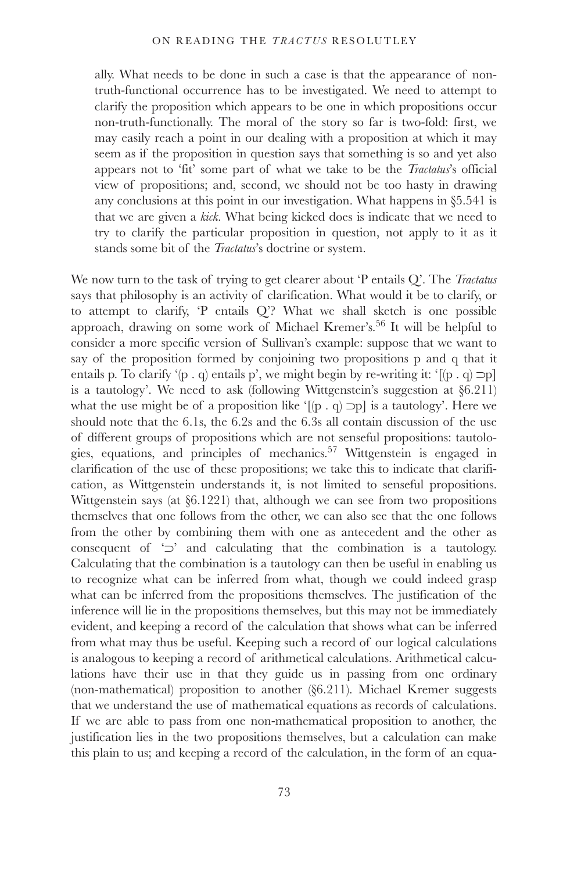ally. What needs to be done in such a case is that the appearance of nontruth-functional occurrence has to be investigated. We need to attempt to clarify the proposition which appears to be one in which propositions occur non-truth-functionally. The moral of the story so far is two-fold: first, we may easily reach a point in our dealing with a proposition at which it may seem as if the proposition in question says that something is so and yet also appears not to 'fit' some part of what we take to be the *Tractatus*'s official view of propositions; and, second, we should not be too hasty in drawing any conclusions at this point in our investigation. What happens in §5.541 is that we are given a *kick*. What being kicked does is indicate that we need to try to clarify the particular proposition in question, not apply to it as it stands some bit of the *Tractatus*'s doctrine or system.

We now turn to the task of trying to get clearer about 'P entails Q'. The *Tractatus* says that philosophy is an activity of clarification. What would it be to clarify, or to attempt to clarify, 'P entails Q'? What we shall sketch is one possible approach, drawing on some work of Michael Kremer's.<sup>56</sup> It will be helpful to consider a more specific version of Sullivan's example: suppose that we want to say of the proposition formed by conjoining two propositions p and q that it entails p. To clarify '(p . q) entails p', we might begin by re-writing it: '[(p . q)  $\sup$ ] is a tautology'. We need to ask (following Wittgenstein's suggestion at  $\S 6.211$ ) what the use might be of a proposition like ' $[(p \cdot q) \supset p]$  is a tautology'. Here we should note that the 6.1s, the 6.2s and the 6.3s all contain discussion of the use of different groups of propositions which are not senseful propositions: tautologies, equations, and principles of mechanics.<sup>57</sup> Wittgenstein is engaged in clarification of the use of these propositions; we take this to indicate that clarification, as Wittgenstein understands it, is not limited to senseful propositions. Wittgenstein says (at  $\S6.1221$ ) that, although we can see from two propositions themselves that one follows from the other, we can also see that the one follows from the other by combining them with one as antecedent and the other as consequent of  $\infty$  and calculating that the combination is a tautology. Calculating that the combination is a tautology can then be useful in enabling us to recognize what can be inferred from what, though we could indeed grasp what can be inferred from the propositions themselves. The justification of the inference will lie in the propositions themselves, but this may not be immediately evident, and keeping a record of the calculation that shows what can be inferred from what may thus be useful. Keeping such a record of our logical calculations is analogous to keeping a record of arithmetical calculations. Arithmetical calculations have their use in that they guide us in passing from one ordinary (non-mathematical) proposition to another (§6.211). Michael Kremer suggests that we understand the use of mathematical equations as records of calculations. If we are able to pass from one non-mathematical proposition to another, the justification lies in the two propositions themselves, but a calculation can make this plain to us; and keeping a record of the calculation, in the form of an equa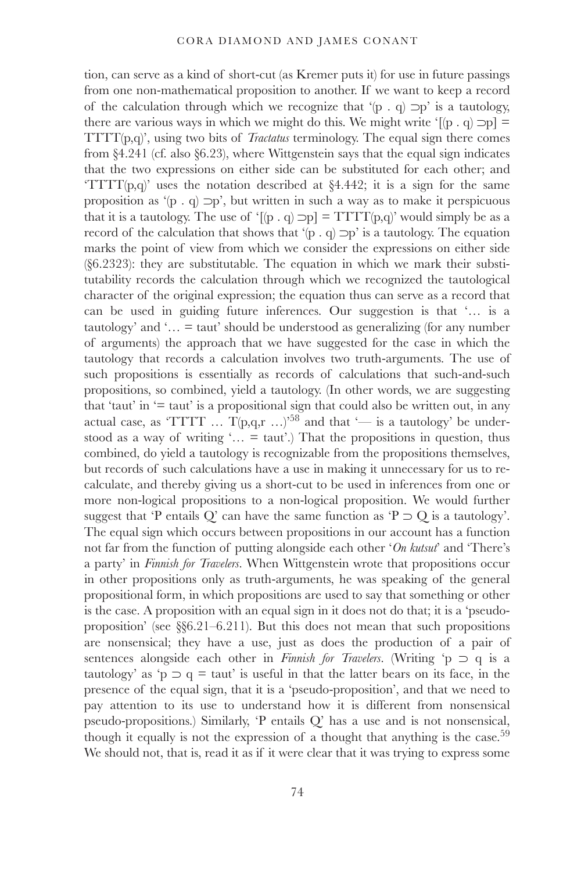tion, can serve as a kind of short-cut (as Kremer puts it) for use in future passings from one non-mathematical proposition to another. If we want to keep a record of the calculation through which we recognize that  $(p \cdot q) \supset p'$  is a tautology, there are various ways in which we might do this. We might write '[(p . q)  $\supset p$ ] = TTTT(p,q)', using two bits of *Tractatus* terminology. The equal sign there comes from §4.241 (cf. also §6.23), where Wittgenstein says that the equal sign indicates that the two expressions on either side can be substituted for each other; and  $TTTT(p,q)$ ' uses the notation described at §4.442; it is a sign for the same proposition as ' $(p \cdot q) \supset p$ ', but written in such a way as to make it perspicuous that it is a tautology. The use of ' $[(p \cdot q) \supset p] = TTTT(p,q)$ ' would simply be as a record of the calculation that shows that '(p . q)  $\sup$  is a tautology. The equation marks the point of view from which we consider the expressions on either side (§6.2323): they are substitutable. The equation in which we mark their substitutability records the calculation through which we recognized the tautological character of the original expression; the equation thus can serve as a record that can be used in guiding future inferences. Our suggestion is that '… is a tautology' and ' $\ldots$  = taut' should be understood as generalizing (for any number of arguments) the approach that we have suggested for the case in which the tautology that records a calculation involves two truth-arguments. The use of such propositions is essentially as records of calculations that such-and-such propositions, so combined, yield a tautology. (In other words, we are suggesting that 'taut' in  $=$  taut' is a propositional sign that could also be written out, in any actual case, as 'TTTT ... T(p,q,r ...)<sup>58</sup> and that '— is a tautology' be understood as a way of writing  $\ldots = \text{taut'}$ .) That the propositions in question, thus combined, do yield a tautology is recognizable from the propositions themselves, but records of such calculations have a use in making it unnecessary for us to recalculate, and thereby giving us a short-cut to be used in inferences from one or more non-logical propositions to a non-logical proposition. We would further suggest that 'P entails Q' can have the same function as 'P  $\supset Q$  is a tautology'. The equal sign which occurs between propositions in our account has a function not far from the function of putting alongside each other '*On kutsut*' and 'There's a party' in *Finnish for Travelers*. When Wittgenstein wrote that propositions occur in other propositions only as truth-arguments, he was speaking of the general propositional form, in which propositions are used to say that something or other is the case. A proposition with an equal sign in it does not do that; it is a 'pseudoproposition' (see §§6.21–6.211). But this does not mean that such propositions are nonsensical; they have a use, just as does the production of a pair of sentences alongside each other in *Finnish for Travelers*. (Writing 'p  $\supset q$  is a tautology' as 'p  $\supset q = \text{taut}'$  is useful in that the latter bears on its face, in the presence of the equal sign, that it is a 'pseudo-proposition', and that we need to pay attention to its use to understand how it is different from nonsensical pseudo-propositions.) Similarly, 'P entails Q' has a use and is not nonsensical, though it equally is not the expression of a thought that anything is the case.<sup>59</sup> We should not, that is, read it as if it were clear that it was trying to express some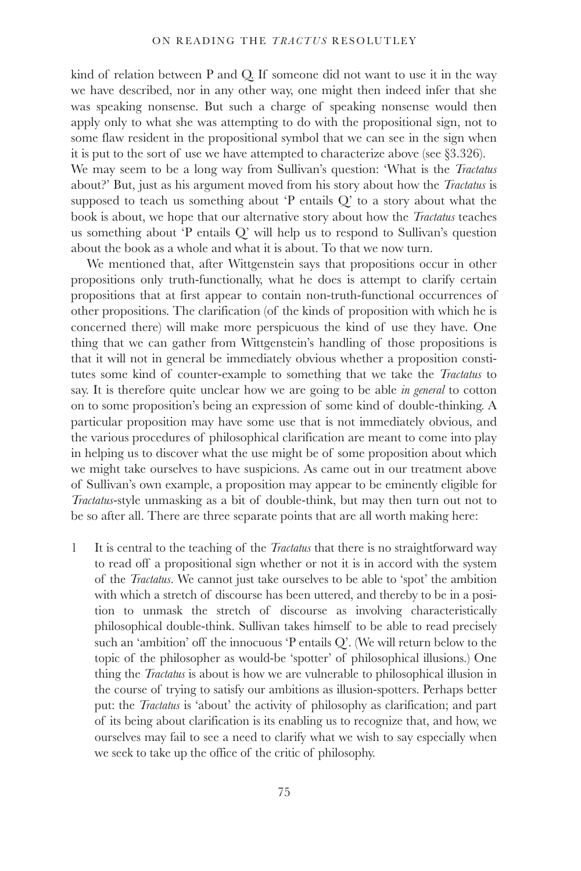kind of relation between P and Q. If someone did not want to use it in the way we have described, nor in any other way, one might then indeed infer that she was speaking nonsense. But such a charge of speaking nonsense would then apply only to what she was attempting to do with the propositional sign, not to some flaw resident in the propositional symbol that we can see in the sign when it is put to the sort of use we have attempted to characterize above (see §3.326).

We may seem to be a long way from Sullivan's question: 'What is the *Tractatus* about?' But, just as his argument moved from his story about how the *Tractatus* is supposed to teach us something about 'P entails Q' to a story about what the book is about, we hope that our alternative story about how the *Tractatus* teaches us something about 'P entails  $Q'$  will help us to respond to Sullivan's question about the book as a whole and what it is about. To that we now turn.

We mentioned that, after Wittgenstein says that propositions occur in other propositions only truth-functionally, what he does is attempt to clarify certain propositions that at first appear to contain non-truth-functional occurrences of other propositions. The clarification (of the kinds of proposition with which he is concerned there) will make more perspicuous the kind of use they have. One thing that we can gather from Wittgenstein's handling of those propositions is that it will not in general be immediately obvious whether a proposition constitutes some kind of counter-example to something that we take the *Tractatus* to say. It is therefore quite unclear how we are going to be able *in general* to cotton on to some proposition's being an expression of some kind of double-thinking. A particular proposition may have some use that is not immediately obvious, and the various procedures of philosophical clarification are meant to come into play in helping us to discover what the use might be of some proposition about which we might take ourselves to have suspicions. As came out in our treatment above of Sullivan's own example, a proposition may appear to be eminently eligible for *Tractatus*-style unmasking as a bit of double-think, but may then turn out not to be so after all. There are three separate points that are all worth making here:

1 It is central to the teaching of the *Tractatus* that there is no straightforward way to read off a propositional sign whether or not it is in accord with the system of the *Tractatus*. We cannot just take ourselves to be able to 'spot' the ambition with which a stretch of discourse has been uttered, and thereby to be in a position to unmask the stretch of discourse as involving characteristically philosophical double-think. Sullivan takes himself to be able to read precisely such an 'ambition' off the innocuous 'P entails Q'. (We will return below to the topic of the philosopher as would-be 'spotter' of philosophical illusions.) One thing the *Tractatus* is about is how we are vulnerable to philosophical illusion in the course of trying to satisfy our ambitions as illusion-spotters. Perhaps better put: the *Tractatus* is 'about' the activity of philosophy as clarification; and part of its being about clarification is its enabling us to recognize that, and how, we ourselves may fail to see a need to clarify what we wish to say especially when we seek to take up the office of the critic of philosophy.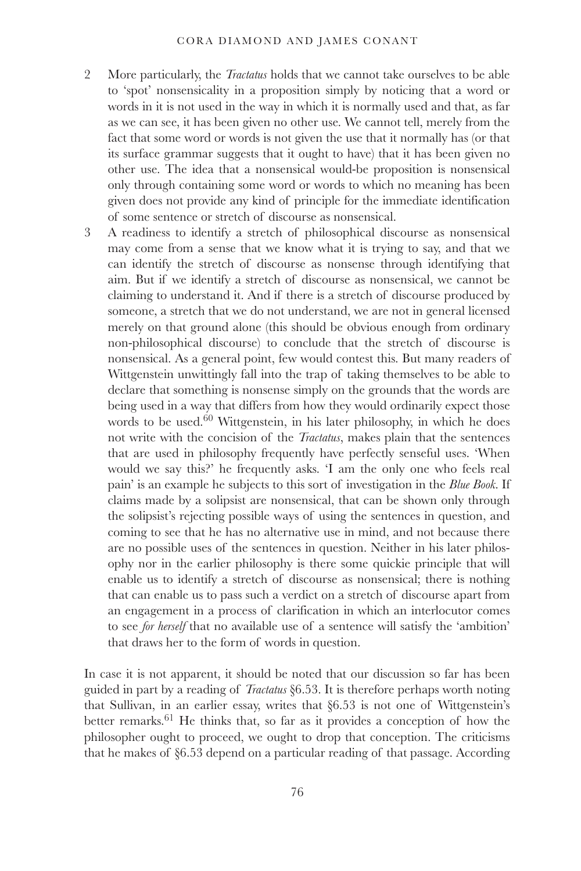- 2 More particularly, the *Tractatus* holds that we cannot take ourselves to be able to 'spot' nonsensicality in a proposition simply by noticing that a word or words in it is not used in the way in which it is normally used and that, as far as we can see, it has been given no other use. We cannot tell, merely from the fact that some word or words is not given the use that it normally has (or that its surface grammar suggests that it ought to have) that it has been given no other use. The idea that a nonsensical would-be proposition is nonsensical only through containing some word or words to which no meaning has been given does not provide any kind of principle for the immediate identification of some sentence or stretch of discourse as nonsensical.
- 3 A readiness to identify a stretch of philosophical discourse as nonsensical may come from a sense that we know what it is trying to say, and that we can identify the stretch of discourse as nonsense through identifying that aim. But if we identify a stretch of discourse as nonsensical, we cannot be claiming to understand it. And if there is a stretch of discourse produced by someone, a stretch that we do not understand, we are not in general licensed merely on that ground alone (this should be obvious enough from ordinary non-philosophical discourse) to conclude that the stretch of discourse is nonsensical. As a general point, few would contest this. But many readers of Wittgenstein unwittingly fall into the trap of taking themselves to be able to declare that something is nonsense simply on the grounds that the words are being used in a way that differs from how they would ordinarily expect those words to be used. $60$  Wittgenstein, in his later philosophy, in which he does not write with the concision of the *Tractatus*, makes plain that the sentences that are used in philosophy frequently have perfectly senseful uses. 'When would we say this?' he frequently asks. 'I am the only one who feels real pain' is an example he subjects to this sort of investigation in the *Blue Book*. If claims made by a solipsist are nonsensical, that can be shown only through the solipsist's rejecting possible ways of using the sentences in question, and coming to see that he has no alternative use in mind, and not because there are no possible uses of the sentences in question. Neither in his later philosophy nor in the earlier philosophy is there some quickie principle that will enable us to identify a stretch of discourse as nonsensical; there is nothing that can enable us to pass such a verdict on a stretch of discourse apart from an engagement in a process of clarification in which an interlocutor comes to see *for herself* that no available use of a sentence will satisfy the 'ambition' that draws her to the form of words in question.

In case it is not apparent, it should be noted that our discussion so far has been guided in part by a reading of *Tractatus* §6.53. It is therefore perhaps worth noting that Sullivan, in an earlier essay, writes that §6.53 is not one of Wittgenstein's better remarks.<sup>61</sup> He thinks that, so far as it provides a conception of how the philosopher ought to proceed, we ought to drop that conception. The criticisms that he makes of §6.53 depend on a particular reading of that passage. According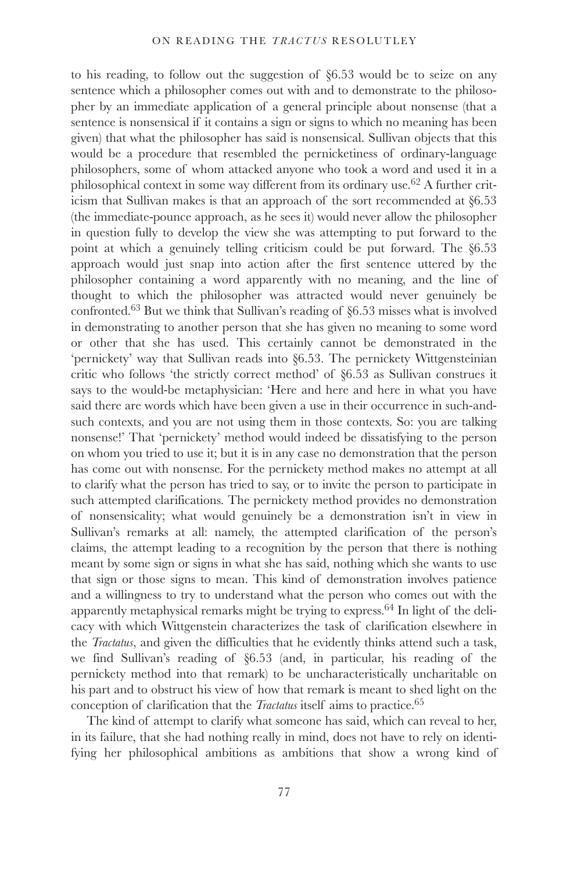to his reading, to follow out the suggestion of §6.53 would be to seize on any sentence which a philosopher comes out with and to demonstrate to the philosopher by an immediate application of a general principle about nonsense (that a sentence is nonsensical if it contains a sign or signs to which no meaning has been given) that what the philosopher has said is nonsensical. Sullivan objects that this would be a procedure that resembled the pernicketiness of ordinary-language philosophers, some of whom attacked anyone who took a word and used it in a philosophical context in some way different from its ordinary use.<sup>62</sup> A further criticism that Sullivan makes is that an approach of the sort recommended at §6.53 (the immediate-pounce approach, as he sees it) would never allow the philosopher in question fully to develop the view she was attempting to put forward to the point at which a genuinely telling criticism could be put forward. The §6.53 approach would just snap into action after the first sentence uttered by the philosopher containing a word apparently with no meaning, and the line of thought to which the philosopher was attracted would never genuinely be confronted.<sup>63</sup> But we think that Sullivan's reading of §6.53 misses what is involved in demonstrating to another person that she has given no meaning to some word or other that she has used. This certainly cannot be demonstrated in the 'pernickety' way that Sullivan reads into §6.53. The pernickety Wittgensteinian critic who follows 'the strictly correct method' of §6.53 as Sullivan construes it says to the would-be metaphysician: 'Here and here and here in what you have said there are words which have been given a use in their occurrence in such-andsuch contexts, and you are not using them in those contexts. So: you are talking nonsense!' That 'pernickety' method would indeed be dissatisfying to the person on whom you tried to use it; but it is in any case no demonstration that the person has come out with nonsense. For the pernickety method makes no attempt at all to clarify what the person has tried to say, or to invite the person to participate in such attempted clarifications. The pernickety method provides no demonstration of nonsensicality; what would genuinely be a demonstration isn't in view in Sullivan's remarks at all: namely, the attempted clarification of the person's claims, the attempt leading to a recognition by the person that there is nothing meant by some sign or signs in what she has said, nothing which she wants to use that sign or those signs to mean. This kind of demonstration involves patience and a willingness to try to understand what the person who comes out with the apparently metaphysical remarks might be trying to express.<sup>64</sup> In light of the delicacy with which Wittgenstein characterizes the task of clarification elsewhere in the *Tractatus*, and given the difficulties that he evidently thinks attend such a task, we find Sullivan's reading of §6.53 (and, in particular, his reading of the pernickety method into that remark) to be uncharacteristically uncharitable on his part and to obstruct his view of how that remark is meant to shed light on the conception of clarification that the *Tractatus* itself aims to practice.<sup>65</sup>

The kind of attempt to clarify what someone has said, which can reveal to her, in its failure, that she had nothing really in mind, does not have to rely on identifying her philosophical ambitions as ambitions that show a wrong kind of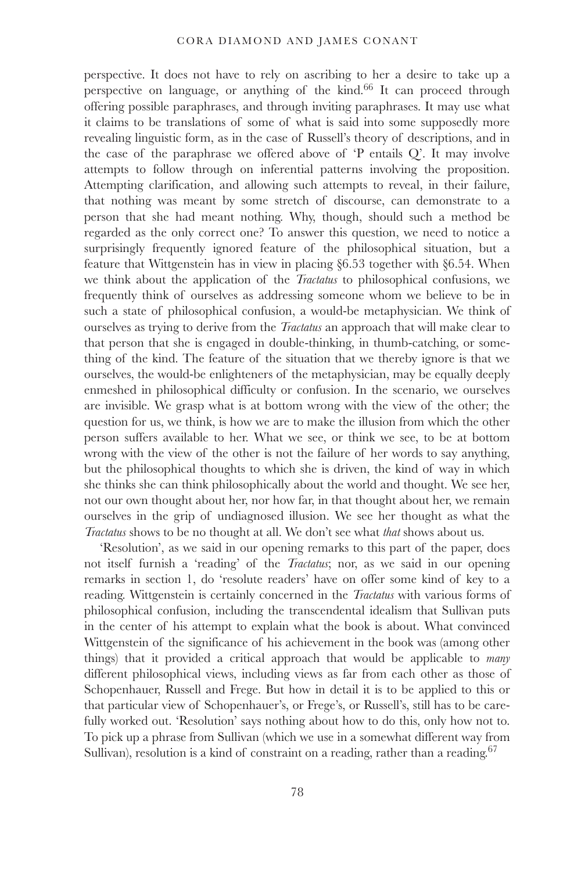perspective. It does not have to rely on ascribing to her a desire to take up a perspective on language, or anything of the kind. $66$  It can proceed through offering possible paraphrases, and through inviting paraphrases. It may use what it claims to be translations of some of what is said into some supposedly more revealing linguistic form, as in the case of Russell's theory of descriptions, and in the case of the paraphrase we offered above of 'P entails Q'. It may involve attempts to follow through on inferential patterns involving the proposition. Attempting clarification, and allowing such attempts to reveal, in their failure, that nothing was meant by some stretch of discourse, can demonstrate to a person that she had meant nothing. Why, though, should such a method be regarded as the only correct one? To answer this question, we need to notice a surprisingly frequently ignored feature of the philosophical situation, but a feature that Wittgenstein has in view in placing §6.53 together with §6.54. When we think about the application of the *Tractatus* to philosophical confusions, we frequently think of ourselves as addressing someone whom we believe to be in such a state of philosophical confusion, a would-be metaphysician. We think of ourselves as trying to derive from the *Tractatus* an approach that will make clear to that person that she is engaged in double-thinking, in thumb-catching, or something of the kind. The feature of the situation that we thereby ignore is that we ourselves, the would-be enlighteners of the metaphysician, may be equally deeply enmeshed in philosophical difficulty or confusion. In the scenario, we ourselves are invisible. We grasp what is at bottom wrong with the view of the other; the question for us, we think, is how we are to make the illusion from which the other person suffers available to her. What we see, or think we see, to be at bottom wrong with the view of the other is not the failure of her words to say anything, but the philosophical thoughts to which she is driven, the kind of way in which she thinks she can think philosophically about the world and thought. We see her, not our own thought about her, nor how far, in that thought about her, we remain ourselves in the grip of undiagnosed illusion. We see her thought as what the *Tractatus* shows to be no thought at all. We don't see what *that* shows about us.

'Resolution', as we said in our opening remarks to this part of the paper, does not itself furnish a 'reading' of the *Tractatus*; nor, as we said in our opening remarks in section 1, do 'resolute readers' have on offer some kind of key to a reading. Wittgenstein is certainly concerned in the *Tractatus* with various forms of philosophical confusion, including the transcendental idealism that Sullivan puts in the center of his attempt to explain what the book is about. What convinced Wittgenstein of the significance of his achievement in the book was (among other things) that it provided a critical approach that would be applicable to *many* different philosophical views, including views as far from each other as those of Schopenhauer, Russell and Frege. But how in detail it is to be applied to this or that particular view of Schopenhauer's, or Frege's, or Russell's, still has to be carefully worked out. 'Resolution' says nothing about how to do this, only how not to. To pick up a phrase from Sullivan (which we use in a somewhat different way from Sullivan), resolution is a kind of constraint on a reading, rather than a reading.<sup>67</sup>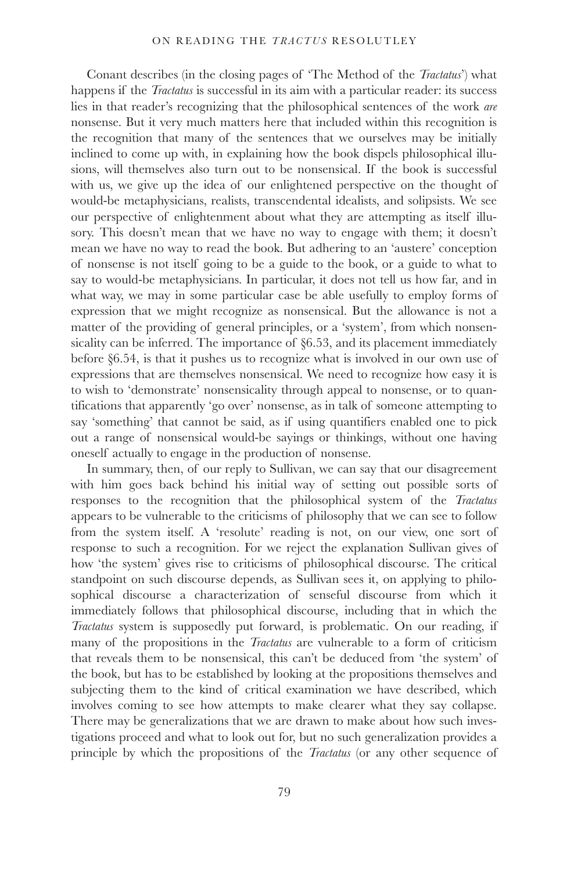Conant describes (in the closing pages of 'The Method of the *Tractatus*') what happens if the *Tractatus* is successful in its aim with a particular reader: its success lies in that reader's recognizing that the philosophical sentences of the work *are* nonsense. But it very much matters here that included within this recognition is the recognition that many of the sentences that we ourselves may be initially inclined to come up with, in explaining how the book dispels philosophical illusions, will themselves also turn out to be nonsensical. If the book is successful with us, we give up the idea of our enlightened perspective on the thought of would-be metaphysicians, realists, transcendental idealists, and solipsists. We see our perspective of enlightenment about what they are attempting as itself illusory. This doesn't mean that we have no way to engage with them; it doesn't mean we have no way to read the book. But adhering to an 'austere' conception of nonsense is not itself going to be a guide to the book, or a guide to what to say to would-be metaphysicians. In particular, it does not tell us how far, and in what way, we may in some particular case be able usefully to employ forms of expression that we might recognize as nonsensical. But the allowance is not a matter of the providing of general principles, or a 'system', from which nonsensicality can be inferred. The importance of §6.53, and its placement immediately before §6.54, is that it pushes us to recognize what is involved in our own use of expressions that are themselves nonsensical. We need to recognize how easy it is to wish to 'demonstrate' nonsensicality through appeal to nonsense, or to quantifications that apparently 'go over' nonsense, as in talk of someone attempting to say 'something' that cannot be said, as if using quantifiers enabled one to pick out a range of nonsensical would-be sayings or thinkings, without one having oneself actually to engage in the production of nonsense.

In summary, then, of our reply to Sullivan, we can say that our disagreement with him goes back behind his initial way of setting out possible sorts of responses to the recognition that the philosophical system of the *Tractatus* appears to be vulnerable to the criticisms of philosophy that we can see to follow from the system itself. A 'resolute' reading is not, on our view, one sort of response to such a recognition. For we reject the explanation Sullivan gives of how 'the system' gives rise to criticisms of philosophical discourse. The critical standpoint on such discourse depends, as Sullivan sees it, on applying to philosophical discourse a characterization of senseful discourse from which it immediately follows that philosophical discourse, including that in which the *Tractatus* system is supposedly put forward, is problematic. On our reading, if many of the propositions in the *Tractatus* are vulnerable to a form of criticism that reveals them to be nonsensical, this can't be deduced from 'the system' of the book, but has to be established by looking at the propositions themselves and subjecting them to the kind of critical examination we have described, which involves coming to see how attempts to make clearer what they say collapse. There may be generalizations that we are drawn to make about how such investigations proceed and what to look out for, but no such generalization provides a principle by which the propositions of the *Tractatus* (or any other sequence of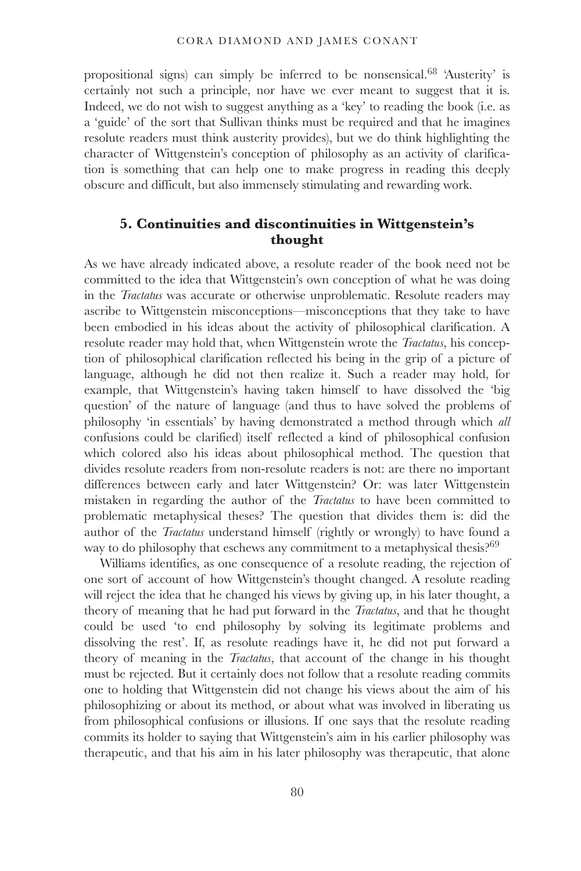propositional signs) can simply be inferred to be nonsensical.<sup>68</sup> 'Austerity' is certainly not such a principle, nor have we ever meant to suggest that it is. Indeed, we do not wish to suggest anything as a 'key' to reading the book (i.e. as a 'guide' of the sort that Sullivan thinks must be required and that he imagines resolute readers must think austerity provides), but we do think highlighting the character of Wittgenstein's conception of philosophy as an activity of clarification is something that can help one to make progress in reading this deeply obscure and difficult, but also immensely stimulating and rewarding work.

# **5. Continuities and discontinuities in Wittgenstein's thought**

As we have already indicated above, a resolute reader of the book need not be committed to the idea that Wittgenstein's own conception of what he was doing in the *Tractatus* was accurate or otherwise unproblematic. Resolute readers may ascribe to Wittgenstein misconceptions—misconceptions that they take to have been embodied in his ideas about the activity of philosophical clarification. A resolute reader may hold that, when Wittgenstein wrote the *Tractatus*, his conception of philosophical clarification reflected his being in the grip of a picture of language, although he did not then realize it. Such a reader may hold, for example, that Wittgenstein's having taken himself to have dissolved the 'big question' of the nature of language (and thus to have solved the problems of philosophy 'in essentials' by having demonstrated a method through which *all* confusions could be clarified) itself reflected a kind of philosophical confusion which colored also his ideas about philosophical method. The question that divides resolute readers from non-resolute readers is not: are there no important differences between early and later Wittgenstein? Or: was later Wittgenstein mistaken in regarding the author of the *Tractatus* to have been committed to problematic metaphysical theses? The question that divides them is: did the author of the *Tractatus* understand himself (rightly or wrongly) to have found a way to do philosophy that eschews any commitment to a metaphysical thesis?<sup>69</sup>

Williams identifies, as one consequence of a resolute reading, the rejection of one sort of account of how Wittgenstein's thought changed. A resolute reading will reject the idea that he changed his views by giving up, in his later thought, a theory of meaning that he had put forward in the *Tractatus*, and that he thought could be used 'to end philosophy by solving its legitimate problems and dissolving the rest'. If, as resolute readings have it, he did not put forward a theory of meaning in the *Tractatus*, that account of the change in his thought must be rejected. But it certainly does not follow that a resolute reading commits one to holding that Wittgenstein did not change his views about the aim of his philosophizing or about its method, or about what was involved in liberating us from philosophical confusions or illusions. If one says that the resolute reading commits its holder to saying that Wittgenstein's aim in his earlier philosophy was therapeutic, and that his aim in his later philosophy was therapeutic, that alone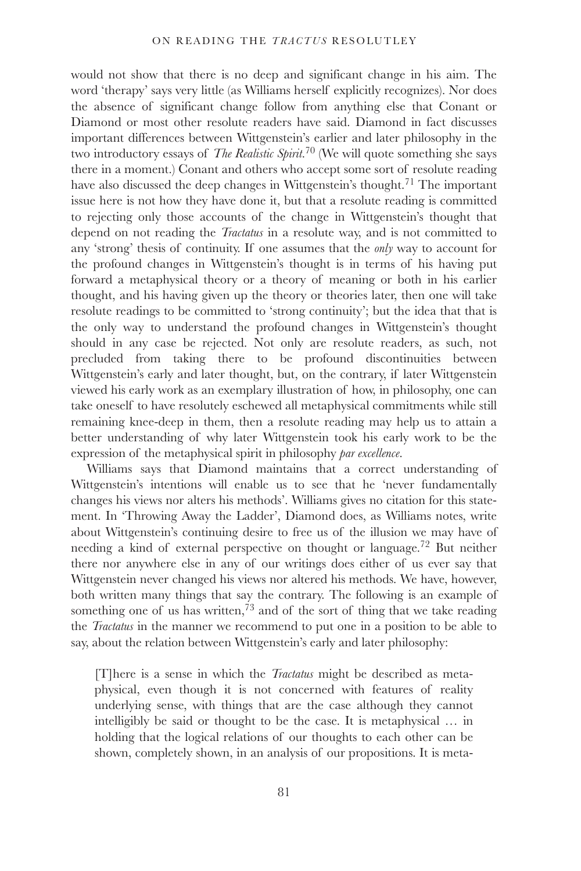would not show that there is no deep and significant change in his aim. The word 'therapy' says very little (as Williams herself explicitly recognizes). Nor does the absence of significant change follow from anything else that Conant or Diamond or most other resolute readers have said. Diamond in fact discusses important differences between Wittgenstein's earlier and later philosophy in the two introductory essays of *The Realistic Spirit*. <sup>70</sup> (We will quote something she says there in a moment.) Conant and others who accept some sort of resolute reading have also discussed the deep changes in Wittgenstein's thought.<sup>71</sup> The important issue here is not how they have done it, but that a resolute reading is committed to rejecting only those accounts of the change in Wittgenstein's thought that depend on not reading the *Tractatus* in a resolute way, and is not committed to any 'strong' thesis of continuity. If one assumes that the *only* way to account for the profound changes in Wittgenstein's thought is in terms of his having put forward a metaphysical theory or a theory of meaning or both in his earlier thought, and his having given up the theory or theories later, then one will take resolute readings to be committed to 'strong continuity'; but the idea that that is the only way to understand the profound changes in Wittgenstein's thought should in any case be rejected. Not only are resolute readers, as such, not precluded from taking there to be profound discontinuities between Wittgenstein's early and later thought, but, on the contrary, if later Wittgenstein viewed his early work as an exemplary illustration of how, in philosophy, one can take oneself to have resolutely eschewed all metaphysical commitments while still remaining knee-deep in them, then a resolute reading may help us to attain a better understanding of why later Wittgenstein took his early work to be the expression of the metaphysical spirit in philosophy *par excellence*.

Williams says that Diamond maintains that a correct understanding of Wittgenstein's intentions will enable us to see that he 'never fundamentally changes his views nor alters his methods'. Williams gives no citation for this statement. In 'Throwing Away the Ladder', Diamond does, as Williams notes, write about Wittgenstein's continuing desire to free us of the illusion we may have of needing a kind of external perspective on thought or language.<sup>72</sup> But neither there nor anywhere else in any of our writings does either of us ever say that Wittgenstein never changed his views nor altered his methods. We have, however, both written many things that say the contrary. The following is an example of something one of us has written, $^{73}$  and of the sort of thing that we take reading the *Tractatus* in the manner we recommend to put one in a position to be able to say, about the relation between Wittgenstein's early and later philosophy:

[T]here is a sense in which the *Tractatus* might be described as metaphysical, even though it is not concerned with features of reality underlying sense, with things that are the case although they cannot intelligibly be said or thought to be the case. It is metaphysical … in holding that the logical relations of our thoughts to each other can be shown, completely shown, in an analysis of our propositions. It is meta-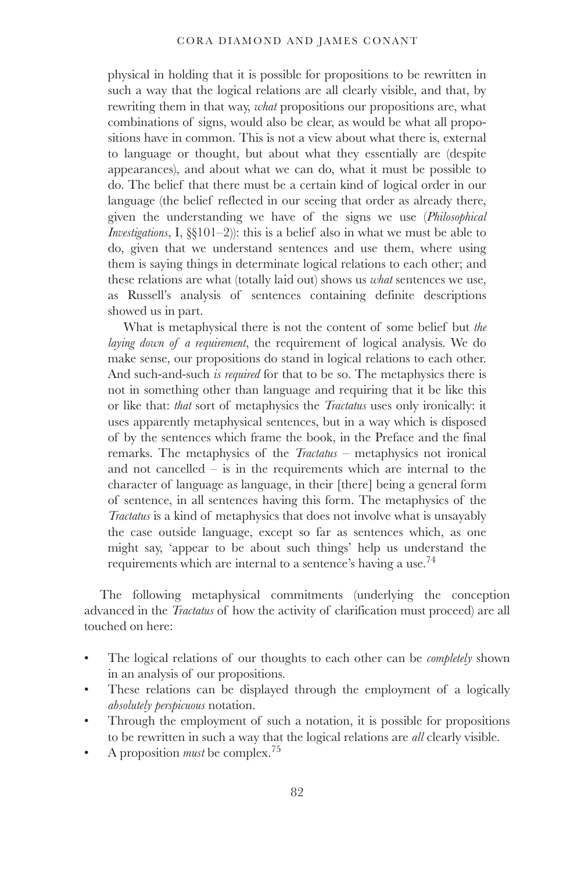physical in holding that it is possible for propositions to be rewritten in such a way that the logical relations are all clearly visible, and that, by rewriting them in that way, *what* propositions our propositions are, what combinations of signs, would also be clear, as would be what all propositions have in common. This is not a view about what there is, external to language or thought, but about what they essentially are (despite appearances), and about what we can do, what it must be possible to do. The belief that there must be a certain kind of logical order in our language (the belief reflected in our seeing that order as already there, given the understanding we have of the signs we use (*Philosophical Investigations*, I, §§101–2)): this is a belief also in what we must be able to do, given that we understand sentences and use them, where using them is saying things in determinate logical relations to each other; and these relations are what (totally laid out) shows us *what* sentences we use, as Russell's analysis of sentences containing definite descriptions showed us in part.

What is metaphysical there is not the content of some belief but *the laying down of a requirement*, the requirement of logical analysis. We do make sense, our propositions do stand in logical relations to each other. And such-and-such *is required* for that to be so. The metaphysics there is not in something other than language and requiring that it be like this or like that: *that* sort of metaphysics the *Tractatus* uses only ironically: it uses apparently metaphysical sentences, but in a way which is disposed of by the sentences which frame the book, in the Preface and the final remarks. The metaphysics of the *Tractatus* – metaphysics not ironical and not cancelled – is in the requirements which are internal to the character of language as language, in their [there] being a general form of sentence, in all sentences having this form. The metaphysics of the *Tractatus* is a kind of metaphysics that does not involve what is unsayably the case outside language, except so far as sentences which, as one might say, 'appear to be about such things' help us understand the requirements which are internal to a sentence's having a use.<sup>74</sup>

The following metaphysical commitments (underlying the conception advanced in the *Tractatus* of how the activity of clarification must proceed) are all touched on here:

- The logical relations of our thoughts to each other can be *completely* shown in an analysis of our propositions.
- These relations can be displayed through the employment of a logically *absolutely perspicuous* notation.
- Through the employment of such a notation, it is possible for propositions to be rewritten in such a way that the logical relations are *all* clearly visible.
- A proposition *must* be complex.<sup>75</sup>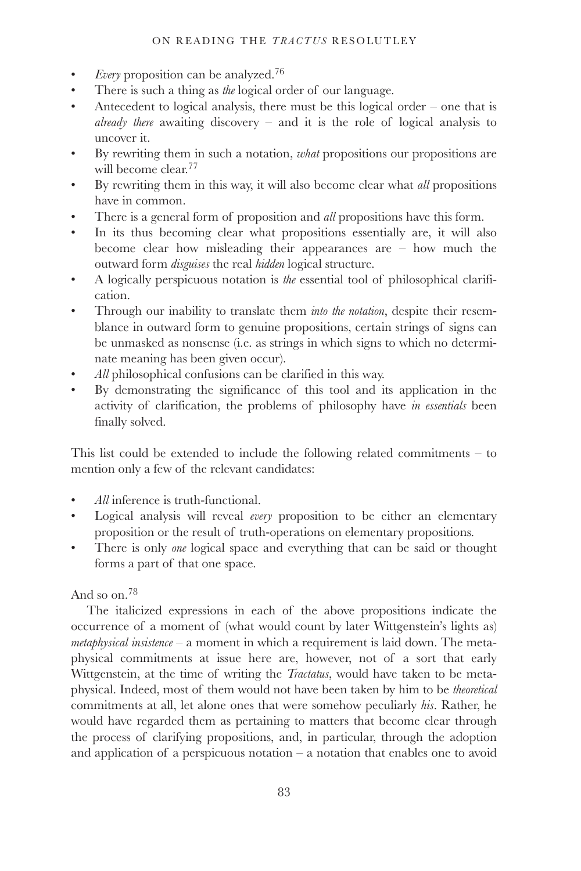- *Every* proposition can be analyzed.<sup>76</sup>
- There is such a thing as *the* logical order of our language.
- Antecedent to logical analysis, there must be this logical order one that is *already there* awaiting discovery – and it is the role of logical analysis to uncover it.
- By rewriting them in such a notation, *what* propositions our propositions are will become clear.<sup>77</sup>
- By rewriting them in this way, it will also become clear what *all* propositions have in common.
- There is a general form of proposition and *all* propositions have this form.
- In its thus becoming clear what propositions essentially are, it will also become clear how misleading their appearances are – how much the outward form *disguises* the real *hidden* logical structure.
- A logically perspicuous notation is *the* essential tool of philosophical clarification.
- Through our inability to translate them *into the notation*, despite their resemblance in outward form to genuine propositions, certain strings of signs can be unmasked as nonsense (i.e. as strings in which signs to which no determinate meaning has been given occur).
- *All* philosophical confusions can be clarified in this way.
- By demonstrating the significance of this tool and its application in the activity of clarification, the problems of philosophy have *in essentials* been finally solved.

This list could be extended to include the following related commitments – to mention only a few of the relevant candidates:

- All inference is truth-functional.
- Logical analysis will reveal *every* proposition to be either an elementary proposition or the result of truth-operations on elementary propositions.
- There is only *one* logical space and everything that can be said or thought forms a part of that one space.

# And so on.<sup>78</sup>

The italicized expressions in each of the above propositions indicate the occurrence of a moment of (what would count by later Wittgenstein's lights as) *metaphysical insistence* – a moment in which a requirement is laid down. The metaphysical commitments at issue here are, however, not of a sort that early Wittgenstein, at the time of writing the *Tractatus*, would have taken to be metaphysical. Indeed, most of them would not have been taken by him to be *theoretical* commitments at all, let alone ones that were somehow peculiarly *his*. Rather, he would have regarded them as pertaining to matters that become clear through the process of clarifying propositions, and, in particular, through the adoption and application of a perspicuous notation – a notation that enables one to avoid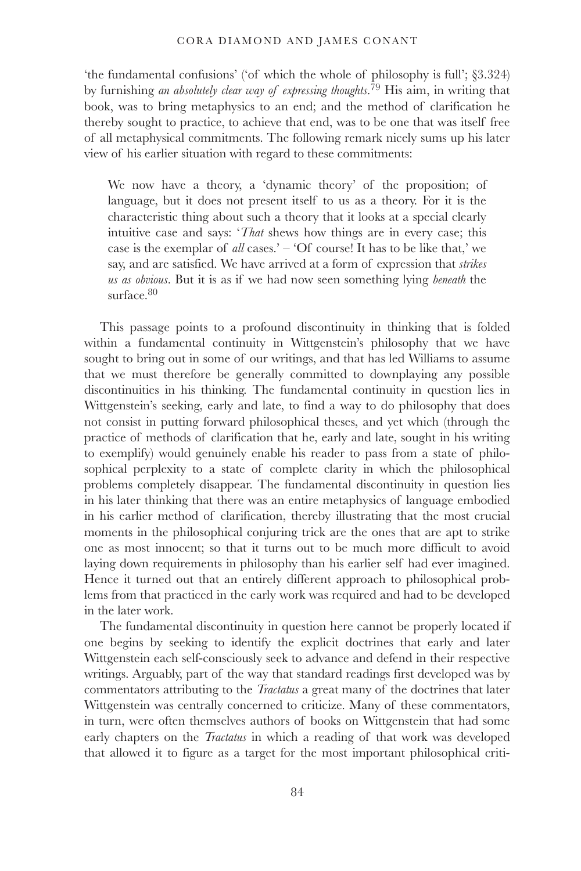#### CORA DIAMOND AND JAMES CONANT

'the fundamental confusions' ('of which the whole of philosophy is full'; §3.324) by furnishing *an absolutely clear way of expressing thoughts*. <sup>79</sup> His aim, in writing that book, was to bring metaphysics to an end; and the method of clarification he thereby sought to practice, to achieve that end, was to be one that was itself free of all metaphysical commitments. The following remark nicely sums up his later view of his earlier situation with regard to these commitments:

We now have a theory, a 'dynamic theory' of the proposition; of language, but it does not present itself to us as a theory. For it is the characteristic thing about such a theory that it looks at a special clearly intuitive case and says: '*That* shews how things are in every case; this case is the exemplar of *all* cases.' – 'Of course! It has to be like that,' we say, and are satisfied. We have arrived at a form of expression that *strikes us as obvious*. But it is as if we had now seen something lying *beneath* the surface.<sup>80</sup>

This passage points to a profound discontinuity in thinking that is folded within a fundamental continuity in Wittgenstein's philosophy that we have sought to bring out in some of our writings, and that has led Williams to assume that we must therefore be generally committed to downplaying any possible discontinuities in his thinking. The fundamental continuity in question lies in Wittgenstein's seeking, early and late, to find a way to do philosophy that does not consist in putting forward philosophical theses, and yet which (through the practice of methods of clarification that he, early and late, sought in his writing to exemplify) would genuinely enable his reader to pass from a state of philosophical perplexity to a state of complete clarity in which the philosophical problems completely disappear. The fundamental discontinuity in question lies in his later thinking that there was an entire metaphysics of language embodied in his earlier method of clarification, thereby illustrating that the most crucial moments in the philosophical conjuring trick are the ones that are apt to strike one as most innocent; so that it turns out to be much more difficult to avoid laying down requirements in philosophy than his earlier self had ever imagined. Hence it turned out that an entirely different approach to philosophical problems from that practiced in the early work was required and had to be developed in the later work.

The fundamental discontinuity in question here cannot be properly located if one begins by seeking to identify the explicit doctrines that early and later Wittgenstein each self-consciously seek to advance and defend in their respective writings. Arguably, part of the way that standard readings first developed was by commentators attributing to the *Tractatus* a great many of the doctrines that later Wittgenstein was centrally concerned to criticize. Many of these commentators, in turn, were often themselves authors of books on Wittgenstein that had some early chapters on the *Tractatus* in which a reading of that work was developed that allowed it to figure as a target for the most important philosophical criti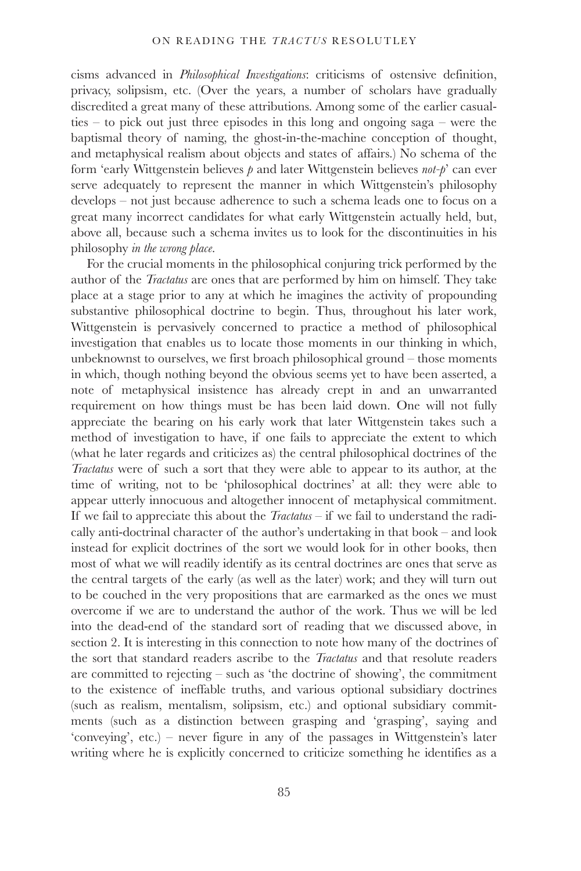cisms advanced in *Philosophical Investigations*: criticisms of ostensive definition, privacy, solipsism, etc. (Over the years, a number of scholars have gradually discredited a great many of these attributions. Among some of the earlier casualties – to pick out just three episodes in this long and ongoing saga – were the baptismal theory of naming, the ghost-in-the-machine conception of thought, and metaphysical realism about objects and states of affairs.) No schema of the form 'early Wittgenstein believes *p* and later Wittgenstein believes *not-p*' can ever serve adequately to represent the manner in which Wittgenstein's philosophy develops – not just because adherence to such a schema leads one to focus on a great many incorrect candidates for what early Wittgenstein actually held, but, above all, because such a schema invites us to look for the discontinuities in his philosophy *in the wrong place*.

For the crucial moments in the philosophical conjuring trick performed by the author of the *Tractatus* are ones that are performed by him on himself. They take place at a stage prior to any at which he imagines the activity of propounding substantive philosophical doctrine to begin. Thus, throughout his later work, Wittgenstein is pervasively concerned to practice a method of philosophical investigation that enables us to locate those moments in our thinking in which, unbeknownst to ourselves, we first broach philosophical ground – those moments in which, though nothing beyond the obvious seems yet to have been asserted, a note of metaphysical insistence has already crept in and an unwarranted requirement on how things must be has been laid down. One will not fully appreciate the bearing on his early work that later Wittgenstein takes such a method of investigation to have, if one fails to appreciate the extent to which (what he later regards and criticizes as) the central philosophical doctrines of the *Tractatus* were of such a sort that they were able to appear to its author, at the time of writing, not to be 'philosophical doctrines' at all: they were able to appear utterly innocuous and altogether innocent of metaphysical commitment. If we fail to appreciate this about the *Tractatus* – if we fail to understand the radically anti-doctrinal character of the author's undertaking in that book – and look instead for explicit doctrines of the sort we would look for in other books, then most of what we will readily identify as its central doctrines are ones that serve as the central targets of the early (as well as the later) work; and they will turn out to be couched in the very propositions that are earmarked as the ones we must overcome if we are to understand the author of the work. Thus we will be led into the dead-end of the standard sort of reading that we discussed above, in section 2. It is interesting in this connection to note how many of the doctrines of the sort that standard readers ascribe to the *Tractatus* and that resolute readers are committed to rejecting – such as 'the doctrine of showing', the commitment to the existence of ineffable truths, and various optional subsidiary doctrines (such as realism, mentalism, solipsism, etc.) and optional subsidiary commitments (such as a distinction between grasping and 'grasping', saying and 'conveying', etc.) – never figure in any of the passages in Wittgenstein's later writing where he is explicitly concerned to criticize something he identifies as a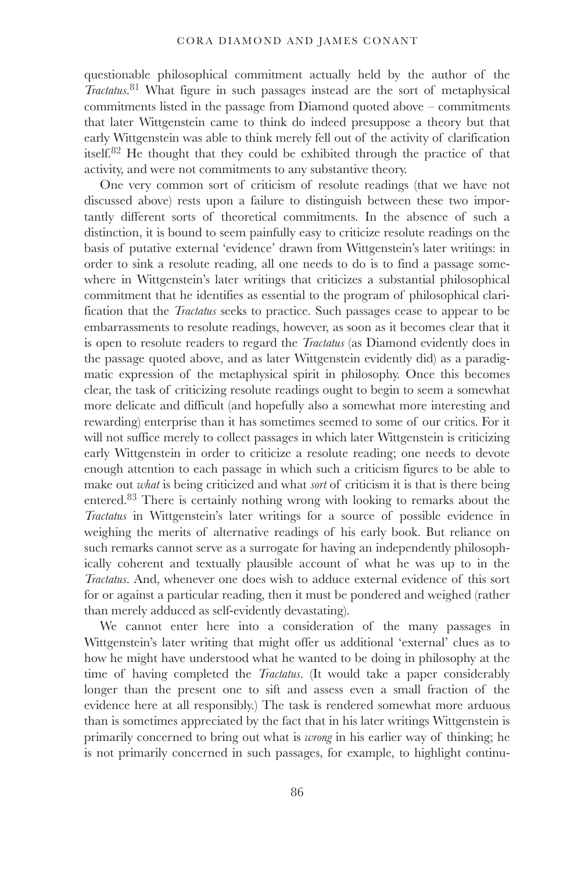questionable philosophical commitment actually held by the author of the *Tractatus*. <sup>81</sup> What figure in such passages instead are the sort of metaphysical commitments listed in the passage from Diamond quoted above – commitments that later Wittgenstein came to think do indeed presuppose a theory but that early Wittgenstein was able to think merely fell out of the activity of clarification itself. $82$  He thought that they could be exhibited through the practice of that activity, and were not commitments to any substantive theory.

One very common sort of criticism of resolute readings (that we have not discussed above) rests upon a failure to distinguish between these two importantly different sorts of theoretical commitments. In the absence of such a distinction, it is bound to seem painfully easy to criticize resolute readings on the basis of putative external 'evidence' drawn from Wittgenstein's later writings: in order to sink a resolute reading, all one needs to do is to find a passage somewhere in Wittgenstein's later writings that criticizes a substantial philosophical commitment that he identifies as essential to the program of philosophical clarification that the *Tractatus* seeks to practice. Such passages cease to appear to be embarrassments to resolute readings, however, as soon as it becomes clear that it is open to resolute readers to regard the *Tractatus* (as Diamond evidently does in the passage quoted above, and as later Wittgenstein evidently did) as a paradigmatic expression of the metaphysical spirit in philosophy. Once this becomes clear, the task of criticizing resolute readings ought to begin to seem a somewhat more delicate and difficult (and hopefully also a somewhat more interesting and rewarding) enterprise than it has sometimes seemed to some of our critics. For it will not suffice merely to collect passages in which later Wittgenstein is criticizing early Wittgenstein in order to criticize a resolute reading; one needs to devote enough attention to each passage in which such a criticism figures to be able to make out *what* is being criticized and what *sort* of criticism it is that is there being entered.<sup>83</sup> There is certainly nothing wrong with looking to remarks about the *Tractatus* in Wittgenstein's later writings for a source of possible evidence in weighing the merits of alternative readings of his early book. But reliance on such remarks cannot serve as a surrogate for having an independently philosophically coherent and textually plausible account of what he was up to in the *Tractatus*. And, whenever one does wish to adduce external evidence of this sort for or against a particular reading, then it must be pondered and weighed (rather than merely adduced as self-evidently devastating).

We cannot enter here into a consideration of the many passages in Wittgenstein's later writing that might offer us additional 'external' clues as to how he might have understood what he wanted to be doing in philosophy at the time of having completed the *Tractatus*. (It would take a paper considerably longer than the present one to sift and assess even a small fraction of the evidence here at all responsibly.) The task is rendered somewhat more arduous than is sometimes appreciated by the fact that in his later writings Wittgenstein is primarily concerned to bring out what is *wrong* in his earlier way of thinking; he is not primarily concerned in such passages, for example, to highlight continu-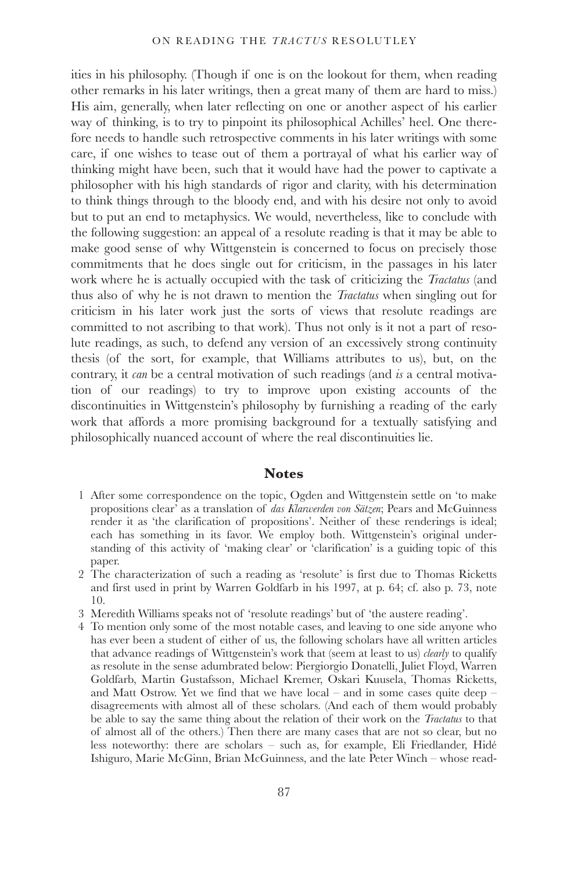ities in his philosophy. (Though if one is on the lookout for them, when reading other remarks in his later writings, then a great many of them are hard to miss.) His aim, generally, when later reflecting on one or another aspect of his earlier way of thinking, is to try to pinpoint its philosophical Achilles' heel. One therefore needs to handle such retrospective comments in his later writings with some care, if one wishes to tease out of them a portrayal of what his earlier way of thinking might have been, such that it would have had the power to captivate a philosopher with his high standards of rigor and clarity, with his determination to think things through to the bloody end, and with his desire not only to avoid but to put an end to metaphysics. We would, nevertheless, like to conclude with the following suggestion: an appeal of a resolute reading is that it may be able to make good sense of why Wittgenstein is concerned to focus on precisely those commitments that he does single out for criticism, in the passages in his later work where he is actually occupied with the task of criticizing the *Tractatus* (and thus also of why he is not drawn to mention the *Tractatus* when singling out for criticism in his later work just the sorts of views that resolute readings are committed to not ascribing to that work). Thus not only is it not a part of resolute readings, as such, to defend any version of an excessively strong continuity thesis (of the sort, for example, that Williams attributes to us), but, on the contrary, it *can* be a central motivation of such readings (and *is* a central motivation of our readings) to try to improve upon existing accounts of the discontinuities in Wittgenstein's philosophy by furnishing a reading of the early work that affords a more promising background for a textually satisfying and philosophically nuanced account of where the real discontinuities lie.

#### **Notes**

- 1 After some correspondence on the topic, Ogden and Wittgenstein settle on 'to make propositions clear' as a translation of *das Klarwerden von Sätzen*; Pears and McGuinness render it as 'the clarification of propositions'. Neither of these renderings is ideal; each has something in its favor. We employ both. Wittgenstein's original understanding of this activity of 'making clear' or 'clarification' is a guiding topic of this paper.
- 2 The characterization of such a reading as 'resolute' is first due to Thomas Ricketts and first used in print by Warren Goldfarb in his 1997, at p. 64; cf. also p. 73, note 10.
- 3 Meredith Williams speaks not of 'resolute readings' but of 'the austere reading'.
- 4 To mention only some of the most notable cases, and leaving to one side anyone who has ever been a student of either of us, the following scholars have all written articles that advance readings of Wittgenstein's work that (seem at least to us) *clearly* to qualify as resolute in the sense adumbrated below: Piergiorgio Donatelli, Juliet Floyd, Warren Goldfarb, Martin Gustafsson, Michael Kremer, Oskari Kuusela, Thomas Ricketts, and Matt Ostrow. Yet we find that we have local – and in some cases quite deep – disagreements with almost all of these scholars. (And each of them would probably be able to say the same thing about the relation of their work on the *Tractatus* to that of almost all of the others.) Then there are many cases that are not so clear, but no less noteworthy: there are scholars – such as, for example, Eli Friedlander, Hidé Ishiguro, Marie McGinn, Brian McGuinness, and the late Peter Winch – whose read-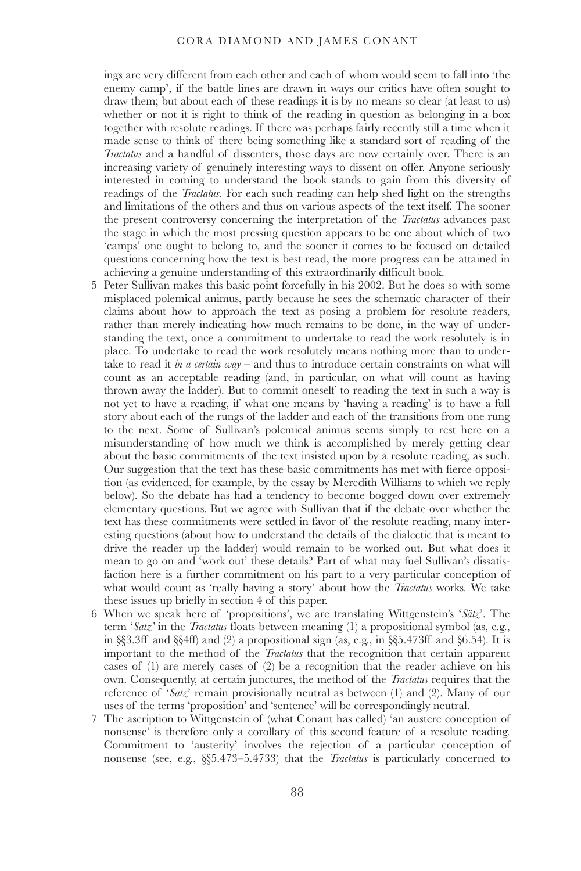#### CORA DIAMOND AND JAMES CONANT

ings are very different from each other and each of whom would seem to fall into 'the enemy camp', if the battle lines are drawn in ways our critics have often sought to draw them; but about each of these readings it is by no means so clear (at least to us) whether or not it is right to think of the reading in question as belonging in a box together with resolute readings. If there was perhaps fairly recently still a time when it made sense to think of there being something like a standard sort of reading of the *Tractatus* and a handful of dissenters, those days are now certainly over. There is an increasing variety of genuinely interesting ways to dissent on offer. Anyone seriously interested in coming to understand the book stands to gain from this diversity of readings of the *Tractatus*. For each such reading can help shed light on the strengths and limitations of the others and thus on various aspects of the text itself. The sooner the present controversy concerning the interpretation of the *Tractatus* advances past the stage in which the most pressing question appears to be one about which of two 'camps' one ought to belong to, and the sooner it comes to be focused on detailed questions concerning how the text is best read, the more progress can be attained in achieving a genuine understanding of this extraordinarily difficult book.

- 5 Peter Sullivan makes this basic point forcefully in his 2002. But he does so with some misplaced polemical animus, partly because he sees the schematic character of their claims about how to approach the text as posing a problem for resolute readers, rather than merely indicating how much remains to be done, in the way of understanding the text, once a commitment to undertake to read the work resolutely is in place. To undertake to read the work resolutely means nothing more than to undertake to read it *in a certain way* – and thus to introduce certain constraints on what will count as an acceptable reading (and, in particular, on what will count as having thrown away the ladder). But to commit oneself to reading the text in such a way is not yet to have a reading, if what one means by 'having a reading' is to have a full story about each of the rungs of the ladder and each of the transitions from one rung to the next. Some of Sullivan's polemical animus seems simply to rest here on a misunderstanding of how much we think is accomplished by merely getting clear about the basic commitments of the text insisted upon by a resolute reading, as such. Our suggestion that the text has these basic commitments has met with fierce opposition (as evidenced, for example, by the essay by Meredith Williams to which we reply below). So the debate has had a tendency to become bogged down over extremely elementary questions. But we agree with Sullivan that if the debate over whether the text has these commitments were settled in favor of the resolute reading, many interesting questions (about how to understand the details of the dialectic that is meant to drive the reader up the ladder) would remain to be worked out. But what does it mean to go on and 'work out' these details? Part of what may fuel Sullivan's dissatisfaction here is a further commitment on his part to a very particular conception of what would count as 'really having a story' about how the *Tractatus* works. We take these issues up briefly in section 4 of this paper.
- 6 When we speak here of 'propositions', we are translating Wittgenstein's '*Sätz*'. The term '*Satz'* in the *Tractatus* floats between meaning (1) a propositional symbol (as, e.g., in §§3.3ff and §§4ff) and (2) a propositional sign (as, e.g., in §§5.473ff and §6.54). It is important to the method of the *Tractatus* that the recognition that certain apparent cases of (1) are merely cases of (2) be a recognition that the reader achieve on his own. Consequently, at certain junctures, the method of the *Tractatus* requires that the reference of '*Satz*' remain provisionally neutral as between (1) and (2). Many of our uses of the terms 'proposition' and 'sentence' will be correspondingly neutral.
- 7 The ascription to Wittgenstein of (what Conant has called) 'an austere conception of nonsense' is therefore only a corollary of this second feature of a resolute reading. Commitment to 'austerity' involves the rejection of a particular conception of nonsense (see, e.g., §§5.473–5.4733) that the *Tractatus* is particularly concerned to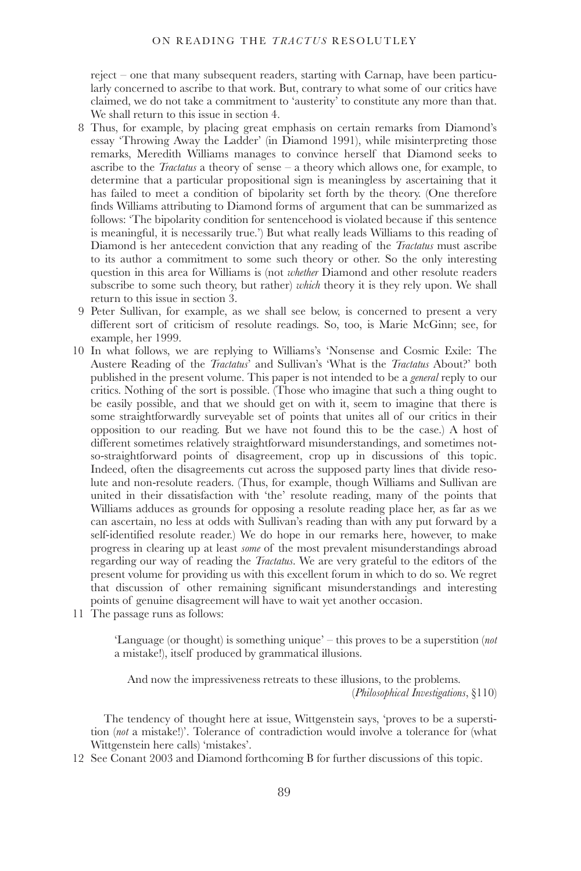reject – one that many subsequent readers, starting with Carnap, have been particularly concerned to ascribe to that work. But, contrary to what some of our critics have claimed, we do not take a commitment to 'austerity' to constitute any more than that. We shall return to this issue in section 4.

- 8 Thus, for example, by placing great emphasis on certain remarks from Diamond's essay 'Throwing Away the Ladder' (in Diamond 1991), while misinterpreting those remarks, Meredith Williams manages to convince herself that Diamond seeks to ascribe to the *Tractatus* a theory of sense – a theory which allows one, for example, to determine that a particular propositional sign is meaningless by ascertaining that it has failed to meet a condition of bipolarity set forth by the theory. (One therefore finds Williams attributing to Diamond forms of argument that can be summarized as follows: 'The bipolarity condition for sentencehood is violated because if this sentence is meaningful, it is necessarily true.') But what really leads Williams to this reading of Diamond is her antecedent conviction that any reading of the *Tractatus* must ascribe to its author a commitment to some such theory or other. So the only interesting question in this area for Williams is (not *whether* Diamond and other resolute readers subscribe to some such theory, but rather) *which* theory it is they rely upon. We shall return to this issue in section 3.
- 9 Peter Sullivan, for example, as we shall see below, is concerned to present a very different sort of criticism of resolute readings. So, too, is Marie McGinn; see, for example, her 1999.
- 10 In what follows, we are replying to Williams's 'Nonsense and Cosmic Exile: The Austere Reading of the *Tractatus*' and Sullivan's 'What is the *Tractatus* About?' both published in the present volume. This paper is not intended to be a *general* reply to our critics. Nothing of the sort is possible. (Those who imagine that such a thing ought to be easily possible, and that we should get on with it, seem to imagine that there is some straightforwardly surveyable set of points that unites all of our critics in their opposition to our reading. But we have not found this to be the case.) A host of different sometimes relatively straightforward misunderstandings, and sometimes notso-straightforward points of disagreement, crop up in discussions of this topic. Indeed, often the disagreements cut across the supposed party lines that divide resolute and non-resolute readers. (Thus, for example, though Williams and Sullivan are united in their dissatisfaction with 'the' resolute reading, many of the points that Williams adduces as grounds for opposing a resolute reading place her, as far as we can ascertain, no less at odds with Sullivan's reading than with any put forward by a self-identified resolute reader.) We do hope in our remarks here, however, to make progress in clearing up at least *some* of the most prevalent misunderstandings abroad regarding our way of reading the *Tractatus*. We are very grateful to the editors of the present volume for providing us with this excellent forum in which to do so. We regret that discussion of other remaining significant misunderstandings and interesting points of genuine disagreement will have to wait yet another occasion.
- 11 The passage runs as follows:

'Language (or thought) is something unique' – this proves to be a superstition (*not* a mistake!), itself produced by grammatical illusions.

And now the impressiveness retreats to these illusions, to the problems. (*Philosophical Investigations*, §110)

The tendency of thought here at issue, Wittgenstein says, 'proves to be a superstition (*not* a mistake!)'. Tolerance of contradiction would involve a tolerance for (what Wittgenstein here calls) 'mistakes'.

12 See Conant 2003 and Diamond forthcoming B for further discussions of this topic.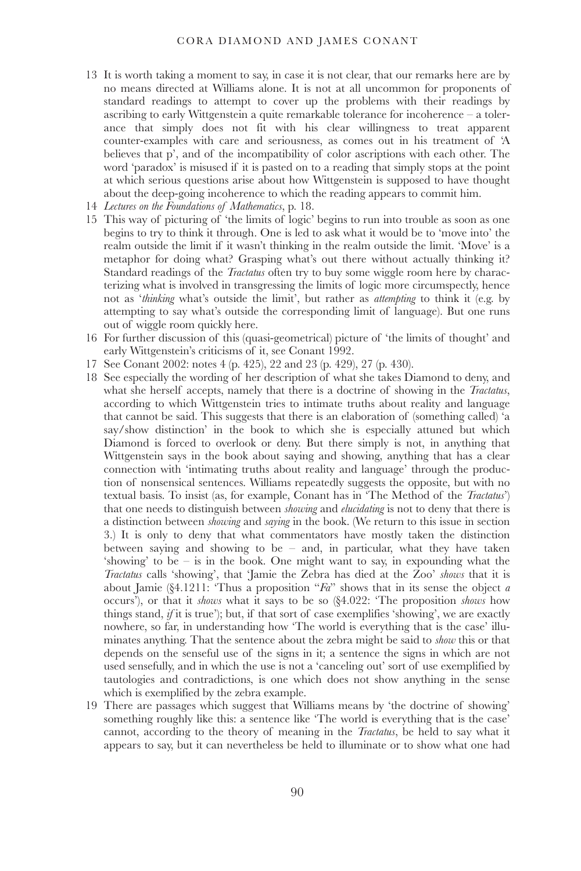- 13 It is worth taking a moment to say, in case it is not clear, that our remarks here are by no means directed at Williams alone. It is not at all uncommon for proponents of standard readings to attempt to cover up the problems with their readings by ascribing to early Wittgenstein a quite remarkable tolerance for incoherence – a tolerance that simply does not fit with his clear willingness to treat apparent counter-examples with care and seriousness, as comes out in his treatment of 'A believes that p', and of the incompatibility of color ascriptions with each other. The word 'paradox' is misused if it is pasted on to a reading that simply stops at the point at which serious questions arise about how Wittgenstein is supposed to have thought about the deep-going incoherence to which the reading appears to commit him.
- 14 *Lectures on the Foundations of Mathematics*, p. 18.
- 15 This way of picturing of 'the limits of logic' begins to run into trouble as soon as one begins to try to think it through. One is led to ask what it would be to 'move into' the realm outside the limit if it wasn't thinking in the realm outside the limit. 'Move' is a metaphor for doing what? Grasping what's out there without actually thinking it? Standard readings of the *Tractatus* often try to buy some wiggle room here by characterizing what is involved in transgressing the limits of logic more circumspectly, hence not as '*thinking* what's outside the limit', but rather as *attempting* to think it (e.g. by attempting to say what's outside the corresponding limit of language). But one runs out of wiggle room quickly here.
- 16 For further discussion of this (quasi-geometrical) picture of 'the limits of thought' and early Wittgenstein's criticisms of it, see Conant 1992.
- 17 See Conant 2002: notes 4 (p. 425), 22 and 23 (p. 429), 27 (p. 430).
- 18 See especially the wording of her description of what she takes Diamond to deny, and what she herself accepts, namely that there is a doctrine of showing in the *Tractatus*, according to which Wittgenstein tries to intimate truths about reality and language that cannot be said. This suggests that there is an elaboration of (something called) 'a say/show distinction' in the book to which she is especially attuned but which Diamond is forced to overlook or deny. But there simply is not, in anything that Wittgenstein says in the book about saying and showing, anything that has a clear connection with 'intimating truths about reality and language' through the production of nonsensical sentences. Williams repeatedly suggests the opposite, but with no textual basis. To insist (as, for example, Conant has in 'The Method of the *Tractatus*') that one needs to distinguish between *showing* and *elucidating* is not to deny that there is a distinction between *showing* and *saying* in the book. (We return to this issue in section 3.) It is only to deny that what commentators have mostly taken the distinction between saying and showing to be – and, in particular, what they have taken 'showing' to be – is in the book. One might want to say, in expounding what the *Tractatus* calls 'showing', that 'Jamie the Zebra has died at the Zoo' *shows* that it is about Jamie (§4.1211: 'Thus a proposition "*Fa*" shows that in its sense the object *a* occurs'), or that it *shows* what it says to be so (§4.022: 'The proposition *shows* how things stand, *if* it is true'); but, if that sort of case exemplifies 'showing', we are exactly nowhere, so far, in understanding how 'The world is everything that is the case' illuminates anything. That the sentence about the zebra might be said to *show* this or that depends on the senseful use of the signs in it; a sentence the signs in which are not used sensefully, and in which the use is not a 'canceling out' sort of use exemplified by tautologies and contradictions, is one which does not show anything in the sense which is exemplified by the zebra example.
- 19 There are passages which suggest that Williams means by 'the doctrine of showing' something roughly like this: a sentence like 'The world is everything that is the case' cannot, according to the theory of meaning in the *Tractatus*, be held to say what it appears to say, but it can nevertheless be held to illuminate or to show what one had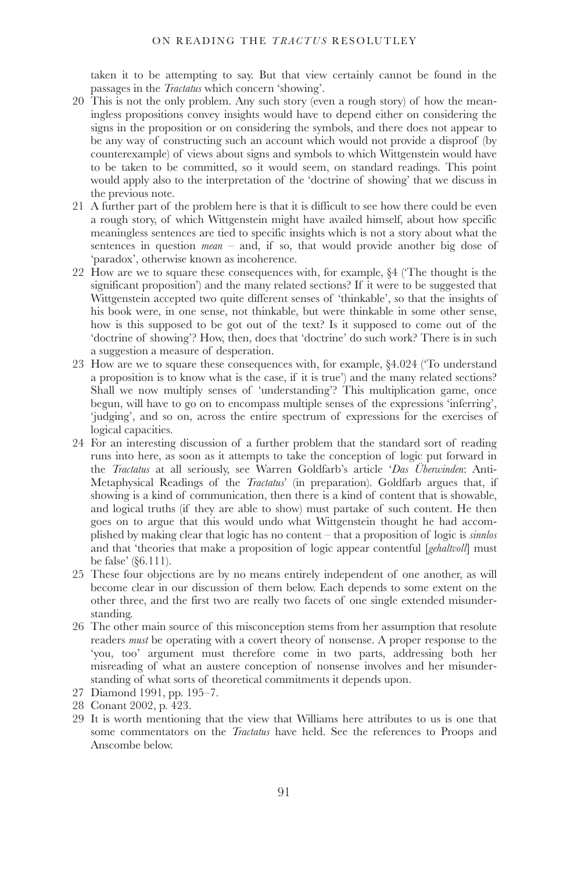taken it to be attempting to say. But that view certainly cannot be found in the passages in the *Tractatus* which concern 'showing'.

- 20 This is not the only problem. Any such story (even a rough story) of how the meaningless propositions convey insights would have to depend either on considering the signs in the proposition or on considering the symbols, and there does not appear to be any way of constructing such an account which would not provide a disproof (by counterexample) of views about signs and symbols to which Wittgenstein would have to be taken to be committed, so it would seem, on standard readings. This point would apply also to the interpretation of the 'doctrine of showing' that we discuss in the previous note.
- 21 A further part of the problem here is that it is difficult to see how there could be even a rough story, of which Wittgenstein might have availed himself, about how specific meaningless sentences are tied to specific insights which is not a story about what the sentences in question *mean* – and, if so, that would provide another big dose of 'paradox', otherwise known as incoherence.
- 22 How are we to square these consequences with, for example, §4 ('The thought is the significant proposition') and the many related sections? If it were to be suggested that Wittgenstein accepted two quite different senses of 'thinkable', so that the insights of his book were, in one sense, not thinkable, but were thinkable in some other sense, how is this supposed to be got out of the text? Is it supposed to come out of the 'doctrine of showing'? How, then, does that 'doctrine' do such work? There is in such a suggestion a measure of desperation.
- 23 How are we to square these consequences with, for example, §4.024 ('To understand a proposition is to know what is the case, if it is true') and the many related sections? Shall we now multiply senses of 'understanding'? This multiplication game, once begun, will have to go on to encompass multiple senses of the expressions 'inferring', 'judging', and so on, across the entire spectrum of expressions for the exercises of logical capacities.
- 24 For an interesting discussion of a further problem that the standard sort of reading runs into here, as soon as it attempts to take the conception of logic put forward in the *Tractatus* at all seriously, see Warren Goldfarb's article '*Das Überwinden*: Anti-Metaphysical Readings of the *Tractatus*' (in preparation). Goldfarb argues that, if showing is a kind of communication, then there is a kind of content that is showable, and logical truths (if they are able to show) must partake of such content. He then goes on to argue that this would undo what Wittgenstein thought he had accomplished by making clear that logic has no content – that a proposition of logic is *sinnlos* and that 'theories that make a proposition of logic appear contentful [*gehaltvoll*] must be false' (§6.111).
- 25 These four objections are by no means entirely independent of one another, as will become clear in our discussion of them below. Each depends to some extent on the other three, and the first two are really two facets of one single extended misunderstanding.
- 26 The other main source of this misconception stems from her assumption that resolute readers *must* be operating with a covert theory of nonsense. A proper response to the 'you, too' argument must therefore come in two parts, addressing both her misreading of what an austere conception of nonsense involves and her misunderstanding of what sorts of theoretical commitments it depends upon.
- 27 Diamond 1991, pp. 195–7.
- 28 Conant 2002, p. 423.
- 29 It is worth mentioning that the view that Williams here attributes to us is one that some commentators on the *Tractatus* have held. See the references to Proops and Anscombe below.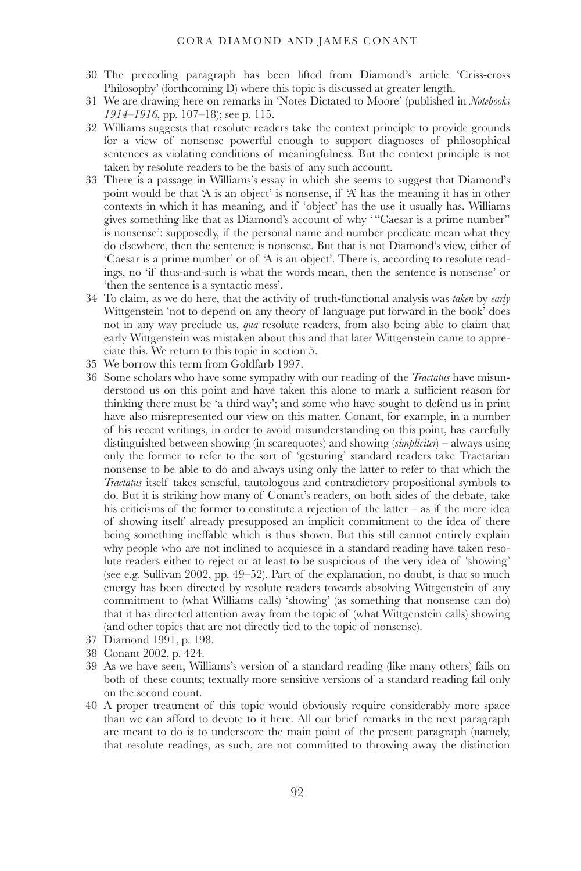- 30 The preceding paragraph has been lifted from Diamond's article 'Criss-cross Philosophy' (forthcoming D) where this topic is discussed at greater length.
- 31 We are drawing here on remarks in 'Notes Dictated to Moore' (published in *Notebooks 1914–1916*, pp. 107–18); see p. 115.
- 32 Williams suggests that resolute readers take the context principle to provide grounds for a view of nonsense powerful enough to support diagnoses of philosophical sentences as violating conditions of meaningfulness. But the context principle is not taken by resolute readers to be the basis of any such account.
- 33 There is a passage in Williams's essay in which she seems to suggest that Diamond's point would be that 'A is an object' is nonsense, if 'A' has the meaning it has in other contexts in which it has meaning, and if 'object' has the use it usually has. Williams gives something like that as Diamond's account of why ' "Caesar is a prime number" is nonsense': supposedly, if the personal name and number predicate mean what they do elsewhere, then the sentence is nonsense. But that is not Diamond's view, either of 'Caesar is a prime number' or of 'A is an object'. There is, according to resolute readings, no 'if thus-and-such is what the words mean, then the sentence is nonsense' or 'then the sentence is a syntactic mess'.
- 34 To claim, as we do here, that the activity of truth-functional analysis was *taken* by *early* Wittgenstein 'not to depend on any theory of language put forward in the book' does not in any way preclude us, *qua* resolute readers, from also being able to claim that early Wittgenstein was mistaken about this and that later Wittgenstein came to appreciate this. We return to this topic in section 5.
- 35 We borrow this term from Goldfarb 1997.
- 36 Some scholars who have some sympathy with our reading of the *Tractatus* have misunderstood us on this point and have taken this alone to mark a sufficient reason for thinking there must be 'a third way'; and some who have sought to defend us in print have also misrepresented our view on this matter. Conant, for example, in a number of his recent writings, in order to avoid misunderstanding on this point, has carefully distinguished between showing (in scarequotes) and showing (*simpliciter*) – always using only the former to refer to the sort of 'gesturing' standard readers take Tractarian nonsense to be able to do and always using only the latter to refer to that which the *Tractatus* itself takes senseful, tautologous and contradictory propositional symbols to do. But it is striking how many of Conant's readers, on both sides of the debate, take his criticisms of the former to constitute a rejection of the latter – as if the mere idea of showing itself already presupposed an implicit commitment to the idea of there being something ineffable which is thus shown. But this still cannot entirely explain why people who are not inclined to acquiesce in a standard reading have taken resolute readers either to reject or at least to be suspicious of the very idea of 'showing' (see e.g. Sullivan 2002, pp. 49–52). Part of the explanation, no doubt, is that so much energy has been directed by resolute readers towards absolving Wittgenstein of any commitment to (what Williams calls) 'showing' (as something that nonsense can do) that it has directed attention away from the topic of (what Wittgenstein calls) showing (and other topics that are not directly tied to the topic of nonsense).
- 37 Diamond 1991, p. 198.
- 38 Conant 2002, p. 424.
- 39 As we have seen, Williams's version of a standard reading (like many others) fails on both of these counts; textually more sensitive versions of a standard reading fail only on the second count.
- 40 A proper treatment of this topic would obviously require considerably more space than we can afford to devote to it here. All our brief remarks in the next paragraph are meant to do is to underscore the main point of the present paragraph (namely, that resolute readings, as such, are not committed to throwing away the distinction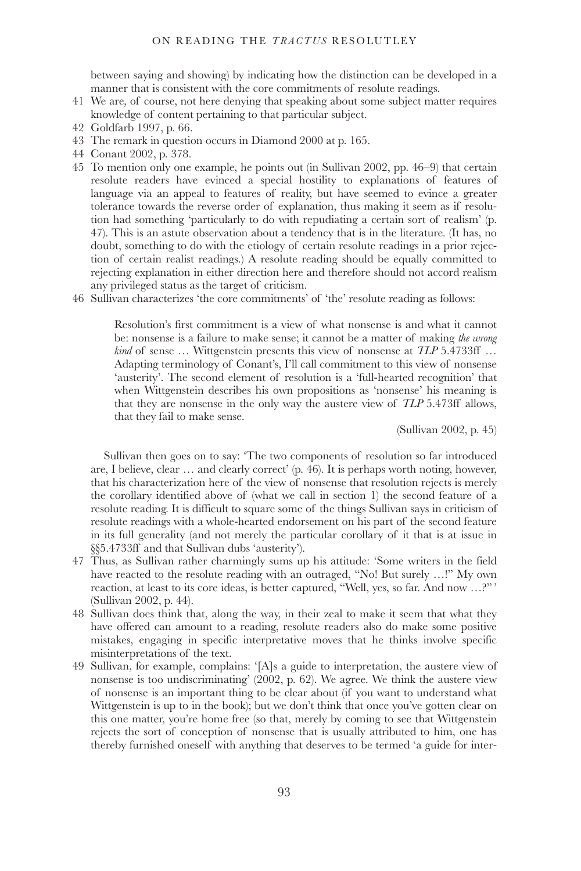#### ON READING THE *TRACTUS* RESOLUTLEY

between saying and showing) by indicating how the distinction can be developed in a manner that is consistent with the core commitments of resolute readings.

- 41 We are, of course, not here denying that speaking about some subject matter requires knowledge of content pertaining to that particular subject.
- 42 Goldfarb 1997, p. 66.
- 43 The remark in question occurs in Diamond 2000 at p. 165.
- 44 Conant 2002, p. 378.
- 45 To mention only one example, he points out (in Sullivan 2002, pp. 46–9) that certain resolute readers have evinced a special hostility to explanations of features of language via an appeal to features of reality, but have seemed to evince a greater tolerance towards the reverse order of explanation, thus making it seem as if resolution had something 'particularly to do with repudiating a certain sort of realism' (p. 47). This is an astute observation about a tendency that is in the literature. (It has, no doubt, something to do with the etiology of certain resolute readings in a prior rejection of certain realist readings.) A resolute reading should be equally committed to rejecting explanation in either direction here and therefore should not accord realism any privileged status as the target of criticism.
- 46 Sullivan characterizes 'the core commitments' of 'the' resolute reading as follows:

Resolution's first commitment is a view of what nonsense is and what it cannot be: nonsense is a failure to make sense; it cannot be a matter of making *the wrong kind* of sense … Wittgenstein presents this view of nonsense at *TLP* 5.4733ff … Adapting terminology of Conant's, I'll call commitment to this view of nonsense 'austerity'. The second element of resolution is a 'full-hearted recognition' that when Wittgenstein describes his own propositions as 'nonsense' his meaning is that they are nonsense in the only way the austere view of *TLP* 5.473ff allows, that they fail to make sense.

(Sullivan 2002, p. 45)

Sullivan then goes on to say: 'The two components of resolution so far introduced are, I believe, clear … and clearly correct' (p. 46). It is perhaps worth noting, however, that his characterization here of the view of nonsense that resolution rejects is merely the corollary identified above of (what we call in section 1) the second feature of a resolute reading. It is difficult to square some of the things Sullivan says in criticism of resolute readings with a whole-hearted endorsement on his part of the second feature in its full generality (and not merely the particular corollary of it that is at issue in §§5.4733ff and that Sullivan dubs 'austerity').

- 47 Thus, as Sullivan rather charmingly sums up his attitude: 'Some writers in the field have reacted to the resolute reading with an outraged, "No! But surely …!" My own reaction, at least to its core ideas, is better captured, "Well, yes, so far. And now …?" ' (Sullivan 2002, p. 44).
- 48 Sullivan does think that, along the way, in their zeal to make it seem that what they have offered can amount to a reading, resolute readers also do make some positive mistakes, engaging in specific interpretative moves that he thinks involve specific misinterpretations of the text.
- 49 Sullivan, for example, complains: '[A]s a guide to interpretation, the austere view of nonsense is too undiscriminating' (2002, p. 62). We agree. We think the austere view of nonsense is an important thing to be clear about (if you want to understand what Wittgenstein is up to in the book); but we don't think that once you've gotten clear on this one matter, you're home free (so that, merely by coming to see that Wittgenstein rejects the sort of conception of nonsense that is usually attributed to him, one has thereby furnished oneself with anything that deserves to be termed 'a guide for inter-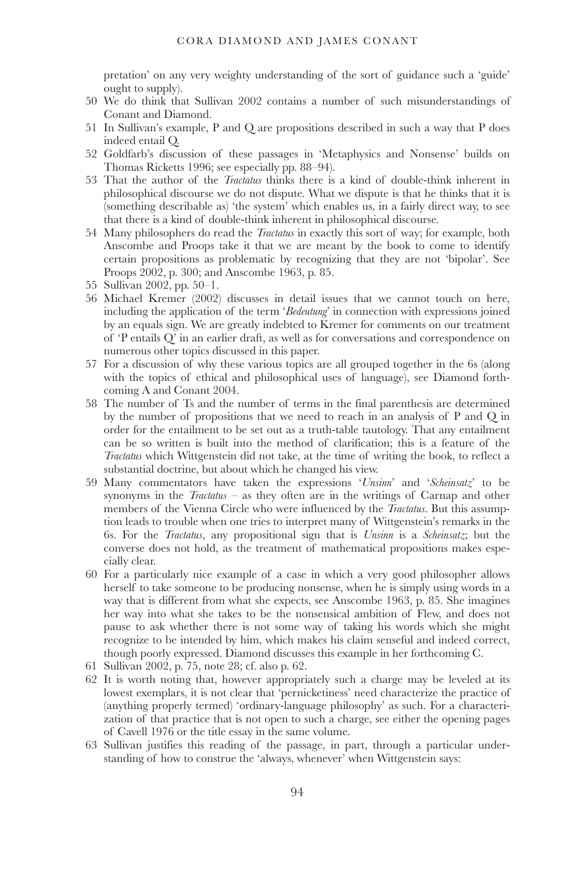pretation' on any very weighty understanding of the sort of guidance such a 'guide' ought to supply).

- 50 We do think that Sullivan 2002 contains a number of such misunderstandings of Conant and Diamond.
- 51 In Sullivan's example, P and Q are propositions described in such a way that P does indeed entail Q.
- 52 Goldfarb's discussion of these passages in 'Metaphysics and Nonsense' builds on Thomas Ricketts 1996; see especially pp. 88–94).
- 53 That the author of the *Tractatus* thinks there is a kind of double-think inherent in philosophical discourse we do not dispute. What we dispute is that he thinks that it is (something describable as) 'the system' which enables us, in a fairly direct way, to see that there is a kind of double-think inherent in philosophical discourse.
- 54 Many philosophers do read the *Tractatus* in exactly this sort of way; for example, both Anscombe and Proops take it that we are meant by the book to come to identify certain propositions as problematic by recognizing that they are not 'bipolar'. See Proops 2002, p. 300; and Anscombe 1963, p. 85.
- 55 Sullivan 2002, pp. 50–1.
- 56 Michael Kremer (2002) discusses in detail issues that we cannot touch on here, including the application of the term '*Bedeutung*' in connection with expressions joined by an equals sign. We are greatly indebted to Kremer for comments on our treatment of 'P entails Q' in an earlier draft, as well as for conversations and correspondence on numerous other topics discussed in this paper.
- 57 For a discussion of why these various topics are all grouped together in the 6s (along with the topics of ethical and philosophical uses of language), see Diamond forthcoming A and Conant 2004.
- 58 The number of Ts and the number of terms in the final parenthesis are determined by the number of propositions that we need to reach in an analysis of P and Q in order for the entailment to be set out as a truth-table tautology. That any entailment can be so written is built into the method of clarification; this is a feature of the *Tractatus* which Wittgenstein did not take, at the time of writing the book, to reflect a substantial doctrine, but about which he changed his view.
- 59 Many commentators have taken the expressions '*Unsinn*' and '*Scheinsatz*' to be synonyms in the *Tractatus* – as they often are in the writings of Carnap and other members of the Vienna Circle who were influenced by the *Tractatus*. But this assumption leads to trouble when one tries to interpret many of Wittgenstein's remarks in the 6s. For the *Tractatus*, any propositional sign that is *Unsinn* is a *Scheinsatz*; but the converse does not hold, as the treatment of mathematical propositions makes especially clear.
- 60 For a particularly nice example of a case in which a very good philosopher allows herself to take someone to be producing nonsense, when he is simply using words in a way that is different from what she expects, see Anscombe 1963, p. 85. She imagines her way into what she takes to be the nonsensical ambition of Flew, and does not pause to ask whether there is not some way of taking his words which she might recognize to be intended by him, which makes his claim senseful and indeed correct, though poorly expressed. Diamond discusses this example in her forthcoming C.
- 61 Sullivan 2002, p. 75, note 28; cf. also p. 62.
- 62 It is worth noting that, however appropriately such a charge may be leveled at its lowest exemplars, it is not clear that 'pernicketiness' need characterize the practice of (anything properly termed) 'ordinary-language philosophy' as such. For a characterization of that practice that is not open to such a charge, see either the opening pages of Cavell 1976 or the title essay in the same volume.
- 63 Sullivan justifies this reading of the passage, in part, through a particular understanding of how to construe the 'always, whenever' when Wittgenstein says: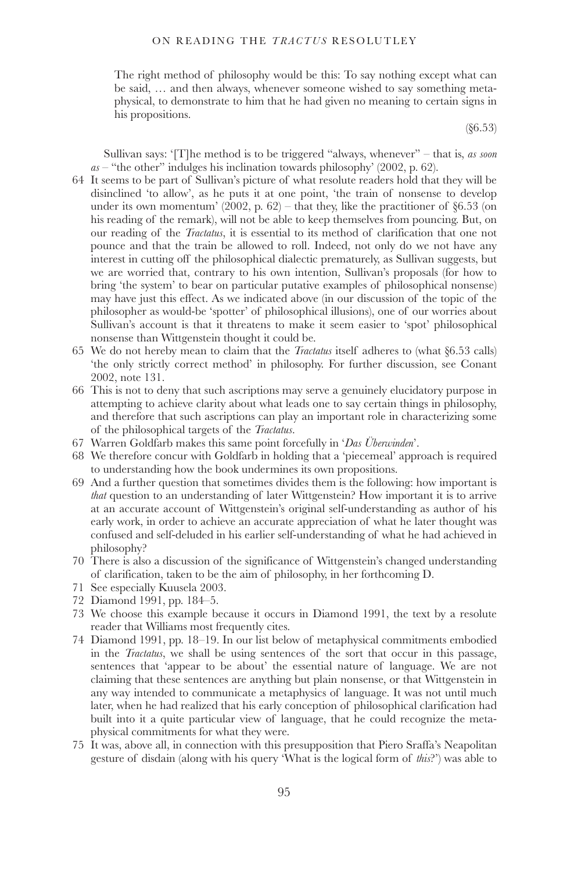The right method of philosophy would be this: To say nothing except what can be said, … and then always, whenever someone wished to say something metaphysical, to demonstrate to him that he had given no meaning to certain signs in his propositions.

 $(86.53)$ 

Sullivan says: '[T]he method is to be triggered "always, whenever" – that is, *as soon as* – "the other" indulges his inclination towards philosophy' (2002, p. 62).

- 64 It seems to be part of Sullivan's picture of what resolute readers hold that they will be disinclined 'to allow', as he puts it at one point, 'the train of nonsense to develop under its own momentum'  $(2002, p. 62)$  – that they, like the practitioner of §6.53 (on his reading of the remark), will not be able to keep themselves from pouncing. But, on our reading of the *Tractatus*, it is essential to its method of clarification that one not pounce and that the train be allowed to roll. Indeed, not only do we not have any interest in cutting off the philosophical dialectic prematurely, as Sullivan suggests, but we are worried that, contrary to his own intention, Sullivan's proposals (for how to bring 'the system' to bear on particular putative examples of philosophical nonsense) may have just this effect. As we indicated above (in our discussion of the topic of the philosopher as would-be 'spotter' of philosophical illusions), one of our worries about Sullivan's account is that it threatens to make it seem easier to 'spot' philosophical nonsense than Wittgenstein thought it could be.
- 65 We do not hereby mean to claim that the *Tractatus* itself adheres to (what §6.53 calls) 'the only strictly correct method' in philosophy. For further discussion, see Conant 2002, note 131.
- 66 This is not to deny that such ascriptions may serve a genuinely elucidatory purpose in attempting to achieve clarity about what leads one to say certain things in philosophy, and therefore that such ascriptions can play an important role in characterizing some of the philosophical targets of the *Tractatus*.
- 67 Warren Goldfarb makes this same point forcefully in '*Das Überwinden*'.
- 68 We therefore concur with Goldfarb in holding that a 'piecemeal' approach is required to understanding how the book undermines its own propositions.
- 69 And a further question that sometimes divides them is the following: how important is *that* question to an understanding of later Wittgenstein? How important it is to arrive at an accurate account of Wittgenstein's original self-understanding as author of his early work, in order to achieve an accurate appreciation of what he later thought was confused and self-deluded in his earlier self-understanding of what he had achieved in philosophy?
- 70 There is also a discussion of the significance of Wittgenstein's changed understanding of clarification, taken to be the aim of philosophy, in her forthcoming D*.*
- 71 See especially Kuusela 2003.
- 72 Diamond 1991, pp. 184–5.
- 73 We choose this example because it occurs in Diamond 1991, the text by a resolute reader that Williams most frequently cites.
- 74 Diamond 1991, pp. 18–19. In our list below of metaphysical commitments embodied in the *Tractatus*, we shall be using sentences of the sort that occur in this passage, sentences that 'appear to be about' the essential nature of language. We are not claiming that these sentences are anything but plain nonsense, or that Wittgenstein in any way intended to communicate a metaphysics of language. It was not until much later, when he had realized that his early conception of philosophical clarification had built into it a quite particular view of language, that he could recognize the metaphysical commitments for what they were.
- 75 It was, above all, in connection with this presupposition that Piero Sraffa's Neapolitan gesture of disdain (along with his query 'What is the logical form of *this*?') was able to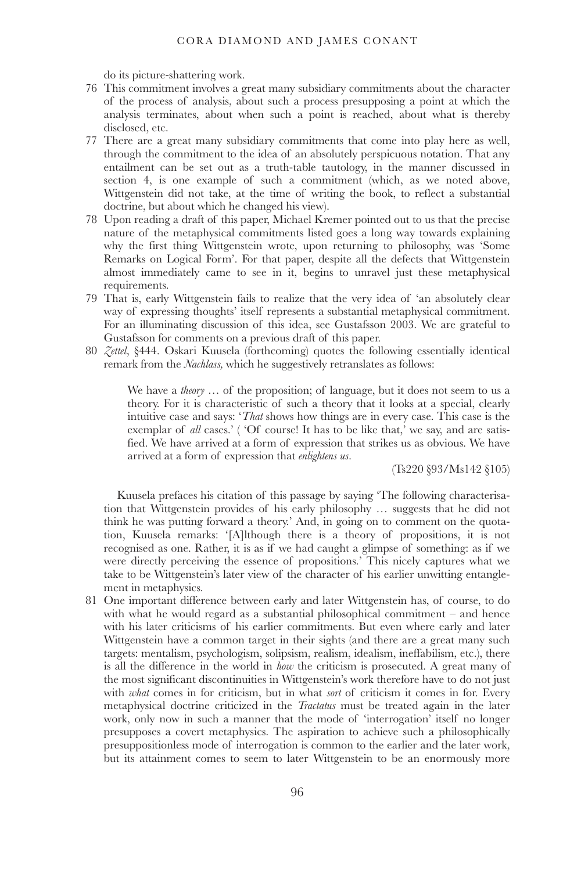do its picture-shattering work.

- 76 This commitment involves a great many subsidiary commitments about the character of the process of analysis, about such a process presupposing a point at which the analysis terminates, about when such a point is reached, about what is thereby disclosed, etc.
- 77 There are a great many subsidiary commitments that come into play here as well, through the commitment to the idea of an absolutely perspicuous notation. That any entailment can be set out as a truth-table tautology, in the manner discussed in section 4, is one example of such a commitment (which, as we noted above, Wittgenstein did not take, at the time of writing the book, to reflect a substantial doctrine, but about which he changed his view).
- 78 Upon reading a draft of this paper, Michael Kremer pointed out to us that the precise nature of the metaphysical commitments listed goes a long way towards explaining why the first thing Wittgenstein wrote, upon returning to philosophy, was 'Some Remarks on Logical Form'. For that paper, despite all the defects that Wittgenstein almost immediately came to see in it, begins to unravel just these metaphysical requirements.
- 79 That is, early Wittgenstein fails to realize that the very idea of 'an absolutely clear way of expressing thoughts' itself represents a substantial metaphysical commitment. For an illuminating discussion of this idea, see Gustafsson 2003. We are grateful to Gustafsson for comments on a previous draft of this paper.
- 80 *Zettel*, §444. Oskari Kuusela (forthcoming) quotes the following essentially identical remark from the *Nachlass,* which he suggestively retranslates as follows:

We have a *theory* … of the proposition; of language, but it does not seem to us a theory. For it is characteristic of such a theory that it looks at a special, clearly intuitive case and says: '*That* shows how things are in every case. This case is the exemplar of *all* cases.' ('Of course! It has to be like that,' we say, and are satisfied. We have arrived at a form of expression that strikes us as obvious. We have arrived at a form of expression that *enlightens us*.

(Ts220 §93/Ms142 §105)

Kuusela prefaces his citation of this passage by saying 'The following characterisation that Wittgenstein provides of his early philosophy … suggests that he did not think he was putting forward a theory.' And, in going on to comment on the quotation, Kuusela remarks: '[A]lthough there is a theory of propositions, it is not recognised as one. Rather, it is as if we had caught a glimpse of something: as if we were directly perceiving the essence of propositions.' This nicely captures what we take to be Wittgenstein's later view of the character of his earlier unwitting entanglement in metaphysics.

81 One important difference between early and later Wittgenstein has, of course, to do with what he would regard as a substantial philosophical commitment – and hence with his later criticisms of his earlier commitments. But even where early and later Wittgenstein have a common target in their sights (and there are a great many such targets: mentalism, psychologism, solipsism, realism, idealism, ineffabilism, etc.), there is all the difference in the world in *how* the criticism is prosecuted. A great many of the most significant discontinuities in Wittgenstein's work therefore have to do not just with *what* comes in for criticism, but in what *sort* of criticism it comes in for. Every metaphysical doctrine criticized in the *Tractatus* must be treated again in the later work, only now in such a manner that the mode of 'interrogation' itself no longer presupposes a covert metaphysics. The aspiration to achieve such a philosophically presuppositionless mode of interrogation is common to the earlier and the later work, but its attainment comes to seem to later Wittgenstein to be an enormously more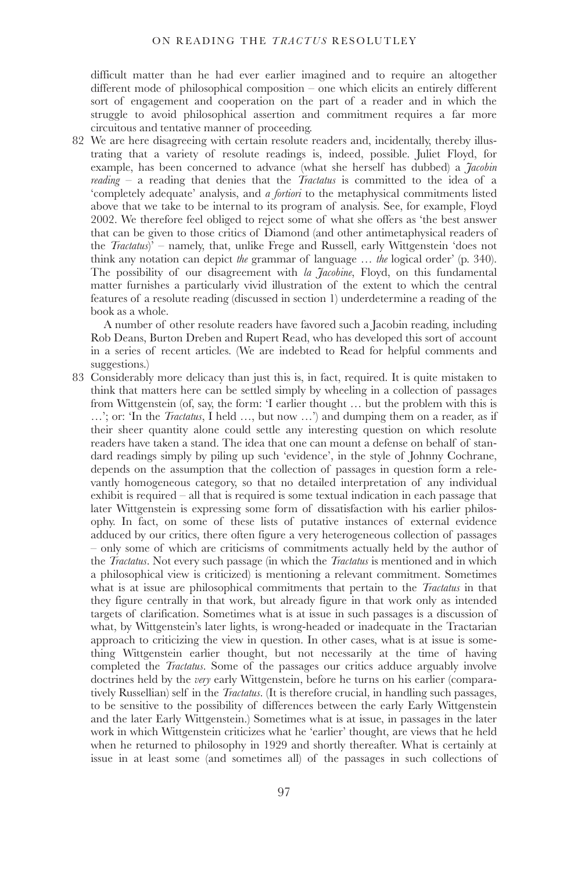difficult matter than he had ever earlier imagined and to require an altogether different mode of philosophical composition – one which elicits an entirely different sort of engagement and cooperation on the part of a reader and in which the struggle to avoid philosophical assertion and commitment requires a far more circuitous and tentative manner of proceeding.

82 We are here disagreeing with certain resolute readers and, incidentally, thereby illustrating that a variety of resolute readings is, indeed, possible. Juliet Floyd, for example, has been concerned to advance (what she herself has dubbed) a *Jacobin reading* – a reading that denies that the *Tractatus* is committed to the idea of a 'completely adequate' analysis, and *a fortiori* to the metaphysical commitments listed above that we take to be internal to its program of analysis. See, for example, Floyd 2002. We therefore feel obliged to reject some of what she offers as 'the best answer that can be given to those critics of Diamond (and other antimetaphysical readers of the *Tractatus*)' – namely, that, unlike Frege and Russell, early Wittgenstein 'does not think any notation can depict *the* grammar of language … *the* logical order' (p. 340). The possibility of our disagreement with *la Jacobine*, Floyd, on this fundamental matter furnishes a particularly vivid illustration of the extent to which the central features of a resolute reading (discussed in section 1) underdetermine a reading of the book as a whole.

A number of other resolute readers have favored such a Jacobin reading, including Rob Deans, Burton Dreben and Rupert Read, who has developed this sort of account in a series of recent articles. (We are indebted to Read for helpful comments and suggestions.)

83 Considerably more delicacy than just this is, in fact, required. It is quite mistaken to think that matters here can be settled simply by wheeling in a collection of passages from Wittgenstein (of, say, the form: 'I earlier thought … but the problem with this is …'; or: 'In the *Tractatus*, I held …, but now …') and dumping them on a reader, as if their sheer quantity alone could settle any interesting question on which resolute readers have taken a stand. The idea that one can mount a defense on behalf of standard readings simply by piling up such 'evidence', in the style of Johnny Cochrane, depends on the assumption that the collection of passages in question form a relevantly homogeneous category, so that no detailed interpretation of any individual exhibit is required – all that is required is some textual indication in each passage that later Wittgenstein is expressing some form of dissatisfaction with his earlier philosophy. In fact, on some of these lists of putative instances of external evidence adduced by our critics, there often figure a very heterogeneous collection of passages – only some of which are criticisms of commitments actually held by the author of the *Tractatus*. Not every such passage (in which the *Tractatus* is mentioned and in which a philosophical view is criticized) is mentioning a relevant commitment. Sometimes what is at issue are philosophical commitments that pertain to the *Tractatus* in that they figure centrally in that work, but already figure in that work only as intended targets of clarification. Sometimes what is at issue in such passages is a discussion of what, by Wittgenstein's later lights, is wrong-headed or inadequate in the Tractarian approach to criticizing the view in question. In other cases, what is at issue is something Wittgenstein earlier thought, but not necessarily at the time of having completed the *Tractatus*. Some of the passages our critics adduce arguably involve doctrines held by the *very* early Wittgenstein, before he turns on his earlier (comparatively Russellian) self in the *Tractatus*. (It is therefore crucial, in handling such passages, to be sensitive to the possibility of differences between the early Early Wittgenstein and the later Early Wittgenstein.) Sometimes what is at issue, in passages in the later work in which Wittgenstein criticizes what he 'earlier' thought, are views that he held when he returned to philosophy in 1929 and shortly thereafter. What is certainly at issue in at least some (and sometimes all) of the passages in such collections of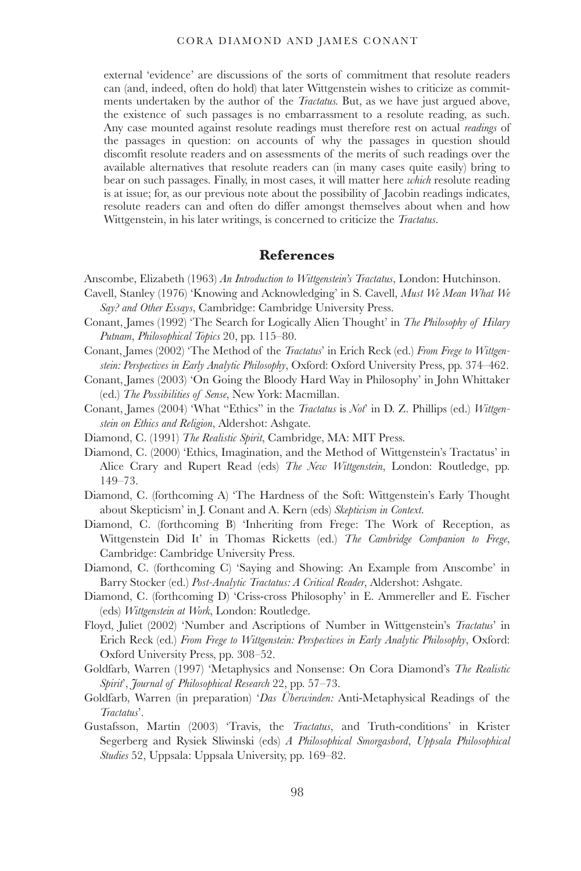external 'evidence' are discussions of the sorts of commitment that resolute readers can (and, indeed, often do hold) that later Wittgenstein wishes to criticize as commitments undertaken by the author of the *Tractatus.* But, as we have just argued above, the existence of such passages is no embarrassment to a resolute reading, as such. Any case mounted against resolute readings must therefore rest on actual *readings* of the passages in question: on accounts of why the passages in question should discomfit resolute readers and on assessments of the merits of such readings over the available alternatives that resolute readers can (in many cases quite easily) bring to bear on such passages. Finally, in most cases, it will matter here *which* resolute reading is at issue; for, as our previous note about the possibility of Jacobin readings indicates, resolute readers can and often do differ amongst themselves about when and how Wittgenstein, in his later writings, is concerned to criticize the *Tractatus*.

## **References**

- Anscombe, Elizabeth (1963) *An Introduction to Wittgenstein's Tractatus*, London: Hutchinson.
- Cavell, Stanley (1976) 'Knowing and Acknowledging' in S. Cavell, *Must We Mean What We Say? and Other Essays*, Cambridge: Cambridge University Press.
- Conant, James (1992) 'The Search for Logically Alien Thought' in *The Philosophy of Hilary Putnam*, *Philosophical Topics* 20, pp. 115–80.
- Conant, James (2002) 'The Method of the *Tractatus*' in Erich Reck (ed.) *From Frege to Wittgenstein: Perspectives in Early Analytic Philosophy*, Oxford: Oxford University Press, pp. 374–462.
- Conant, James (2003) 'On Going the Bloody Hard Way in Philosophy' in John Whittaker (ed.) *The Possibilities of Sense*, New York: Macmillan.
- Conant, James (2004) 'What "Ethics" in the *Tractatus* is *Not*' in D. Z. Phillips (ed.) *Wittgenstein on Ethics and Religion*, Aldershot: Ashgate.
- Diamond, C. (1991) *The Realistic Spirit*, Cambridge, MA: MIT Press.
- Diamond, C. (2000) 'Ethics, Imagination, and the Method of Wittgenstein's Tractatus' in Alice Crary and Rupert Read (eds) *The New Wittgenstein*, London: Routledge, pp. 149–73.
- Diamond, C. (forthcoming A) 'The Hardness of the Soft: Wittgenstein's Early Thought about Skepticism' in J. Conant and A. Kern (eds) *Skepticism in Context*.
- Diamond, C. (forthcoming B) 'Inheriting from Frege: The Work of Reception, as Wittgenstein Did It' in Thomas Ricketts (ed.) *The Cambridge Companion to Frege*, Cambridge: Cambridge University Press.
- Diamond, C. (forthcoming C) 'Saying and Showing: An Example from Anscombe' in Barry Stocker (ed.) *Post-Analytic Tractatus: A Critical Reader*, Aldershot: Ashgate.
- Diamond, C. (forthcoming D) 'Criss-cross Philosophy' in E. Ammereller and E. Fischer (eds) *Wittgenstein at Work*, London: Routledge.
- Floyd, Juliet (2002) 'Number and Ascriptions of Number in Wittgenstein's *Tractatus*' in Erich Reck (ed.) *From Frege to Wittgenstein: Perspectives in Early Analytic Philosophy*, Oxford: Oxford University Press, pp. 308–52.
- Goldfarb, Warren (1997) 'Metaphysics and Nonsense: On Cora Diamond's *The Realistic Spirit*', *Journal of Philosophical Research* 22, pp. 57–73.
- Goldfarb, Warren (in preparation) '*Das Überwinden:* Anti-Metaphysical Readings of the *Tractatus*'.
- Gustafsson, Martin (2003) 'Travis, the *Tractatus*, and Truth-conditions' in Krister Segerberg and Rysiek Sliwinski (eds) *A Philosophical Smorgasbord*, *Uppsala Philosophical Studies* 52, Uppsala: Uppsala University, pp. 169–82.